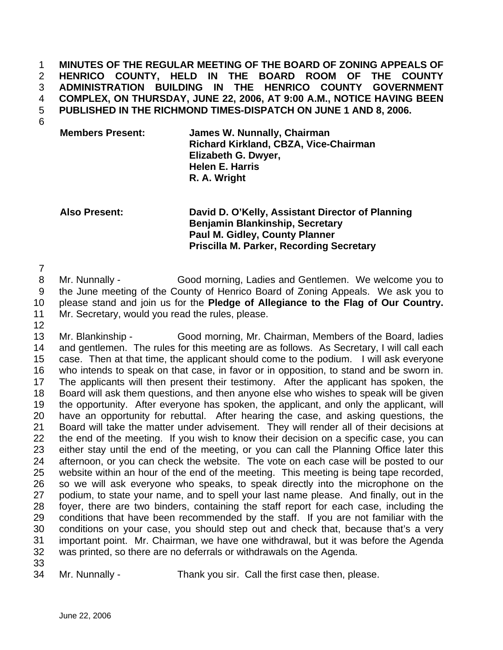**MINUTES OF THE REGULAR MEETING OF THE BOARD OF ZONING APPEALS OF HENRICO COUNTY, HELD IN THE BOARD ROOM OF THE COUNTY ADMINISTRATION BUILDING IN THE HENRICO COUNTY GOVERNMENT COMPLEX, ON THURSDAY, JUNE 22, 2006, AT 9:00 A.M., NOTICE HAVING BEEN PUBLISHED IN THE RICHMOND TIMES-DISPATCH ON JUNE 1 AND 8, 2006.**  1 2 3 4 5

6

**Members Present: James W. Nunnally, Chairman Richard Kirkland, CBZA, Vice-Chairman Elizabeth G. Dwyer, Helen E. Harris R. A. Wright** 

**Also Present: David D. O'Kelly, Assistant Director of Planning Benjamin Blankinship, Secretary Paul M. Gidley, County Planner Priscilla M. Parker, Recording Secretary** 

7

12

8 9 10 11 Mr. Nunnally - Good morning, Ladies and Gentlemen. We welcome you to the June meeting of the County of Henrico Board of Zoning Appeals. We ask you to please stand and join us for the **Pledge of Allegiance to the Flag of Our Country.**  Mr. Secretary, would you read the rules, please.

13 14 15 16 17 18 19 20 21 22 23 24 25 26 27 28 29 30 31 32 Mr. Blankinship - Good morning, Mr. Chairman, Members of the Board, ladies and gentlemen. The rules for this meeting are as follows. As Secretary, I will call each case. Then at that time, the applicant should come to the podium. I will ask everyone who intends to speak on that case, in favor or in opposition, to stand and be sworn in. The applicants will then present their testimony. After the applicant has spoken, the Board will ask them questions, and then anyone else who wishes to speak will be given the opportunity. After everyone has spoken, the applicant, and only the applicant, will have an opportunity for rebuttal. After hearing the case, and asking questions, the Board will take the matter under advisement. They will render all of their decisions at the end of the meeting. If you wish to know their decision on a specific case, you can either stay until the end of the meeting, or you can call the Planning Office later this afternoon, or you can check the website. The vote on each case will be posted to our website within an hour of the end of the meeting. This meeting is being tape recorded, so we will ask everyone who speaks, to speak directly into the microphone on the podium, to state your name, and to spell your last name please. And finally, out in the foyer, there are two binders, containing the staff report for each case, including the conditions that have been recommended by the staff. If you are not familiar with the conditions on your case, you should step out and check that, because that's a very important point. Mr. Chairman, we have one withdrawal, but it was before the Agenda was printed, so there are no deferrals or withdrawals on the Agenda.

33

34

Mr. Nunnally - Thank you sir. Call the first case then, please.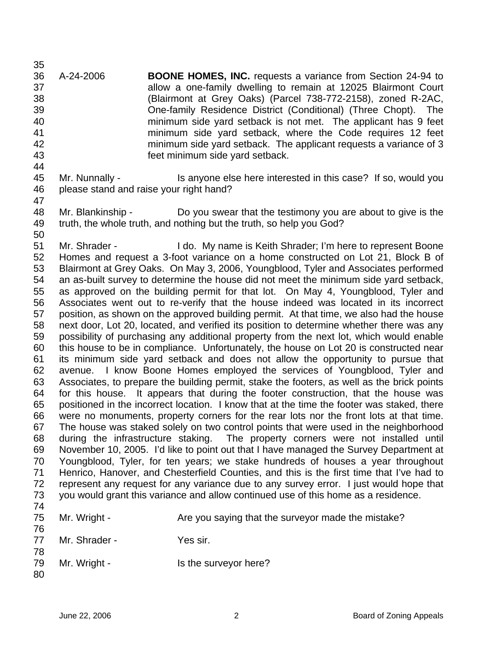35 36 37 38 39 40 41 42 43 44 A-24-2006 **BOONE HOMES, INC.** requests a variance from Section 24-94 to allow a one-family dwelling to remain at 12025 Blairmont Court (Blairmont at Grey Oaks) (Parcel 738-772-2158), zoned R-2AC, One-family Residence District (Conditional) (Three Chopt). The minimum side yard setback is not met. The applicant has 9 feet minimum side yard setback, where the Code requires 12 feet minimum side yard setback. The applicant requests a variance of 3 feet minimum side yard setback.

- 45 46 47 Mr. Nunnally - This anyone else here interested in this case? If so, would you please stand and raise your right hand?
- 48 49 Mr. Blankinship - Do you swear that the testimony you are about to give is the truth, the whole truth, and nothing but the truth, so help you God?

50 51 52 53 54 55 56 57 58 59 60 61 62 63 64 65 66 67 68 69 70 71 72 73 74 Mr. Shrader - **I** do. My name is Keith Shrader; I'm here to represent Boone Homes and request a 3-foot variance on a home constructed on Lot 21, Block B of Blairmont at Grey Oaks. On May 3, 2006, Youngblood, Tyler and Associates performed an as-built survey to determine the house did not meet the minimum side yard setback, as approved on the building permit for that lot. On May 4, Youngblood, Tyler and Associates went out to re-verify that the house indeed was located in its incorrect position, as shown on the approved building permit. At that time, we also had the house next door, Lot 20, located, and verified its position to determine whether there was any possibility of purchasing any additional property from the next lot, which would enable this house to be in compliance. Unfortunately, the house on Lot 20 is constructed near its minimum side yard setback and does not allow the opportunity to pursue that avenue. I know Boone Homes employed the services of Youngblood, Tyler and Associates, to prepare the building permit, stake the footers, as well as the brick points for this house. It appears that during the footer construction, that the house was positioned in the incorrect location. I know that at the time the footer was staked, there were no monuments, property corners for the rear lots nor the front lots at that time. The house was staked solely on two control points that were used in the neighborhood during the infrastructure staking. The property corners were not installed until November 10, 2005. I'd like to point out that I have managed the Survey Department at Youngblood, Tyler, for ten years; we stake hundreds of houses a year throughout Henrico, Hanover, and Chesterfield Counties, and this is the first time that I've had to represent any request for any variance due to any survey error. I just would hope that you would grant this variance and allow continued use of this home as a residence.

| 76       | 75 Mr. Wright - | Are you saying that the surveyor made the mistake? |
|----------|-----------------|----------------------------------------------------|
| 77<br>78 | Mr. Shrader -   | Yes sir.                                           |
| 79<br>80 | Mr. Wright -    | Is the surveyor here?                              |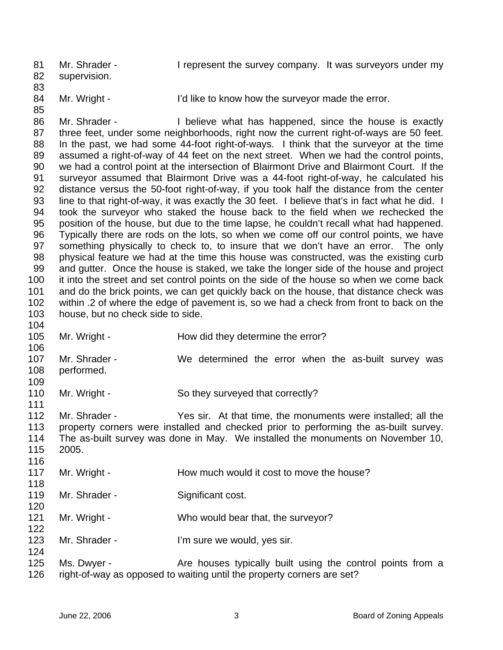81 82 83 Mr. Shrader - I represent the survey company. It was surveyors under my supervision.

- 84 85
- Mr. Wright I'd like to know how the surveyor made the error.

86 87 88 89 90 91 92 93 94 95 96 97 98 99 100 101 102 103 Mr. Shrader - I believe what has happened, since the house is exactly three feet, under some neighborhoods, right now the current right-of-ways are 50 feet. In the past, we had some 44-foot right-of-ways. I think that the surveyor at the time assumed a right-of-way of 44 feet on the next street. When we had the control points, we had a control point at the intersection of Blairmont Drive and Blairmont Court. If the surveyor assumed that Blairmont Drive was a 44-foot right-of-way, he calculated his distance versus the 50-foot right-of-way, if you took half the distance from the center line to that right-of-way, it was exactly the 30 feet. I believe that's in fact what he did. I took the surveyor who staked the house back to the field when we rechecked the position of the house, but due to the time lapse, he couldn't recall what had happened. Typically there are rods on the lots, so when we come off our control points, we have something physically to check to, to insure that we don't have an error. The only physical feature we had at the time this house was constructed, was the existing curb and gutter. Once the house is staked, we take the longer side of the house and project it into the street and set control points on the side of the house so when we come back and do the brick points, we can get quickly back on the house, that distance check was within .2 of where the edge of pavement is, so we had a check from front to back on the house, but no check side to side.

- 104 105 106 107 108 109 110 111 112 113 114 115 116 117 118 119 120 121 122 123 124 Mr. Wright - The How did they determine the error? Mr. Shrader - We determined the error when the as-built survey was performed. Mr. Wright - So they surveyed that correctly? Mr. Shrader - Yes sir. At that time, the monuments were installed; all the property corners were installed and checked prior to performing the as-built survey. The as-built survey was done in May. We installed the monuments on November 10, 2005. Mr. Wright - The How much would it cost to move the house? Mr. Shrader - Significant cost. Mr. Wright - Who would bear that, the surveyor? Mr. Shrader - **I'm sure we would, yes sir.**
- 125 126 Ms. Dwyer - The Are houses typically built using the control points from a right-of-way as opposed to waiting until the property corners are set?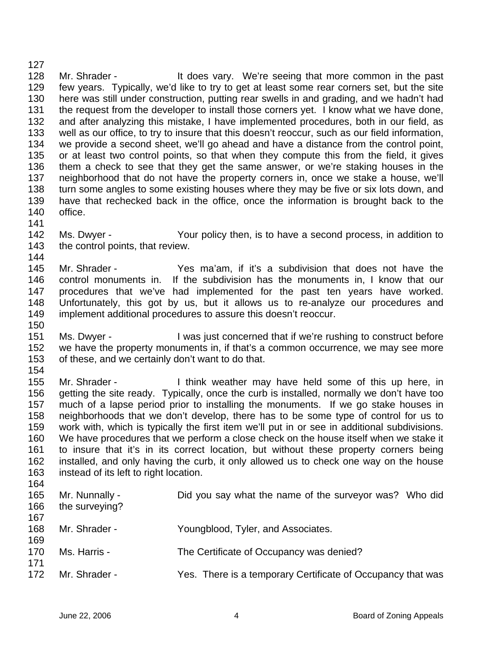128 129 130 131 132 133 134 135 136 137 138 139 140 141 Mr. Shrader - The Music of the does vary. We're seeing that more common in the past few years. Typically, we'd like to try to get at least some rear corners set, but the site here was still under construction, putting rear swells in and grading, and we hadn't had the request from the developer to install those corners yet. I know what we have done, and after analyzing this mistake, I have implemented procedures, both in our field, as well as our office, to try to insure that this doesn't reoccur, such as our field information, we provide a second sheet, we'll go ahead and have a distance from the control point, or at least two control points, so that when they compute this from the field, it gives them a check to see that they get the same answer, or we're staking houses in the neighborhood that do not have the property corners in, once we stake a house, we'll turn some angles to some existing houses where they may be five or six lots down, and have that rechecked back in the office, once the information is brought back to the office.

- 142 143 144 Ms. Dwyer - Your policy then, is to have a second process, in addition to the control points, that review.
- 145 146 147 148 149 150 Mr. Shrader - Yes ma'am, if it's a subdivision that does not have the control monuments in. If the subdivision has the monuments in, I know that our procedures that we've had implemented for the past ten years have worked. Unfortunately, this got by us, but it allows us to re-analyze our procedures and implement additional procedures to assure this doesn't reoccur.
- 151 152 153 Ms. Dwyer - I was just concerned that if we're rushing to construct before we have the property monuments in, if that's a common occurrence, we may see more of these, and we certainly don't want to do that.
- 154

127

155 156 157 158 159 160 161 162 163 Mr. Shrader - I think weather may have held some of this up here, in getting the site ready. Typically, once the curb is installed, normally we don't have too much of a lapse period prior to installing the monuments. If we go stake houses in neighborhoods that we don't develop, there has to be some type of control for us to work with, which is typically the first item we'll put in or see in additional subdivisions. We have procedures that we perform a close check on the house itself when we stake it to insure that it's in its correct location, but without these property corners being installed, and only having the curb, it only allowed us to check one way on the house instead of its left to right location.

164 165 166 167 168 169 170 171 172 Mr. Nunnally - **Did you say what the name of the surveyor was?** Who did the surveying? Mr. Shrader - The Youngblood, Tyler, and Associates. Ms. Harris - The Certificate of Occupancy was denied? Mr. Shrader - Yes. There is a temporary Certificate of Occupancy that was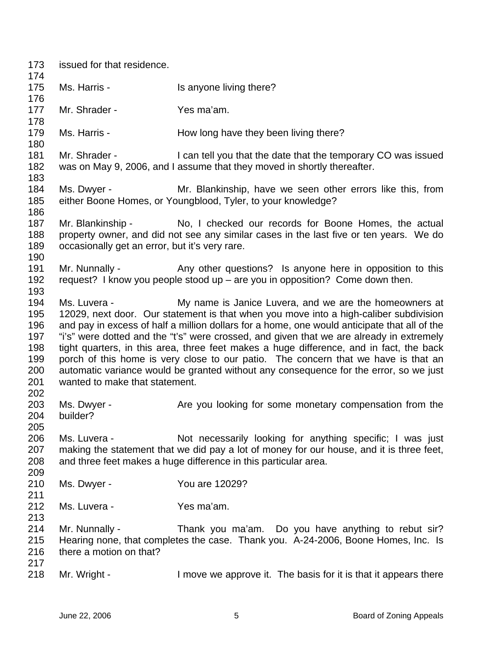| 173                                                  | issued for that residence.                                                                                                                                                                                                                                                                                                                                                                                                                                                                                                                                                                                                                                              |                                                                                                                                                                                                                          |  |
|------------------------------------------------------|-------------------------------------------------------------------------------------------------------------------------------------------------------------------------------------------------------------------------------------------------------------------------------------------------------------------------------------------------------------------------------------------------------------------------------------------------------------------------------------------------------------------------------------------------------------------------------------------------------------------------------------------------------------------------|--------------------------------------------------------------------------------------------------------------------------------------------------------------------------------------------------------------------------|--|
| 174<br>175                                           | Ms. Harris -                                                                                                                                                                                                                                                                                                                                                                                                                                                                                                                                                                                                                                                            | Is anyone living there?                                                                                                                                                                                                  |  |
| 176                                                  |                                                                                                                                                                                                                                                                                                                                                                                                                                                                                                                                                                                                                                                                         |                                                                                                                                                                                                                          |  |
| 177<br>178                                           | Mr. Shrader -                                                                                                                                                                                                                                                                                                                                                                                                                                                                                                                                                                                                                                                           | Yes ma'am.                                                                                                                                                                                                               |  |
| 179<br>180                                           | Ms. Harris -                                                                                                                                                                                                                                                                                                                                                                                                                                                                                                                                                                                                                                                            | How long have they been living there?                                                                                                                                                                                    |  |
| 181<br>182<br>183                                    | Mr. Shrader -                                                                                                                                                                                                                                                                                                                                                                                                                                                                                                                                                                                                                                                           | I can tell you that the date that the temporary CO was issued<br>was on May 9, 2006, and I assume that they moved in shortly thereafter.                                                                                 |  |
| 184<br>185<br>186                                    | Ms. Dwyer -                                                                                                                                                                                                                                                                                                                                                                                                                                                                                                                                                                                                                                                             | Mr. Blankinship, have we seen other errors like this, from<br>either Boone Homes, or Youngblood, Tyler, to your knowledge?                                                                                               |  |
| 187<br>188<br>189<br>190                             | Mr. Blankinship -<br>occasionally get an error, but it's very rare.                                                                                                                                                                                                                                                                                                                                                                                                                                                                                                                                                                                                     | No, I checked our records for Boone Homes, the actual<br>property owner, and did not see any similar cases in the last five or ten years. We do                                                                          |  |
| 191<br>192<br>193                                    | Mr. Nunnally -                                                                                                                                                                                                                                                                                                                                                                                                                                                                                                                                                                                                                                                          | Any other questions? Is anyone here in opposition to this<br>request? I know you people stood up $-$ are you in opposition? Come down then.                                                                              |  |
| 194<br>195<br>196<br>197<br>198<br>199<br>200<br>201 | Ms. Luvera -<br>My name is Janice Luvera, and we are the homeowners at<br>12029, next door. Our statement is that when you move into a high-caliber subdivision<br>and pay in excess of half a million dollars for a home, one would anticipate that all of the<br>"i's" were dotted and the "t's" were crossed, and given that we are already in extremely<br>tight quarters, in this area, three feet makes a huge difference, and in fact, the back<br>porch of this home is very close to our patio. The concern that we have is that an<br>automatic variance would be granted without any consequence for the error, so we just<br>wanted to make that statement. |                                                                                                                                                                                                                          |  |
| 202<br>203<br>204<br>205                             | Ms. Dwyer -<br>builder?                                                                                                                                                                                                                                                                                                                                                                                                                                                                                                                                                                                                                                                 | Are you looking for some monetary compensation from the                                                                                                                                                                  |  |
| 206<br>207<br>208                                    | Ms. Luvera -                                                                                                                                                                                                                                                                                                                                                                                                                                                                                                                                                                                                                                                            | Not necessarily looking for anything specific; I was just<br>making the statement that we did pay a lot of money for our house, and it is three feet,<br>and three feet makes a huge difference in this particular area. |  |
| 209<br>210<br>211                                    | Ms. Dwyer -                                                                                                                                                                                                                                                                                                                                                                                                                                                                                                                                                                                                                                                             | You are 12029?                                                                                                                                                                                                           |  |
| 212<br>213                                           | Ms. Luvera -                                                                                                                                                                                                                                                                                                                                                                                                                                                                                                                                                                                                                                                            | Yes ma'am.                                                                                                                                                                                                               |  |
| 214<br>215<br>216<br>217                             | Mr. Nunnally -<br>there a motion on that?                                                                                                                                                                                                                                                                                                                                                                                                                                                                                                                                                                                                                               | Thank you ma'am. Do you have anything to rebut sir?<br>Hearing none, that completes the case. Thank you. A-24-2006, Boone Homes, Inc. Is                                                                                 |  |
| 218                                                  | Mr. Wright -                                                                                                                                                                                                                                                                                                                                                                                                                                                                                                                                                                                                                                                            | I move we approve it. The basis for it is that it appears there                                                                                                                                                          |  |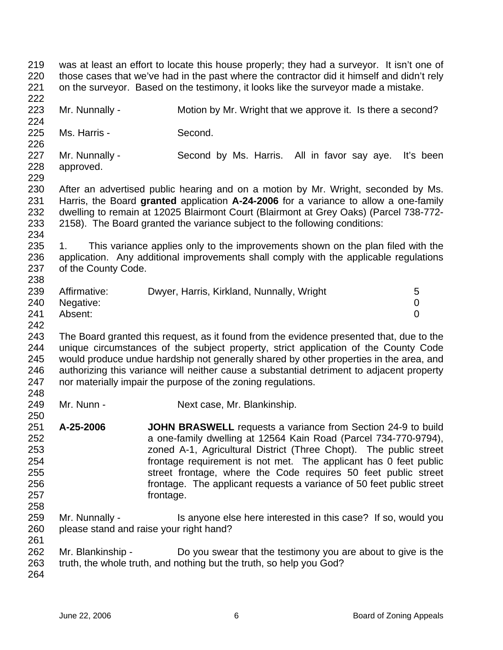219 220 221 222 223 224 225 226 227 228 229 230 231 232 233 234 235 236 237 238 239 240 241 242 243 244 245 246 247 248 249 250 251 252 253 254 255 256 257 258 259 260 261 262 263 264 was at least an effort to locate this house properly; they had a surveyor. It isn't one of those cases that we've had in the past where the contractor did it himself and didn't rely on the surveyor. Based on the testimony, it looks like the surveyor made a mistake. Mr. Nunnally - Motion by Mr. Wright that we approve it. Is there a second? Ms. Harris - Second. Mr. Nunnally - Second by Ms. Harris. All in favor say aye. It's been approved. After an advertised public hearing and on a motion by Mr. Wright, seconded by Ms. Harris, the Board **granted** application **A-24-2006** for a variance to allow a one-family dwelling to remain at 12025 Blairmont Court (Blairmont at Grey Oaks) (Parcel 738-772- 2158). The Board granted the variance subject to the following conditions: 1. This variance applies only to the improvements shown on the plan filed with the application. Any additional improvements shall comply with the applicable regulations of the County Code. Affirmative: Dwyer, Harris, Kirkland, Nunnally, Wright 5 Negative: 0 Absent: 0 The Board granted this request, as it found from the evidence presented that, due to the unique circumstances of the subject property, strict application of the County Code would produce undue hardship not generally shared by other properties in the area, and authorizing this variance will neither cause a substantial detriment to adjacent property nor materially impair the purpose of the zoning regulations. Mr. Nunn - Next case, Mr. Blankinship. **A-25-2006 JOHN BRASWELL** requests a variance from Section 24-9 to build a one-family dwelling at 12564 Kain Road (Parcel 734-770-9794), zoned A-1, Agricultural District (Three Chopt). The public street frontage requirement is not met. The applicant has 0 feet public street frontage, where the Code requires 50 feet public street frontage. The applicant requests a variance of 50 feet public street frontage. Mr. Nunnally - Is anyone else here interested in this case? If so, would you please stand and raise your right hand? Mr. Blankinship - Do you swear that the testimony you are about to give is the truth, the whole truth, and nothing but the truth, so help you God?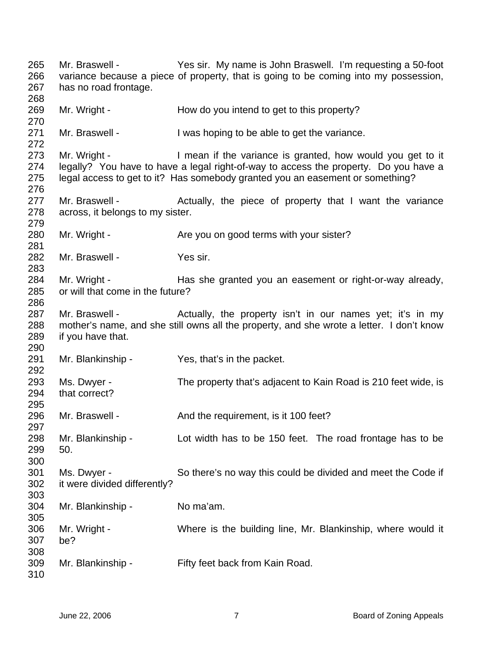Mr. Braswell - Yes sir. My name is John Braswell. I'm requesting a 50-foot variance because a piece of property, that is going to be coming into my possession, has no road frontage. Mr. Wright - How do you intend to get to this property? Mr. Braswell - The U was hoping to be able to get the variance. Mr. Wright - I mean if the variance is granted, how would you get to it legally? You have to have a legal right-of-way to access the property. Do you have a legal access to get to it? Has somebody granted you an easement or something? Mr. Braswell - The Actually, the piece of property that I want the variance across, it belongs to my sister. Mr. Wright - Are you on good terms with your sister? Mr. Braswell - Yes sir. Mr. Wright - Has she granted you an easement or right-or-way already, or will that come in the future? Mr. Braswell - Actually, the property isn't in our names yet; it's in my mother's name, and she still owns all the property, and she wrote a letter. I don't know if you have that. Mr. Blankinship - Yes, that's in the packet. Ms. Dwyer - The property that's adjacent to Kain Road is 210 feet wide, is that correct? Mr. Braswell - And the requirement, is it 100 feet? Mr. Blankinship - Lot width has to be 150 feet. The road frontage has to be 50. Ms. Dwyer - So there's no way this could be divided and meet the Code if it were divided differently? Mr. Blankinship - No ma'am. Mr. Wright - Where is the building line, Mr. Blankinship, where would it be? Mr. Blankinship - Fifty feet back from Kain Road.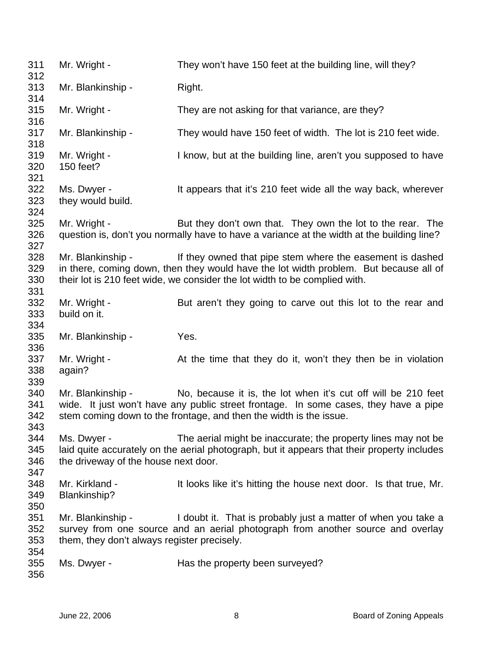311 312 313 314 315 316 317 318 319 320 321 322 323 324 325 326 327 328 329 330 331 332 333 334 335 336 337 338 339 340 341 342 343 344 345 346 347 348 349 350 351 352 353 354 355 356 Mr. Wright - They won't have 150 feet at the building line, will they? Mr. Blankinship - Right. Mr. Wright - They are not asking for that variance, are they? Mr. Blankinship - They would have 150 feet of width. The lot is 210 feet wide. Mr. Wright - The State of the building line, aren't you supposed to have 150 feet? Ms. Dwyer - It appears that it's 210 feet wide all the way back, wherever they would build. Mr. Wright - But they don't own that. They own the lot to the rear. The question is, don't you normally have to have a variance at the width at the building line? Mr. Blankinship - If they owned that pipe stem where the easement is dashed in there, coming down, then they would have the lot width problem. But because all of their lot is 210 feet wide, we consider the lot width to be complied with. Mr. Wright - But aren't they going to carve out this lot to the rear and build on it. Mr. Blankinship - Yes. Mr. Wright - At the time that they do it, won't they then be in violation again? Mr. Blankinship - No, because it is, the lot when it's cut off will be 210 feet wide. It just won't have any public street frontage. In some cases, they have a pipe stem coming down to the frontage, and then the width is the issue. Ms. Dwyer - The aerial might be inaccurate; the property lines may not be laid quite accurately on the aerial photograph, but it appears that their property includes the driveway of the house next door. Mr. Kirkland - It looks like it's hitting the house next door. Is that true, Mr. Blankinship? Mr. Blankinship - I doubt it. That is probably just a matter of when you take a survey from one source and an aerial photograph from another source and overlay them, they don't always register precisely. Ms. Dwyer - Has the property been surveyed?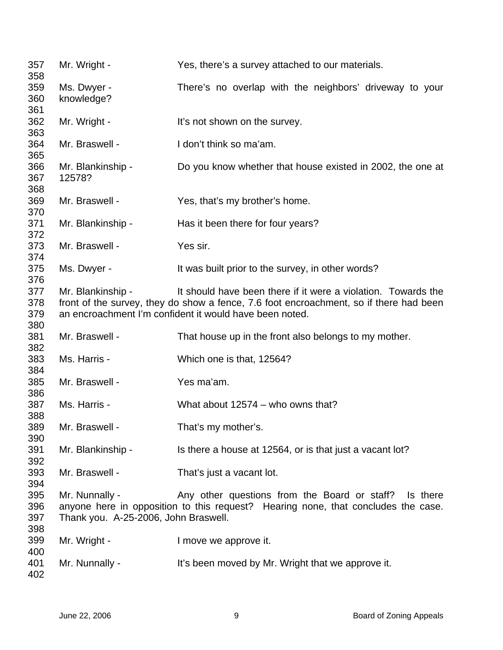| 357<br>358               | Mr. Wright -                                           | Yes, there's a survey attached to our materials.                                                                                                                                                                   |
|--------------------------|--------------------------------------------------------|--------------------------------------------------------------------------------------------------------------------------------------------------------------------------------------------------------------------|
| 359<br>360<br>361        | Ms. Dwyer -<br>knowledge?                              | There's no overlap with the neighbors' driveway to your                                                                                                                                                            |
| 362<br>363               | Mr. Wright -                                           | It's not shown on the survey.                                                                                                                                                                                      |
| 364<br>365               | Mr. Braswell -                                         | I don't think so ma'am.                                                                                                                                                                                            |
| 366<br>367<br>368        | Mr. Blankinship -<br>12578?                            | Do you know whether that house existed in 2002, the one at                                                                                                                                                         |
| 369<br>370               | Mr. Braswell -                                         | Yes, that's my brother's home.                                                                                                                                                                                     |
| 371<br>372               | Mr. Blankinship -                                      | Has it been there for four years?                                                                                                                                                                                  |
| 373<br>374               | Mr. Braswell -                                         | Yes sir.                                                                                                                                                                                                           |
| 375<br>376               | Ms. Dwyer -                                            | It was built prior to the survey, in other words?                                                                                                                                                                  |
| 377<br>378<br>379<br>380 | Mr. Blankinship -                                      | It should have been there if it were a violation. Towards the<br>front of the survey, they do show a fence, 7.6 foot encroachment, so if there had been<br>an encroachment I'm confident it would have been noted. |
| 381<br>382               | Mr. Braswell -                                         | That house up in the front also belongs to my mother.                                                                                                                                                              |
| 383<br>384               | Ms. Harris -                                           | Which one is that, 12564?                                                                                                                                                                                          |
| 385<br>386               | Mr. Braswell -                                         | Yes ma'am.                                                                                                                                                                                                         |
| 387<br>388               | Ms. Harris -                                           | What about 12574 - who owns that?                                                                                                                                                                                  |
| 389<br>390               | Mr. Braswell -                                         | That's my mother's.                                                                                                                                                                                                |
| 391<br>392               | Mr. Blankinship -                                      | Is there a house at 12564, or is that just a vacant lot?                                                                                                                                                           |
| 393<br>394               | Mr. Braswell -                                         | That's just a vacant lot.                                                                                                                                                                                          |
| 395<br>396<br>397<br>398 | Mr. Nunnally -<br>Thank you. A-25-2006, John Braswell. | Any other questions from the Board or staff? Is there<br>anyone here in opposition to this request? Hearing none, that concludes the case.                                                                         |
| 399<br>400               | Mr. Wright -                                           | I move we approve it.                                                                                                                                                                                              |
| 401<br>402               | Mr. Nunnally -                                         | It's been moved by Mr. Wright that we approve it.                                                                                                                                                                  |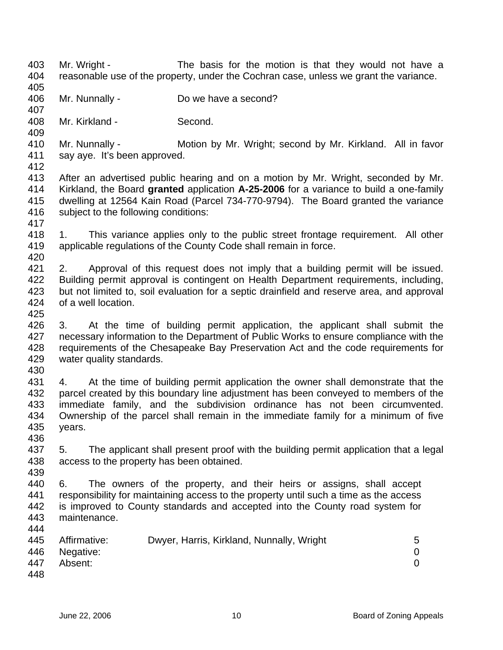- 403 404 405 Mr. Wright - The basis for the motion is that they would not have a reasonable use of the property, under the Cochran case, unless we grant the variance.
- 406 Mr. Nunnally - Do we have a second?
- 408 Mr. Kirkland - Second.
- 410 411 412 Mr. Nunnally - **Motion by Mr. Wright; second by Mr. Kirkland.** All in favor say aye. It's been approved.
- 413 414 415 416 After an advertised public hearing and on a motion by Mr. Wright, seconded by Mr. Kirkland, the Board **granted** application **A-25-2006** for a variance to build a one-family dwelling at 12564 Kain Road (Parcel 734-770-9794). The Board granted the variance subject to the following conditions:
- 418 419 1. This variance applies only to the public street frontage requirement. All other applicable regulations of the County Code shall remain in force.
- 420 421 422 423 424 2. Approval of this request does not imply that a building permit will be issued. Building permit approval is contingent on Health Department requirements, including, but not limited to, soil evaluation for a septic drainfield and reserve area, and approval of a well location.
- 426 427 428 429 3. At the time of building permit application, the applicant shall submit the necessary information to the Department of Public Works to ensure compliance with the requirements of the Chesapeake Bay Preservation Act and the code requirements for water quality standards.
- 430

436

439

425

407

409

417

431 432 433 434 435 4. At the time of building permit application the owner shall demonstrate that the parcel created by this boundary line adjustment has been conveyed to members of the immediate family, and the subdivision ordinance has not been circumvented. Ownership of the parcel shall remain in the immediate family for a minimum of five years.

- 437 438 5. The applicant shall present proof with the building permit application that a legal access to the property has been obtained.
- 440 441 442 443 444 6. The owners of the property, and their heirs or assigns, shall accept responsibility for maintaining access to the property until such a time as the access is improved to County standards and accepted into the County road system for maintenance.

|     | 445 Affirmative: | Dwyer, Harris, Kirkland, Nunnally, Wright | 5 |
|-----|------------------|-------------------------------------------|---|
|     | 446 Negative:    |                                           |   |
| 447 | Absent:          |                                           |   |
| 448 |                  |                                           |   |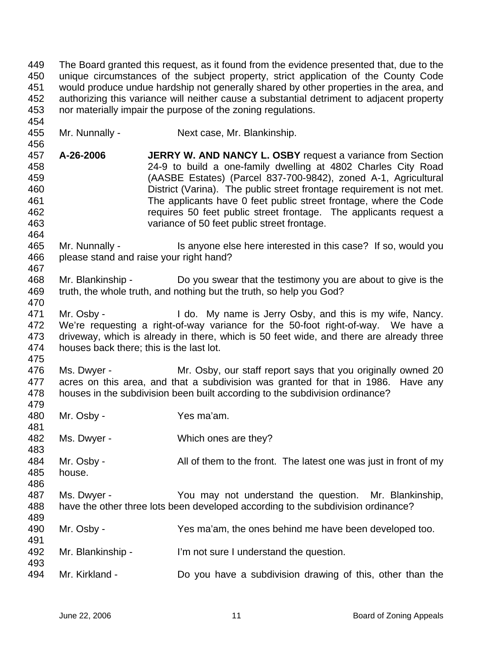449 450 451 452 453 The Board granted this request, as it found from the evidence presented that, due to the unique circumstances of the subject property, strict application of the County Code would produce undue hardship not generally shared by other properties in the area, and authorizing this variance will neither cause a substantial detriment to adjacent property nor materially impair the purpose of the zoning regulations.

- 455 Mr. Nunnally - Next case, Mr. Blankinship.
- 457 458 459 460 461 462 463 **A-26-2006 JERRY W. AND NANCY L. OSBY** request a variance from Section 24-9 to build a one-family dwelling at 4802 Charles City Road (AASBE Estates) (Parcel 837-700-9842), zoned A-1, Agricultural District (Varina). The public street frontage requirement is not met. The applicants have 0 feet public street frontage, where the Code requires 50 feet public street frontage. The applicants request a variance of 50 feet public street frontage.
- 465 466 467 Mr. Nunnally - Is anyone else here interested in this case? If so, would you please stand and raise your right hand?
- 468 469 470 Mr. Blankinship - Do you swear that the testimony you are about to give is the truth, the whole truth, and nothing but the truth, so help you God?
- 471 472 473 474 Mr. Osby - I do. My name is Jerry Osby, and this is my wife, Nancy. We're requesting a right-of-way variance for the 50-foot right-of-way. We have a driveway, which is already in there, which is 50 feet wide, and there are already three houses back there; this is the last lot.
- 475

454

456

- 476 477 478 Ms. Dwyer - Mr. Osby, our staff report says that you originally owned 20 acres on this area, and that a subdivision was granted for that in 1986. Have any houses in the subdivision been built according to the subdivision ordinance?
- 479 480 481 482 483 484 485 486 487 488 489 490 491 492 493 494 Mr. Osby - Yes ma'am. Ms. Dwyer - Which ones are they? Mr. Osby - All of them to the front. The latest one was just in front of my house. Ms. Dwyer - You may not understand the question. Mr. Blankinship, have the other three lots been developed according to the subdivision ordinance? Mr. Osby - Yes ma'am, the ones behind me have been developed too. Mr. Blankinship - I'm not sure I understand the question. Mr. Kirkland - Do you have a subdivision drawing of this, other than the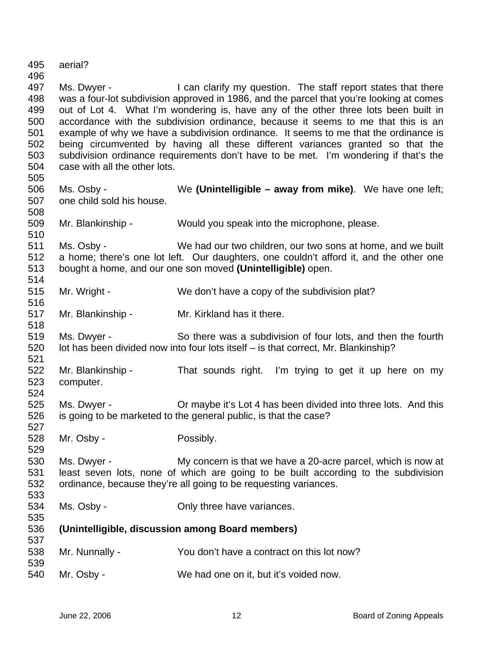495 496 497 498 499 500 501 502 503 504 505 506 507 508 509 510 511 512 513 514 515 516 517 518 519 520 521 522 523 524 525 526 527 528 529 530 531 532 533 534 535 536 537 538 539 540 aerial? Ms. Dwyer - I can clarify my question. The staff report states that there was a four-lot subdivision approved in 1986, and the parcel that you're looking at comes out of Lot 4. What I'm wondering is, have any of the other three lots been built in accordance with the subdivision ordinance, because it seems to me that this is an example of why we have a subdivision ordinance. It seems to me that the ordinance is being circumvented by having all these different variances granted so that the subdivision ordinance requirements don't have to be met. I'm wondering if that's the case with all the other lots. Ms. Osby - We **(Unintelligible – away from mike)**. We have one left; one child sold his house. Mr. Blankinship - Would you speak into the microphone, please. Ms. Osby - We had our two children, our two sons at home, and we built a home; there's one lot left. Our daughters, one couldn't afford it, and the other one bought a home, and our one son moved **(Unintelligible)** open. Mr. Wright - We don't have a copy of the subdivision plat? Mr. Blankinship - Mr. Kirkland has it there. Ms. Dwyer - So there was a subdivision of four lots, and then the fourth lot has been divided now into four lots itself – is that correct, Mr. Blankinship? Mr. Blankinship - That sounds right. I'm trying to get it up here on my computer. Ms. Dwyer - **Or maybe it's Lot 4 has been divided into three lots.** And this is going to be marketed to the general public, is that the case? Mr. Osby - Possibly. Ms. Dwyer - My concern is that we have a 20-acre parcel, which is now at least seven lots, none of which are going to be built according to the subdivision ordinance, because they're all going to be requesting variances. Ms. Osby - Chily three have variances. **(Unintelligible, discussion among Board members)** Mr. Nunnally - You don't have a contract on this lot now? Mr. Osby - We had one on it, but it's voided now.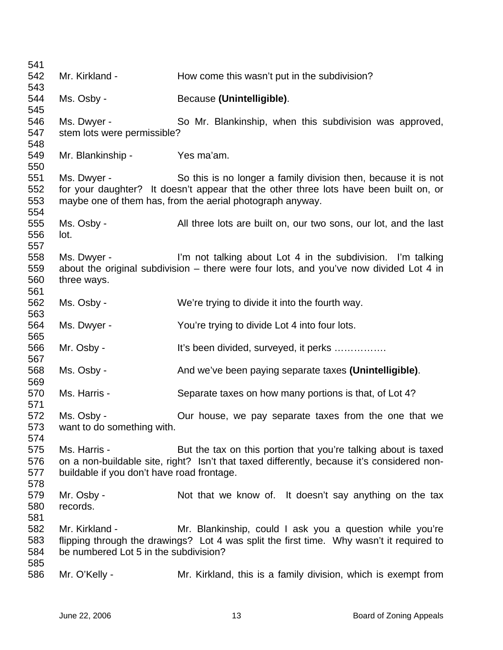| 541        |                                            |                                                                                            |
|------------|--------------------------------------------|--------------------------------------------------------------------------------------------|
| 542        | Mr. Kirkland -                             | How come this wasn't put in the subdivision?                                               |
| 543        |                                            |                                                                                            |
| 544        | Ms. Osby -                                 | Because (Unintelligible).                                                                  |
| 545        |                                            |                                                                                            |
| 546        | Ms. Dwyer -                                | So Mr. Blankinship, when this subdivision was approved,                                    |
| 547        | stem lots were permissible?                |                                                                                            |
| 548<br>549 | Mr. Blankinship -                          | Yes ma'am.                                                                                 |
| 550        |                                            |                                                                                            |
| 551        | Ms. Dwyer -                                | So this is no longer a family division then, because it is not                             |
| 552        |                                            | for your daughter? It doesn't appear that the other three lots have been built on, or      |
| 553        |                                            | maybe one of them has, from the aerial photograph anyway.                                  |
| 554        |                                            |                                                                                            |
| 555        | Ms. Osby -                                 | All three lots are built on, our two sons, our lot, and the last                           |
| 556        | lot.                                       |                                                                                            |
| 557        |                                            |                                                                                            |
| 558        | Ms. Dwyer -                                | I'm not talking about Lot 4 in the subdivision. I'm talking                                |
| 559        |                                            | about the original subdivision $-$ there were four lots, and you've now divided Lot 4 in   |
| 560        | three ways.                                |                                                                                            |
| 561        |                                            |                                                                                            |
| 562        | Ms. Osby -                                 | We're trying to divide it into the fourth way.                                             |
| 563        |                                            |                                                                                            |
| 564        | Ms. Dwyer -                                | You're trying to divide Lot 4 into four lots.                                              |
| 565        |                                            |                                                                                            |
| 566        | Mr. Osby -                                 | It's been divided, surveyed, it perks                                                      |
| 567        |                                            |                                                                                            |
| 568<br>569 | Ms. Osby -                                 | And we've been paying separate taxes (Unintelligible).                                     |
| 570        | Ms. Harris -                               | Separate taxes on how many portions is that, of Lot 4?                                     |
| 571        |                                            |                                                                                            |
| 572        | Ms. Osby -                                 | Our house, we pay separate taxes from the one that we                                      |
| 573        | want to do something with.                 |                                                                                            |
| 574        |                                            |                                                                                            |
| 575        | Ms. Harris -                               | But the tax on this portion that you're talking about is taxed                             |
| 576        |                                            | on a non-buildable site, right? Isn't that taxed differently, because it's considered non- |
| 577        | buildable if you don't have road frontage. |                                                                                            |
| 578        |                                            |                                                                                            |
| 579        | Mr. Osby -                                 | Not that we know of. It doesn't say anything on the tax                                    |
| 580        | records.                                   |                                                                                            |
| 581        |                                            |                                                                                            |
| 582        | Mr. Kirkland -                             | Mr. Blankinship, could I ask you a question while you're                                   |
| 583        |                                            | flipping through the drawings? Lot 4 was split the first time. Why wasn't it required to   |
| 584        | be numbered Lot 5 in the subdivision?      |                                                                                            |
| 585        |                                            |                                                                                            |
| 586        | Mr. O'Kelly -                              | Mr. Kirkland, this is a family division, which is exempt from                              |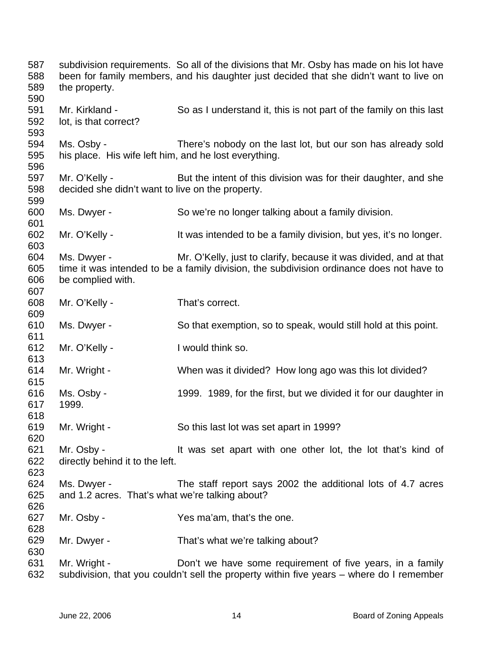| 587<br>588<br>589        | the property.                                                       | subdivision requirements. So all of the divisions that Mr. Osby has made on his lot have<br>been for family members, and his daughter just decided that she didn't want to live on |
|--------------------------|---------------------------------------------------------------------|------------------------------------------------------------------------------------------------------------------------------------------------------------------------------------|
| 590<br>591<br>592<br>593 | Mr. Kirkland -<br>lot, is that correct?                             | So as I understand it, this is not part of the family on this last                                                                                                                 |
| 594<br>595<br>596        | Ms. Osby -<br>his place. His wife left him, and he lost everything. | There's nobody on the last lot, but our son has already sold                                                                                                                       |
| 597<br>598<br>599        | Mr. O'Kelly -<br>decided she didn't want to live on the property.   | But the intent of this division was for their daughter, and she                                                                                                                    |
| 600<br>601               | Ms. Dwyer -                                                         | So we're no longer talking about a family division.                                                                                                                                |
| 602<br>603               | Mr. O'Kelly -                                                       | It was intended to be a family division, but yes, it's no longer.                                                                                                                  |
| 604<br>605<br>606<br>607 | Ms. Dwyer -<br>be complied with.                                    | Mr. O'Kelly, just to clarify, because it was divided, and at that<br>time it was intended to be a family division, the subdivision ordinance does not have to                      |
| 608<br>609               | Mr. O'Kelly -                                                       | That's correct.                                                                                                                                                                    |
| 610<br>611               | Ms. Dwyer -                                                         | So that exemption, so to speak, would still hold at this point.                                                                                                                    |
| 612<br>613               | Mr. O'Kelly -                                                       | I would think so.                                                                                                                                                                  |
| 614<br>615               | Mr. Wright -                                                        | When was it divided? How long ago was this lot divided?                                                                                                                            |
| 616<br>617<br>618        | Ms. Osby -<br>1999.                                                 | 1999. 1989, for the first, but we divided it for our daughter in                                                                                                                   |
| 619<br>620               | Mr. Wright -                                                        | So this last lot was set apart in 1999?                                                                                                                                            |
| 621<br>622<br>623        | Mr. Osby -<br>directly behind it to the left.                       | It was set apart with one other lot, the lot that's kind of                                                                                                                        |
| 624<br>625<br>626        | Ms. Dwyer -<br>and 1.2 acres. That's what we're talking about?      | The staff report says 2002 the additional lots of 4.7 acres                                                                                                                        |
| 627<br>628               | Mr. Osby -                                                          | Yes ma'am, that's the one.                                                                                                                                                         |
| 629<br>630               | Mr. Dwyer -                                                         | That's what we're talking about?                                                                                                                                                   |
| 631<br>632               | Mr. Wright -                                                        | Don't we have some requirement of five years, in a family<br>subdivision, that you couldn't sell the property within five years - where do I remember                              |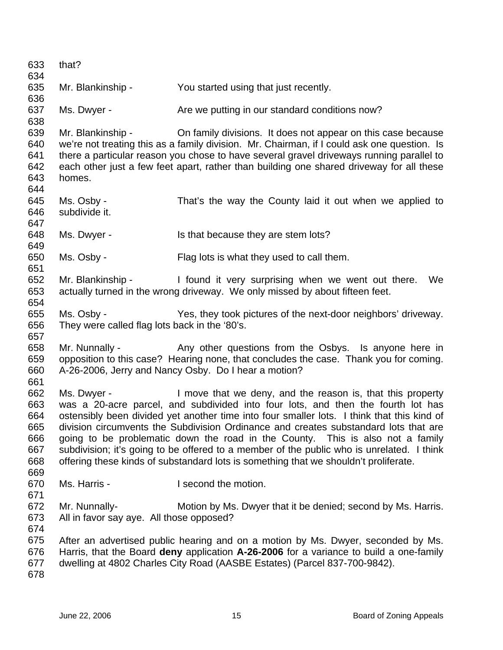| 633<br>634                                           | that?                                                       |                                                                                                                                                                                                                                                                                                                                                                                                                                                                                                                                                                                                             |
|------------------------------------------------------|-------------------------------------------------------------|-------------------------------------------------------------------------------------------------------------------------------------------------------------------------------------------------------------------------------------------------------------------------------------------------------------------------------------------------------------------------------------------------------------------------------------------------------------------------------------------------------------------------------------------------------------------------------------------------------------|
| 635                                                  | Mr. Blankinship -                                           | You started using that just recently.                                                                                                                                                                                                                                                                                                                                                                                                                                                                                                                                                                       |
| 636                                                  |                                                             |                                                                                                                                                                                                                                                                                                                                                                                                                                                                                                                                                                                                             |
| 637<br>638                                           | Ms. Dwyer -                                                 | Are we putting in our standard conditions now?                                                                                                                                                                                                                                                                                                                                                                                                                                                                                                                                                              |
| 639<br>640<br>641<br>642<br>643                      | homes.                                                      | Mr. Blankinship - Chi family divisions. It does not appear on this case because<br>we're not treating this as a family division. Mr. Chairman, if I could ask one question. Is<br>there a particular reason you chose to have several gravel driveways running parallel to<br>each other just a few feet apart, rather than building one shared driveway for all these                                                                                                                                                                                                                                      |
| 644<br>645<br>646<br>647                             | Ms. Osby -<br>subdivide it.                                 | That's the way the County laid it out when we applied to                                                                                                                                                                                                                                                                                                                                                                                                                                                                                                                                                    |
| 648<br>649                                           | Ms. Dwyer -                                                 | Is that because they are stem lots?                                                                                                                                                                                                                                                                                                                                                                                                                                                                                                                                                                         |
| 650<br>651                                           | Ms. Osby -                                                  | Flag lots is what they used to call them.                                                                                                                                                                                                                                                                                                                                                                                                                                                                                                                                                                   |
| 652<br>653<br>654                                    |                                                             | Mr. Blankinship - I found it very surprising when we went out there.<br>We<br>actually turned in the wrong driveway. We only missed by about fifteen feet.                                                                                                                                                                                                                                                                                                                                                                                                                                                  |
| 655<br>656                                           | Ms. Osby -<br>They were called flag lots back in the '80's. | Yes, they took pictures of the next-door neighbors' driveway.                                                                                                                                                                                                                                                                                                                                                                                                                                                                                                                                               |
| 657<br>658<br>659<br>660<br>661                      | Mr. Nunnally -                                              | Any other questions from the Osbys. Is anyone here in<br>opposition to this case? Hearing none, that concludes the case. Thank you for coming.<br>A-26-2006, Jerry and Nancy Osby. Do I hear a motion?                                                                                                                                                                                                                                                                                                                                                                                                      |
| 662<br>663<br>664<br>665<br>666<br>667<br>668<br>669 | Ms. Dwyer -                                                 | I move that we deny, and the reason is, that this property<br>was a 20-acre parcel, and subdivided into four lots, and then the fourth lot has<br>ostensibly been divided yet another time into four smaller lots. I think that this kind of<br>division circumvents the Subdivision Ordinance and creates substandard lots that are<br>going to be problematic down the road in the County. This is also not a family<br>subdivision; it's going to be offered to a member of the public who is unrelated. I think<br>offering these kinds of substandard lots is something that we shouldn't proliferate. |
| 670<br>671                                           | Ms. Harris -                                                | I second the motion.                                                                                                                                                                                                                                                                                                                                                                                                                                                                                                                                                                                        |
| 672<br>673<br>674                                    | Mr. Nunnally-<br>All in favor say aye. All those opposed?   | Motion by Ms. Dwyer that it be denied; second by Ms. Harris.                                                                                                                                                                                                                                                                                                                                                                                                                                                                                                                                                |
| 675<br>676<br>677<br>678                             |                                                             | After an advertised public hearing and on a motion by Ms. Dwyer, seconded by Ms.<br>Harris, that the Board deny application A-26-2006 for a variance to build a one-family<br>dwelling at 4802 Charles City Road (AASBE Estates) (Parcel 837-700-9842).                                                                                                                                                                                                                                                                                                                                                     |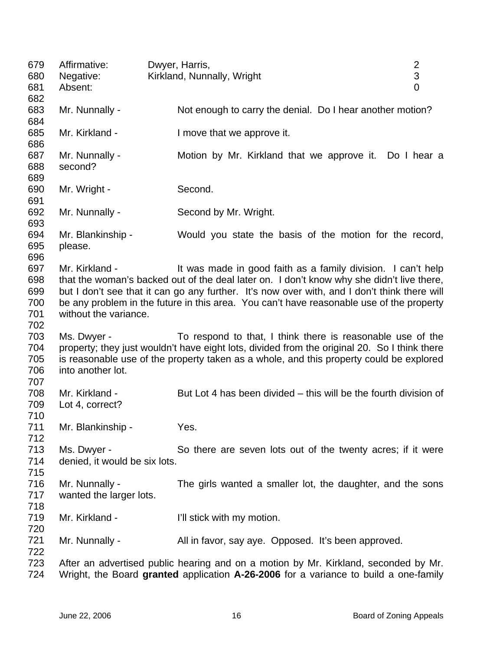| 679<br>680                             | Affirmative:<br>Negative:                    | Dwyer, Harris,<br>Kirkland, Nunnally, Wright                                                                                                                                                                                                                                                                                                          | $\overline{2}$<br>$\ensuremath{\mathsf{3}}$ |
|----------------------------------------|----------------------------------------------|-------------------------------------------------------------------------------------------------------------------------------------------------------------------------------------------------------------------------------------------------------------------------------------------------------------------------------------------------------|---------------------------------------------|
| 681<br>682                             | Absent:                                      |                                                                                                                                                                                                                                                                                                                                                       | $\overline{0}$                              |
| 683<br>684                             | Mr. Nunnally -                               | Not enough to carry the denial. Do I hear another motion?                                                                                                                                                                                                                                                                                             |                                             |
| 685<br>686                             | Mr. Kirkland -                               | I move that we approve it.                                                                                                                                                                                                                                                                                                                            |                                             |
| 687<br>688<br>689                      | Mr. Nunnally -<br>second?                    | Motion by Mr. Kirkland that we approve it. Do I hear a                                                                                                                                                                                                                                                                                                |                                             |
| 690<br>691                             | Mr. Wright -                                 | Second.                                                                                                                                                                                                                                                                                                                                               |                                             |
| 692<br>693                             | Mr. Nunnally -                               | Second by Mr. Wright.                                                                                                                                                                                                                                                                                                                                 |                                             |
| 694<br>695<br>696                      | Mr. Blankinship -<br>please.                 | Would you state the basis of the motion for the record,                                                                                                                                                                                                                                                                                               |                                             |
| 697<br>698<br>699<br>700<br>701<br>702 | Mr. Kirkland -<br>without the variance.      | It was made in good faith as a family division. I can't help<br>that the woman's backed out of the deal later on. I don't know why she didn't live there,<br>but I don't see that it can go any further. It's now over with, and I don't think there will<br>be any problem in the future in this area. You can't have reasonable use of the property |                                             |
| 703<br>704<br>705<br>706<br>707        | Ms. Dwyer -<br>into another lot.             | To respond to that, I think there is reasonable use of the<br>property; they just wouldn't have eight lots, divided from the original 20. So I think there<br>is reasonable use of the property taken as a whole, and this property could be explored                                                                                                 |                                             |
| 708<br>709<br>710                      | Mr. Kirkland -<br>Lot 4, correct?            | But Lot 4 has been divided – this will be the fourth division of                                                                                                                                                                                                                                                                                      |                                             |
| 711<br>712                             | Mr. Blankinship -                            | Yes.                                                                                                                                                                                                                                                                                                                                                  |                                             |
| 713<br>714<br>715                      | Ms. Dwyer -<br>denied, it would be six lots. | So there are seven lots out of the twenty acres; if it were                                                                                                                                                                                                                                                                                           |                                             |
| 716<br>717<br>718                      | Mr. Nunnally -<br>wanted the larger lots.    | The girls wanted a smaller lot, the daughter, and the sons                                                                                                                                                                                                                                                                                            |                                             |
| 719<br>720                             | Mr. Kirkland -                               | I'll stick with my motion.                                                                                                                                                                                                                                                                                                                            |                                             |
| 721<br>722                             | Mr. Nunnally -                               | All in favor, say aye. Opposed. It's been approved.                                                                                                                                                                                                                                                                                                   |                                             |
| 723<br>724                             |                                              | After an advertised public hearing and on a motion by Mr. Kirkland, seconded by Mr.<br>Wright, the Board granted application A-26-2006 for a variance to build a one-family                                                                                                                                                                           |                                             |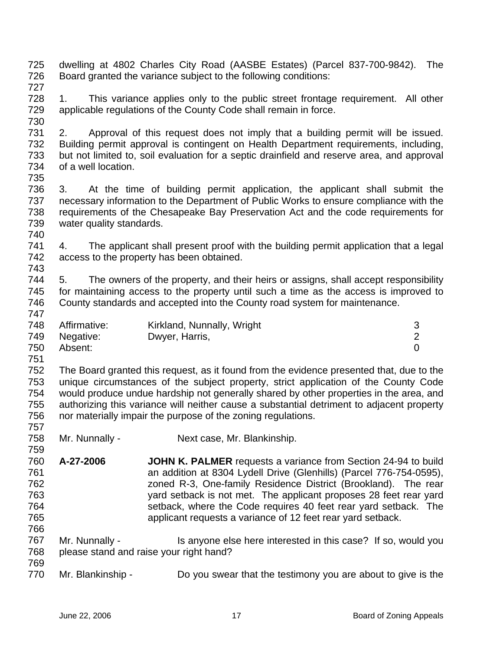| 725<br>726<br>727                             |                                                                                                                                                                                                                                                                                                                                                                                                                                        | dwelling at 4802 Charles City Road (AASBE Estates) (Parcel 837-700-9842).<br>Board granted the variance subject to the following conditions:                                                                                                                                                                                                                                                                   | The                                   |
|-----------------------------------------------|----------------------------------------------------------------------------------------------------------------------------------------------------------------------------------------------------------------------------------------------------------------------------------------------------------------------------------------------------------------------------------------------------------------------------------------|----------------------------------------------------------------------------------------------------------------------------------------------------------------------------------------------------------------------------------------------------------------------------------------------------------------------------------------------------------------------------------------------------------------|---------------------------------------|
| 728<br>729<br>730                             | 1.                                                                                                                                                                                                                                                                                                                                                                                                                                     | This variance applies only to the public street frontage requirement. All other<br>applicable regulations of the County Code shall remain in force.                                                                                                                                                                                                                                                            |                                       |
| 731<br>732<br>733<br>734<br>735               | 2.<br>of a well location.                                                                                                                                                                                                                                                                                                                                                                                                              | Approval of this request does not imply that a building permit will be issued.<br>Building permit approval is contingent on Health Department requirements, including,<br>but not limited to, soil evaluation for a septic drainfield and reserve area, and approval                                                                                                                                           |                                       |
| 736<br>737<br>738<br>739<br>740               | 3.<br>water quality standards.                                                                                                                                                                                                                                                                                                                                                                                                         | At the time of building permit application, the applicant shall submit the<br>necessary information to the Department of Public Works to ensure compliance with the<br>requirements of the Chesapeake Bay Preservation Act and the code requirements for                                                                                                                                                       |                                       |
| 741<br>742<br>743                             | 4.                                                                                                                                                                                                                                                                                                                                                                                                                                     | The applicant shall present proof with the building permit application that a legal<br>access to the property has been obtained.                                                                                                                                                                                                                                                                               |                                       |
| 744<br>745<br>746<br>747                      | 5.                                                                                                                                                                                                                                                                                                                                                                                                                                     | The owners of the property, and their heirs or assigns, shall accept responsibility<br>for maintaining access to the property until such a time as the access is improved to<br>County standards and accepted into the County road system for maintenance.                                                                                                                                                     |                                       |
| 748<br>749<br>750<br>751                      | Affirmative:<br>Negative:<br>Absent:                                                                                                                                                                                                                                                                                                                                                                                                   | Kirkland, Nunnally, Wright<br>Dwyer, Harris,                                                                                                                                                                                                                                                                                                                                                                   | 3<br>$\overline{c}$<br>$\overline{0}$ |
| 752<br>753<br>754<br>755<br>756<br>757        | The Board granted this request, as it found from the evidence presented that, due to the<br>unique circumstances of the subject property, strict application of the County Code<br>would produce undue hardship not generally shared by other properties in the area, and<br>authorizing this variance will neither cause a substantial detriment to adjacent property<br>nor materially impair the purpose of the zoning regulations. |                                                                                                                                                                                                                                                                                                                                                                                                                |                                       |
| 758<br>759                                    | Mr. Nunnally -                                                                                                                                                                                                                                                                                                                                                                                                                         | Next case, Mr. Blankinship.                                                                                                                                                                                                                                                                                                                                                                                    |                                       |
| 760<br>761<br>762<br>763<br>764<br>765<br>766 | A-27-2006                                                                                                                                                                                                                                                                                                                                                                                                                              | JOHN K. PALMER requests a variance from Section 24-94 to build<br>an addition at 8304 Lydell Drive (Glenhills) (Parcel 776-754-0595),<br>zoned R-3, One-family Residence District (Brookland). The rear<br>yard setback is not met. The applicant proposes 28 feet rear yard<br>setback, where the Code requires 40 feet rear yard setback. The<br>applicant requests a variance of 12 feet rear yard setback. |                                       |
| 767<br>768                                    | Mr. Nunnally -                                                                                                                                                                                                                                                                                                                                                                                                                         | Is anyone else here interested in this case? If so, would you<br>please stand and raise your right hand?                                                                                                                                                                                                                                                                                                       |                                       |
| 769<br>770                                    | Mr. Blankinship -                                                                                                                                                                                                                                                                                                                                                                                                                      | Do you swear that the testimony you are about to give is the                                                                                                                                                                                                                                                                                                                                                   |                                       |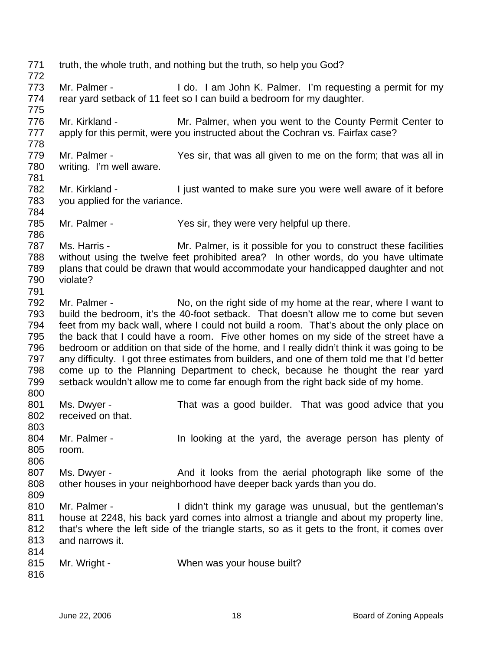771 772 773 774 775 776 777 778 779 780 781 782 783 784 785 786 787 788 789 790 791 792 793 794 795 796 797 798 799 800 801 802 803 804 805 806 807 808 809 810 811 812 813 814 815 816 truth, the whole truth, and nothing but the truth, so help you God? Mr. Palmer - The I do. I am John K. Palmer. I'm requesting a permit for my rear yard setback of 11 feet so I can build a bedroom for my daughter. Mr. Kirkland - Mr. Palmer, when you went to the County Permit Center to apply for this permit, were you instructed about the Cochran vs. Fairfax case? Mr. Palmer - Yes sir, that was all given to me on the form; that was all in writing. I'm well aware. Mr. Kirkland - I just wanted to make sure you were well aware of it before you applied for the variance. Mr. Palmer - Yes sir, they were very helpful up there. Ms. Harris - Mr. Palmer, is it possible for you to construct these facilities without using the twelve feet prohibited area? In other words, do you have ultimate plans that could be drawn that would accommodate your handicapped daughter and not violate? Mr. Palmer - No, on the right side of my home at the rear, where I want to build the bedroom, it's the 40-foot setback. That doesn't allow me to come but seven feet from my back wall, where I could not build a room. That's about the only place on the back that I could have a room. Five other homes on my side of the street have a bedroom or addition on that side of the home, and I really didn't think it was going to be any difficulty. I got three estimates from builders, and one of them told me that I'd better come up to the Planning Department to check, because he thought the rear yard setback wouldn't allow me to come far enough from the right back side of my home. Ms. Dwyer - That was a good builder. That was good advice that you received on that. Mr. Palmer - The looking at the yard, the average person has plenty of room. Ms. Dwyer - And it looks from the aerial photograph like some of the other houses in your neighborhood have deeper back yards than you do. Mr. Palmer - The Unit think my garage was unusual, but the gentleman's house at 2248, his back yard comes into almost a triangle and about my property line, that's where the left side of the triangle starts, so as it gets to the front, it comes over and narrows it. Mr. Wright - When was your house built?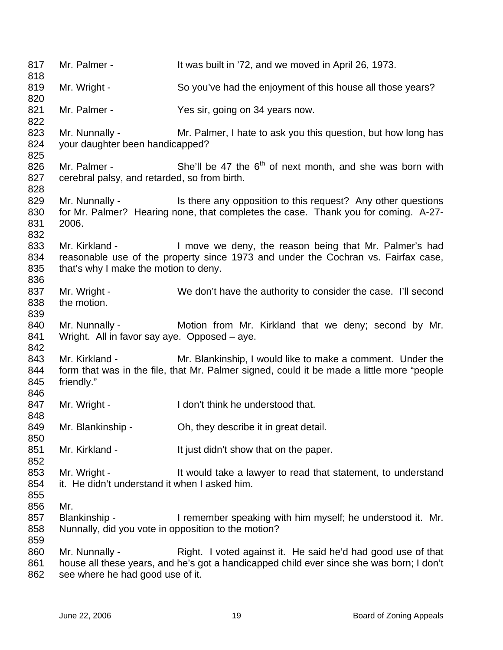817 818 819 820 821 822 823 824 825 826 827 828 829 830 831 832 833 834 835 836 837 838 839 840 841 842 843 844 845 846 847 848 849 850 851 852 853 854 855 856 857 858 859 860 861 862 Mr. Palmer - It was built in '72, and we moved in April 26, 1973. Mr. Wright - So you've had the enjoyment of this house all those years? Mr. Palmer - Yes sir, going on 34 years now. Mr. Nunnally - Mr. Palmer, I hate to ask you this question, but how long has your daughter been handicapped? Mr. Palmer - She'll be 47 the  $6<sup>th</sup>$  of next month, and she was born with cerebral palsy, and retarded, so from birth. Mr. Nunnally - Is there any opposition to this request? Any other questions for Mr. Palmer? Hearing none, that completes the case. Thank you for coming. A-27- 2006. Mr. Kirkland - I move we deny, the reason being that Mr. Palmer's had reasonable use of the property since 1973 and under the Cochran vs. Fairfax case, that's why I make the motion to deny. Mr. Wright - We don't have the authority to consider the case. I'll second the motion. Mr. Nunnally - Motion from Mr. Kirkland that we deny; second by Mr. Wright. All in favor say aye. Opposed – aye. Mr. Kirkland - Mr. Blankinship, I would like to make a comment. Under the form that was in the file, that Mr. Palmer signed, could it be made a little more "people friendly." Mr. Wright - I don't think he understood that. Mr. Blankinship - Oh, they describe it in great detail. Mr. Kirkland - It just didn't show that on the paper. Mr. Wright - The Muslim state a lawyer to read that statement, to understand it. He didn't understand it when I asked him. Mr.<br>Blankinship -I remember speaking with him myself; he understood it. Mr. Nunnally, did you vote in opposition to the motion? Mr. Nunnally - Right. I voted against it. He said he'd had good use of that house all these years, and he's got a handicapped child ever since she was born; I don't see where he had good use of it.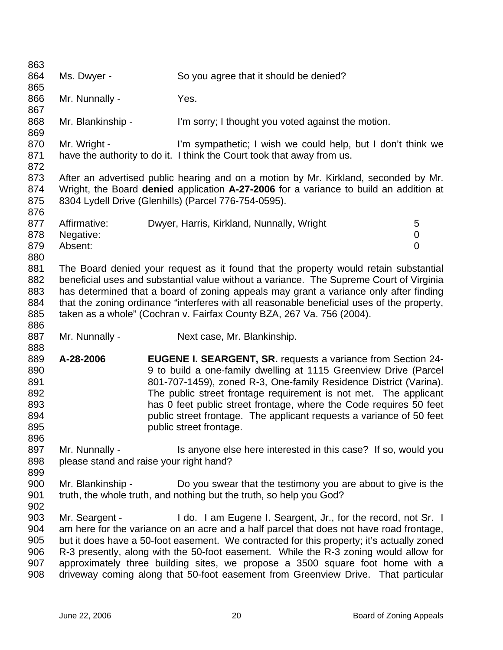863 864 865 866 867 868 869 870 871 872 873 874 875 876 877 878 879 880 881 882 883 884 885 886 887 888 889 890 891 892 893 894 895 896 897 898 899 900 901 902 903 904 905 906 907 908 Ms. Dwyer - So you agree that it should be denied? Mr. Nunnally - Yes. Mr. Blankinship - I'm sorry; I thought you voted against the motion. Mr. Wright - I'm sympathetic; I wish we could help, but I don't think we have the authority to do it. I think the Court took that away from us. After an advertised public hearing and on a motion by Mr. Kirkland, seconded by Mr. Wright, the Board **denied** application **A-27-2006** for a variance to build an addition at 8304 Lydell Drive (Glenhills) (Parcel 776-754-0595). Affirmative: Dwyer, Harris, Kirkland, Nunnally, Wright 5 Negative: 0 Absent: 0 The Board denied your request as it found that the property would retain substantial beneficial uses and substantial value without a variance. The Supreme Court of Virginia has determined that a board of zoning appeals may grant a variance only after finding that the zoning ordinance "interferes with all reasonable beneficial uses of the property, taken as a whole" (Cochran v. Fairfax County BZA, 267 Va. 756 (2004). Mr. Nunnally - Next case, Mr. Blankinship. **A-28-2006 EUGENE I. SEARGENT, SR.** requests a variance from Section 24- 9 to build a one-family dwelling at 1115 Greenview Drive (Parcel 801-707-1459), zoned R-3, One-family Residence District (Varina). The public street frontage requirement is not met. The applicant has 0 feet public street frontage, where the Code requires 50 feet public street frontage. The applicant requests a variance of 50 feet public street frontage. Mr. Nunnally - This anyone else here interested in this case? If so, would you please stand and raise your right hand? Mr. Blankinship - Do you swear that the testimony you are about to give is the truth, the whole truth, and nothing but the truth, so help you God? Mr. Seargent - I do. I am Eugene I. Seargent, Jr., for the record, not Sr. I am here for the variance on an acre and a half parcel that does not have road frontage, but it does have a 50-foot easement. We contracted for this property; it's actually zoned R-3 presently, along with the 50-foot easement. While the R-3 zoning would allow for approximately three building sites, we propose a 3500 square foot home with a driveway coming along that 50-foot easement from Greenview Drive. That particular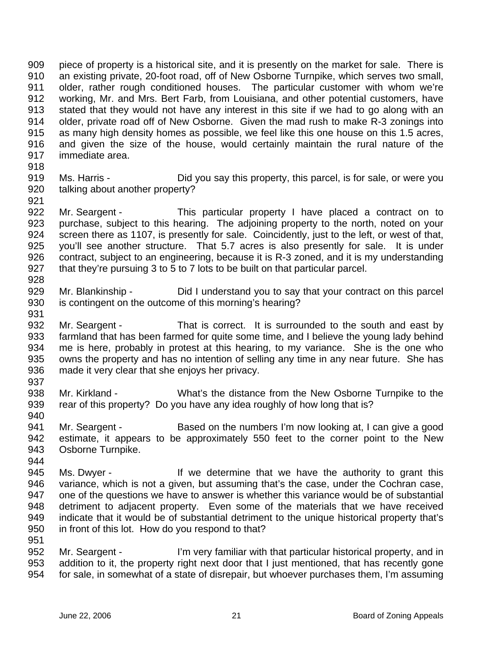909 910 911 912 913 914 915 916 917 piece of property is a historical site, and it is presently on the market for sale. There is an existing private, 20-foot road, off of New Osborne Turnpike, which serves two small, older, rather rough conditioned houses. The particular customer with whom we're working, Mr. and Mrs. Bert Farb, from Louisiana, and other potential customers, have stated that they would not have any interest in this site if we had to go along with an older, private road off of New Osborne. Given the mad rush to make R-3 zonings into as many high density homes as possible, we feel like this one house on this 1.5 acres, and given the size of the house, would certainly maintain the rural nature of the immediate area.

- 918
- 919 920 921 Ms. Harris - Did you say this property, this parcel, is for sale, or were you talking about another property?
- 922 923 924 925 926 927 Mr. Seargent - This particular property I have placed a contract on to purchase, subject to this hearing. The adjoining property to the north, noted on your screen there as 1107, is presently for sale. Coincidently, just to the left, or west of that, you'll see another structure. That 5.7 acres is also presently for sale. It is under contract, subject to an engineering, because it is R-3 zoned, and it is my understanding that they're pursuing 3 to 5 to 7 lots to be built on that particular parcel.
- 928

931

- 929 930 Mr. Blankinship - Did I understand you to say that your contract on this parcel is contingent on the outcome of this morning's hearing?
- 932 933 934 935 936 Mr. Seargent - That is correct. It is surrounded to the south and east by farmland that has been farmed for quite some time, and I believe the young lady behind me is here, probably in protest at this hearing, to my variance. She is the one who owns the property and has no intention of selling any time in any near future. She has made it very clear that she enjoys her privacy.
- 937

- 938 939 940 Mr. Kirkland - What's the distance from the New Osborne Turnpike to the rear of this property? Do you have any idea roughly of how long that is?
- 941 942 943 Mr. Seargent - Based on the numbers I'm now looking at, I can give a good estimate, it appears to be approximately 550 feet to the corner point to the New Osborne Turnpike.
- 944 945 946 947 948 949 950 Ms. Dwyer - If we determine that we have the authority to grant this variance, which is not a given, but assuming that's the case, under the Cochran case, one of the questions we have to answer is whether this variance would be of substantial detriment to adjacent property. Even some of the materials that we have received indicate that it would be of substantial detriment to the unique historical property that's in front of this lot. How do you respond to that?
- 952 953 954 Mr. Seargent - I'm very familiar with that particular historical property, and in addition to it, the property right next door that I just mentioned, that has recently gone for sale, in somewhat of a state of disrepair, but whoever purchases them, I'm assuming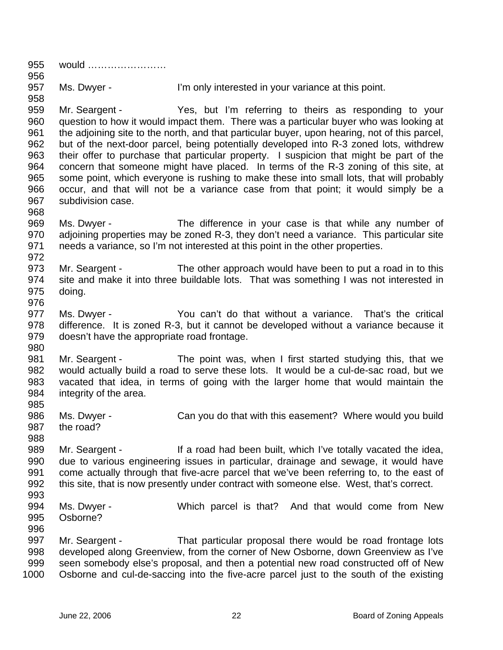955 956 957 958 959 960 961 962 963 964 965 966 967 968 969 970 971 972 973 974 975 976 977 978 979 980 981 982 983 984 985 986 987 988 989 990 991 992 993 994 995 996 997 998 999 1000 would …………………… Ms. Dwyer - I'm only interested in your variance at this point. Mr. Seargent - Yes, but I'm referring to theirs as responding to your question to how it would impact them. There was a particular buyer who was looking at the adjoining site to the north, and that particular buyer, upon hearing, not of this parcel, but of the next-door parcel, being potentially developed into R-3 zoned lots, withdrew their offer to purchase that particular property. I suspicion that might be part of the concern that someone might have placed. In terms of the R-3 zoning of this site, at some point, which everyone is rushing to make these into small lots, that will probably occur, and that will not be a variance case from that point; it would simply be a subdivision case. Ms. Dwyer - The difference in your case is that while any number of adjoining properties may be zoned R-3, they don't need a variance. This particular site needs a variance, so I'm not interested at this point in the other properties. Mr. Seargent - The other approach would have been to put a road in to this site and make it into three buildable lots. That was something I was not interested in doing. Ms. Dwyer - You can't do that without a variance. That's the critical difference. It is zoned R-3, but it cannot be developed without a variance because it doesn't have the appropriate road frontage. Mr. Seargent - The point was, when I first started studying this, that we would actually build a road to serve these lots. It would be a cul-de-sac road, but we vacated that idea, in terms of going with the larger home that would maintain the integrity of the area. Ms. Dwyer - Can you do that with this easement? Where would you build the road? Mr. Seargent - If a road had been built, which I've totally vacated the idea, due to various engineering issues in particular, drainage and sewage, it would have come actually through that five-acre parcel that we've been referring to, to the east of this site, that is now presently under contract with someone else. West, that's correct. Ms. Dwyer - Which parcel is that? And that would come from New Osborne? Mr. Seargent - That particular proposal there would be road frontage lots developed along Greenview, from the corner of New Osborne, down Greenview as I've seen somebody else's proposal, and then a potential new road constructed off of New Osborne and cul-de-saccing into the five-acre parcel just to the south of the existing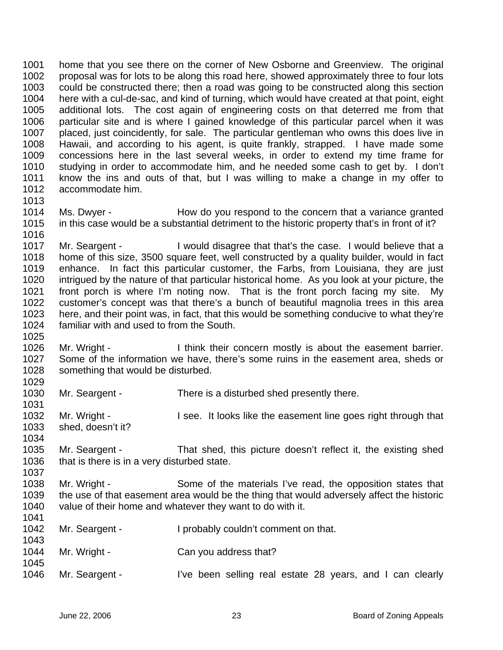1001 1002 1003 1004 1005 1006 1007 1008 1009 1010 1011 1012 1013 home that you see there on the corner of New Osborne and Greenview. The original proposal was for lots to be along this road here, showed approximately three to four lots could be constructed there; then a road was going to be constructed along this section here with a cul-de-sac, and kind of turning, which would have created at that point, eight additional lots. The cost again of engineering costs on that deterred me from that particular site and is where I gained knowledge of this particular parcel when it was placed, just coincidently, for sale. The particular gentleman who owns this does live in Hawaii, and according to his agent, is quite frankly, strapped. I have made some concessions here in the last several weeks, in order to extend my time frame for studying in order to accommodate him, and he needed some cash to get by. I don't know the ins and outs of that, but I was willing to make a change in my offer to accommodate him.

1014 1015 Ms. Dwyer - How do you respond to the concern that a variance granted in this case would be a substantial detriment to the historic property that's in front of it?

1017 1018 1019 1020 1021 1022 1023 1024 Mr. Seargent - I would disagree that that's the case. I would believe that a home of this size, 3500 square feet, well constructed by a quality builder, would in fact enhance. In fact this particular customer, the Farbs, from Louisiana, they are just intrigued by the nature of that particular historical home. As you look at your picture, the front porch is where I'm noting now. That is the front porch facing my site. My customer's concept was that there's a bunch of beautiful magnolia trees in this area here, and their point was, in fact, that this would be something conducive to what they're familiar with and used to from the South.

1026 1027 1028 Mr. Wright - I think their concern mostly is about the easement barrier. Some of the information we have, there's some ruins in the easement area, sheds or something that would be disturbed.

1030 Mr. Seargent - There is a disturbed shed presently there.

1032 1033 1034 Mr. Wright - I see. It looks like the easement line goes right through that shed, doesn't it?

- 1035 1036 Mr. Seargent - That shed, this picture doesn't reflect it, the existing shed that is there is in a very disturbed state.
- 1038 1039 1040 1041 Mr. Wright - Some of the materials I've read, the opposition states that the use of that easement area would be the thing that would adversely affect the historic value of their home and whatever they want to do with it.

| 1042<br>1043 | Mr. Seargent - | I probably couldn't comment on that.                      |
|--------------|----------------|-----------------------------------------------------------|
| 1044<br>1045 | Mr. Wright -   | Can you address that?                                     |
| 1046         | Mr. Seargent - | I've been selling real estate 28 years, and I can clearly |

1016

1025

1029

1031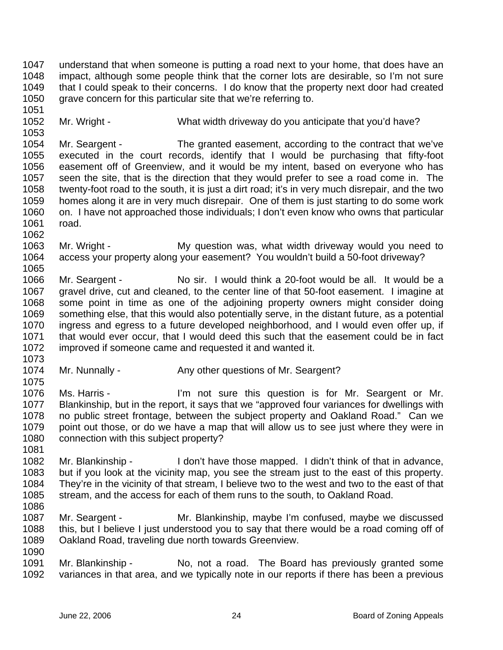1047 1048 1049 1050 understand that when someone is putting a road next to your home, that does have an impact, although some people think that the corner lots are desirable, so I'm not sure that I could speak to their concerns. I do know that the property next door had created grave concern for this particular site that we're referring to.

1052 Mr. Wright - What width driveway do you anticipate that you'd have?

1054 1055 1056 1057 1058 1059 1060 1061 Mr. Seargent - The granted easement, according to the contract that we've executed in the court records, identify that I would be purchasing that fifty-foot easement off of Greenview, and it would be my intent, based on everyone who has seen the site, that is the direction that they would prefer to see a road come in. The twenty-foot road to the south, it is just a dirt road; it's in very much disrepair, and the two homes along it are in very much disrepair. One of them is just starting to do some work on. I have not approached those individuals; I don't even know who owns that particular road.

1063 1064 1065 Mr. Wright - My question was, what width driveway would you need to access your property along your easement? You wouldn't build a 50-foot driveway?

1066 1067 1068 1069 1070 1071 1072 Mr. Seargent - No sir. I would think a 20-foot would be all. It would be a gravel drive, cut and cleaned, to the center line of that 50-foot easement. I imagine at some point in time as one of the adjoining property owners might consider doing something else, that this would also potentially serve, in the distant future, as a potential ingress and egress to a future developed neighborhood, and I would even offer up, if that would ever occur, that I would deed this such that the easement could be in fact improved if someone came and requested it and wanted it.

1073

1075

1051

1053

1062

1074 Mr. Nunnally - Any other questions of Mr. Seargent?

1076 1077 1078 1079 1080 Ms. Harris - The Tell The not sure this question is for Mr. Seargent or Mr. Blankinship, but in the report, it says that we "approved four variances for dwellings with no public street frontage, between the subject property and Oakland Road." Can we point out those, or do we have a map that will allow us to see just where they were in connection with this subject property?

1081

1090

1082 1083 1084 1085 1086 Mr. Blankinship - I don't have those mapped. I didn't think of that in advance, but if you look at the vicinity map, you see the stream just to the east of this property. They're in the vicinity of that stream, I believe two to the west and two to the east of that stream, and the access for each of them runs to the south, to Oakland Road.

1087 1088 1089 Mr. Seargent - The Mr. Blankinship, maybe I'm confused, maybe we discussed this, but I believe I just understood you to say that there would be a road coming off of Oakland Road, traveling due north towards Greenview.

1091 1092 Mr. Blankinship - No, not a road. The Board has previously granted some variances in that area, and we typically note in our reports if there has been a previous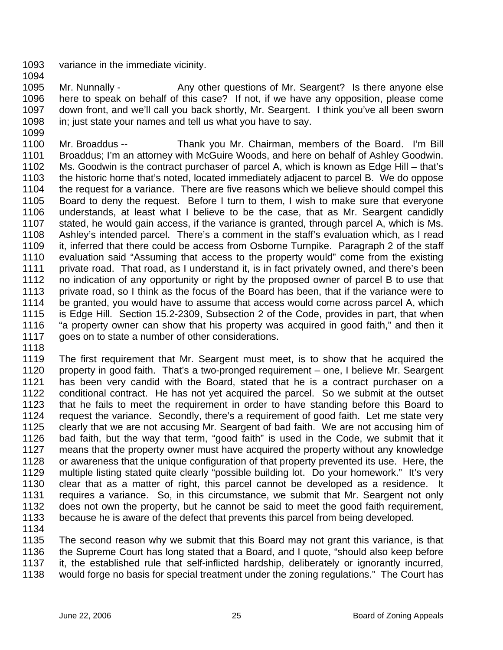- 1093 variance in the immediate vicinity.
- 1094

1095 1096 1097 1098 1099 Mr. Nunnally - Any other questions of Mr. Seargent? Is there anyone else here to speak on behalf of this case? If not, if we have any opposition, please come down front, and we'll call you back shortly, Mr. Seargent. I think you've all been sworn in; just state your names and tell us what you have to say.

1100 1101 1102 1103 1104 1105 1106 1107 1108 1109 1110 1111 1112 1113 1114 1115 1116 1117 Mr. Broaddus -- Thank you Mr. Chairman, members of the Board. I'm Bill Broaddus; I'm an attorney with McGuire Woods, and here on behalf of Ashley Goodwin. Ms. Goodwin is the contract purchaser of parcel A, which is known as Edge Hill – that's the historic home that's noted, located immediately adjacent to parcel B. We do oppose the request for a variance. There are five reasons which we believe should compel this Board to deny the request. Before I turn to them, I wish to make sure that everyone understands, at least what I believe to be the case, that as Mr. Seargent candidly stated, he would gain access, if the variance is granted, through parcel A, which is Ms. Ashley's intended parcel. There's a comment in the staff's evaluation which, as I read it, inferred that there could be access from Osborne Turnpike. Paragraph 2 of the staff evaluation said "Assuming that access to the property would" come from the existing private road. That road, as I understand it, is in fact privately owned, and there's been no indication of any opportunity or right by the proposed owner of parcel B to use that private road, so I think as the focus of the Board has been, that if the variance were to be granted, you would have to assume that access would come across parcel A, which is Edge Hill. Section 15.2-2309, Subsection 2 of the Code, provides in part, that when "a property owner can show that his property was acquired in good faith," and then it goes on to state a number of other considerations.

1118

1119 1120 1121 1122 1123 1124 1125 1126 1127 1128 1129 1130 1131 1132 1133 1134 The first requirement that Mr. Seargent must meet, is to show that he acquired the property in good faith. That's a two-pronged requirement – one, I believe Mr. Seargent has been very candid with the Board, stated that he is a contract purchaser on a conditional contract. He has not yet acquired the parcel. So we submit at the outset that he fails to meet the requirement in order to have standing before this Board to request the variance. Secondly, there's a requirement of good faith. Let me state very clearly that we are not accusing Mr. Seargent of bad faith. We are not accusing him of bad faith, but the way that term, "good faith" is used in the Code, we submit that it means that the property owner must have acquired the property without any knowledge or awareness that the unique configuration of that property prevented its use. Here, the multiple listing stated quite clearly "possible building lot. Do your homework." It's very clear that as a matter of right, this parcel cannot be developed as a residence. It requires a variance. So, in this circumstance, we submit that Mr. Seargent not only does not own the property, but he cannot be said to meet the good faith requirement, because he is aware of the defect that prevents this parcel from being developed.

1135 1136 1137 1138 The second reason why we submit that this Board may not grant this variance, is that the Supreme Court has long stated that a Board, and I quote, "should also keep before it, the established rule that self-inflicted hardship, deliberately or ignorantly incurred, would forge no basis for special treatment under the zoning regulations." The Court has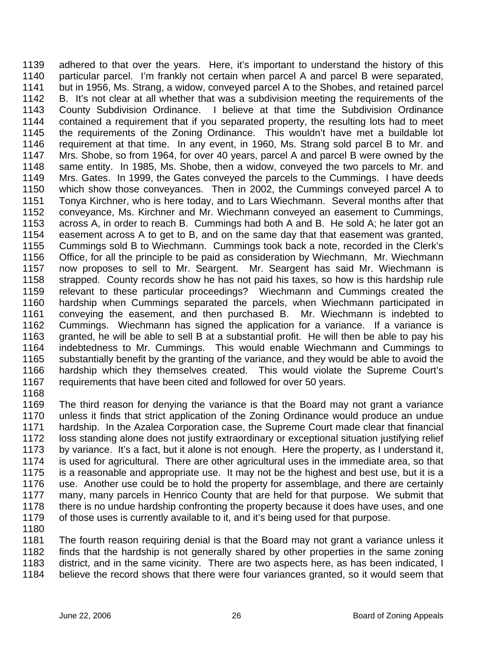1139 1140 1141 1142 1143 1144 1145 1146 1147 1148 1149 1150 1151 1152 1153 1154 1155 1156 1157 1158 1159 1160 1161 1162 1163 1164 1165 1166 1167 adhered to that over the years. Here, it's important to understand the history of this particular parcel. I'm frankly not certain when parcel A and parcel B were separated, but in 1956, Ms. Strang, a widow, conveyed parcel A to the Shobes, and retained parcel B. It's not clear at all whether that was a subdivision meeting the requirements of the County Subdivision Ordinance. I believe at that time the Subdivision Ordinance contained a requirement that if you separated property, the resulting lots had to meet the requirements of the Zoning Ordinance. This wouldn't have met a buildable lot requirement at that time. In any event, in 1960, Ms. Strang sold parcel B to Mr. and Mrs. Shobe, so from 1964, for over 40 years, parcel A and parcel B were owned by the same entity. In 1985, Ms. Shobe, then a widow, conveyed the two parcels to Mr. and Mrs. Gates. In 1999, the Gates conveyed the parcels to the Cummings. I have deeds which show those conveyances. Then in 2002, the Cummings conveyed parcel A to Tonya Kirchner, who is here today, and to Lars Wiechmann. Several months after that conveyance, Ms. Kirchner and Mr. Wiechmann conveyed an easement to Cummings, across A, in order to reach B. Cummings had both A and B. He sold A; he later got an easement across A to get to B, and on the same day that that easement was granted, Cummings sold B to Wiechmann. Cummings took back a note, recorded in the Clerk's Office, for all the principle to be paid as consideration by Wiechmann. Mr. Wiechmann now proposes to sell to Mr. Seargent. Mr. Seargent has said Mr. Wiechmann is strapped. County records show he has not paid his taxes, so how is this hardship rule relevant to these particular proceedings? Wiechmann and Cummings created the hardship when Cummings separated the parcels, when Wiechmann participated in conveying the easement, and then purchased B. Mr. Wiechmann is indebted to Cummings. Wiechmann has signed the application for a variance. If a variance is granted, he will be able to sell B at a substantial profit. He will then be able to pay his indebtedness to Mr. Cummings. This would enable Wiechmann and Cummings to substantially benefit by the granting of the variance, and they would be able to avoid the hardship which they themselves created. This would violate the Supreme Court's requirements that have been cited and followed for over 50 years.

1168

1169 1170 1171 1172 1173 1174 1175 1176 1177 1178 1179 The third reason for denying the variance is that the Board may not grant a variance unless it finds that strict application of the Zoning Ordinance would produce an undue hardship. In the Azalea Corporation case, the Supreme Court made clear that financial loss standing alone does not justify extraordinary or exceptional situation justifying relief by variance. It's a fact, but it alone is not enough. Here the property, as I understand it, is used for agricultural. There are other agricultural uses in the immediate area, so that is a reasonable and appropriate use. It may not be the highest and best use, but it is a use. Another use could be to hold the property for assemblage, and there are certainly many, many parcels in Henrico County that are held for that purpose. We submit that there is no undue hardship confronting the property because it does have uses, and one of those uses is currently available to it, and it's being used for that purpose.

1180

1181 1182 1183 1184 The fourth reason requiring denial is that the Board may not grant a variance unless it finds that the hardship is not generally shared by other properties in the same zoning district, and in the same vicinity. There are two aspects here, as has been indicated, I believe the record shows that there were four variances granted, so it would seem that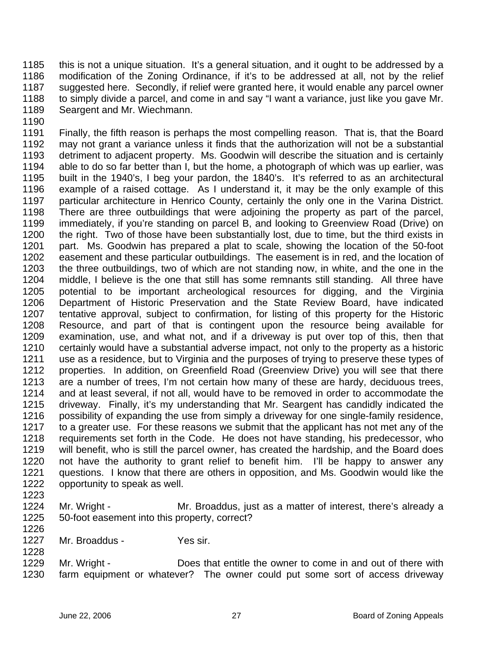1185 1186 1187 1188 1189 this is not a unique situation. It's a general situation, and it ought to be addressed by a modification of the Zoning Ordinance, if it's to be addressed at all, not by the relief suggested here. Secondly, if relief were granted here, it would enable any parcel owner to simply divide a parcel, and come in and say "I want a variance, just like you gave Mr. Seargent and Mr. Wiechmann.

1190

1191 1192 1193 1194 1195 1196 1197 1198 1199 1200 1201 1202 1203 1204 1205 1206 1207 1208 1209 1210 1211 1212 1213 1214 1215 1216 1217 1218 1219 1220 1221 1222 Finally, the fifth reason is perhaps the most compelling reason. That is, that the Board may not grant a variance unless it finds that the authorization will not be a substantial detriment to adjacent property. Ms. Goodwin will describe the situation and is certainly able to do so far better than I, but the home, a photograph of which was up earlier, was built in the 1940's, I beg your pardon, the 1840's. It's referred to as an architectural example of a raised cottage. As I understand it, it may be the only example of this particular architecture in Henrico County, certainly the only one in the Varina District. There are three outbuildings that were adjoining the property as part of the parcel, immediately, if you're standing on parcel B, and looking to Greenview Road (Drive) on the right. Two of those have been substantially lost, due to time, but the third exists in part. Ms. Goodwin has prepared a plat to scale, showing the location of the 50-foot easement and these particular outbuildings. The easement is in red, and the location of the three outbuildings, two of which are not standing now, in white, and the one in the middle, I believe is the one that still has some remnants still standing. All three have potential to be important archeological resources for digging, and the Virginia Department of Historic Preservation and the State Review Board, have indicated tentative approval, subject to confirmation, for listing of this property for the Historic Resource, and part of that is contingent upon the resource being available for examination, use, and what not, and if a driveway is put over top of this, then that certainly would have a substantial adverse impact, not only to the property as a historic use as a residence, but to Virginia and the purposes of trying to preserve these types of properties. In addition, on Greenfield Road (Greenview Drive) you will see that there are a number of trees, I'm not certain how many of these are hardy, deciduous trees, and at least several, if not all, would have to be removed in order to accommodate the driveway. Finally, it's my understanding that Mr. Seargent has candidly indicated the possibility of expanding the use from simply a driveway for one single-family residence, to a greater use. For these reasons we submit that the applicant has not met any of the requirements set forth in the Code. He does not have standing, his predecessor, who will benefit, who is still the parcel owner, has created the hardship, and the Board does not have the authority to grant relief to benefit him. I'll be happy to answer any questions. I know that there are others in opposition, and Ms. Goodwin would like the opportunity to speak as well.

1223

- 1224 1225 1226 Mr. Wright - The Mr. Broaddus, just as a matter of interest, there's already a 50-foot easement into this property, correct?
- 1227 Mr. Broaddus - Yes sir.
- 1229 1230 Mr. Wright - Does that entitle the owner to come in and out of there with farm equipment or whatever? The owner could put some sort of access driveway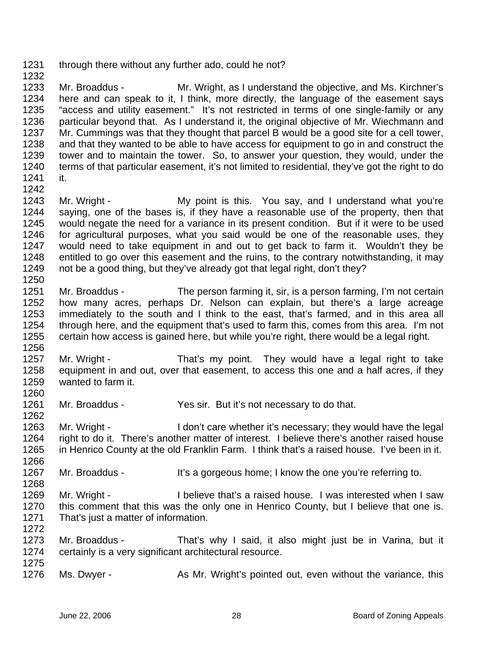1231 through there without any further ado, could he not?

1233 1234 1235 1236 1237 1238 1239 1240 1241 Mr. Broaddus - Mr. Wright, as I understand the objective, and Ms. Kirchner's here and can speak to it, I think, more directly, the language of the easement says "access and utility easement." It's not restricted in terms of one single-family or any particular beyond that. As I understand it, the original objective of Mr. Wiechmann and Mr. Cummings was that they thought that parcel B would be a good site for a cell tower, and that they wanted to be able to have access for equipment to go in and construct the tower and to maintain the tower. So, to answer your question, they would, under the terms of that particular easement, it's not limited to residential, they've got the right to do it.

1242

1256

1268

1232

1243 1244 1245 1246 1247 1248 1249 1250 Mr. Wright - My point is this. You say, and I understand what you're saying, one of the bases is, if they have a reasonable use of the property, then that would negate the need for a variance in its present condition. But if it were to be used for agricultural purposes, what you said would be one of the reasonable uses, they would need to take equipment in and out to get back to farm it. Wouldn't they be entitled to go over this easement and the ruins, to the contrary notwithstanding, it may not be a good thing, but they've already got that legal right, don't they?

- 1251 1252 1253 1254 1255 Mr. Broaddus - The person farming it, sir, is a person farming, I'm not certain how many acres, perhaps Dr. Nelson can explain, but there's a large acreage immediately to the south and I think to the east, that's farmed, and in this area all through here, and the equipment that's used to farm this, comes from this area. I'm not certain how access is gained here, but while you're right, there would be a legal right.
- 1257 1258 1259 1260 Mr. Wright - That's my point. They would have a legal right to take equipment in and out, over that easement, to access this one and a half acres, if they wanted to farm it.
- 1261 1262 Mr. Broaddus - Yes sir. But it's not necessary to do that.

1263 1264 1265 1266 Mr. Wright - I don't care whether it's necessary; they would have the legal right to do it. There's another matter of interest. I believe there's another raised house in Henrico County at the old Franklin Farm. I think that's a raised house. I've been in it.

- 1267 Mr. Broaddus - It's a gorgeous home; I know the one you're referring to.
- 1269 1270 1271 1272 Mr. Wright - I believe that's a raised house. I was interested when I saw this comment that this was the only one in Henrico County, but I believe that one is. That's just a matter of information.
- 1273 1274 1275 Mr. Broaddus - That's why I said, it also might just be in Varina, but it certainly is a very significant architectural resource.
- 1276 Ms. Dwyer - As Mr. Wright's pointed out, even without the variance, this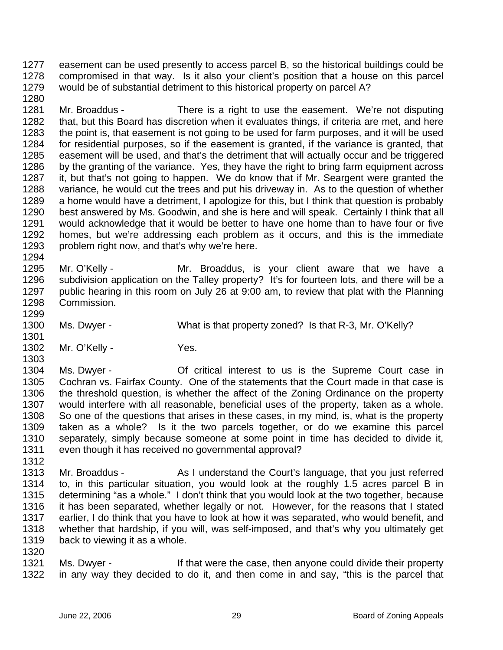1277 1278 1279 easement can be used presently to access parcel B, so the historical buildings could be compromised in that way. Is it also your client's position that a house on this parcel would be of substantial detriment to this historical property on parcel A?

1281 1282 1283 1284 1285 1286 1287 1288 1289 1290 1291 1292 1293 Mr. Broaddus - There is a right to use the easement. We're not disputing that, but this Board has discretion when it evaluates things, if criteria are met, and here the point is, that easement is not going to be used for farm purposes, and it will be used for residential purposes, so if the easement is granted, if the variance is granted, that easement will be used, and that's the detriment that will actually occur and be triggered by the granting of the variance. Yes, they have the right to bring farm equipment across it, but that's not going to happen. We do know that if Mr. Seargent were granted the variance, he would cut the trees and put his driveway in. As to the question of whether a home would have a detriment, I apologize for this, but I think that question is probably best answered by Ms. Goodwin, and she is here and will speak. Certainly I think that all would acknowledge that it would be better to have one home than to have four or five homes, but we're addressing each problem as it occurs, and this is the immediate problem right now, and that's why we're here.

- 1295 1296 1297 1298 Mr. O'Kelly - The Mr. Broaddus, is your client aware that we have a subdivision application on the Talley property? It's for fourteen lots, and there will be a public hearing in this room on July 26 at 9:00 am, to review that plat with the Planning Commission.
- 1300 Ms. Dwyer - What is that property zoned? Is that R-3, Mr. O'Kelly?
- 1302 Mr. O'Kelly - Yes.

1280

1294

1299

1301

1303

1312

1320

1304 1305 1306 1307 1308 1309 1310 1311 Ms. Dwyer - **Of critical interest to us is the Supreme Court case in** Cochran vs. Fairfax County. One of the statements that the Court made in that case is the threshold question, is whether the affect of the Zoning Ordinance on the property would interfere with all reasonable, beneficial uses of the property, taken as a whole. So one of the questions that arises in these cases, in my mind, is, what is the property taken as a whole? Is it the two parcels together, or do we examine this parcel separately, simply because someone at some point in time has decided to divide it, even though it has received no governmental approval?

- 1313 1314 1315 1316 1317 1318 1319 Mr. Broaddus - As I understand the Court's language, that you just referred to, in this particular situation, you would look at the roughly 1.5 acres parcel B in determining "as a whole." I don't think that you would look at the two together, because it has been separated, whether legally or not. However, for the reasons that I stated earlier, I do think that you have to look at how it was separated, who would benefit, and whether that hardship, if you will, was self-imposed, and that's why you ultimately get back to viewing it as a whole.
- 1321 1322 Ms. Dwyer - If that were the case, then anyone could divide their property in any way they decided to do it, and then come in and say, "this is the parcel that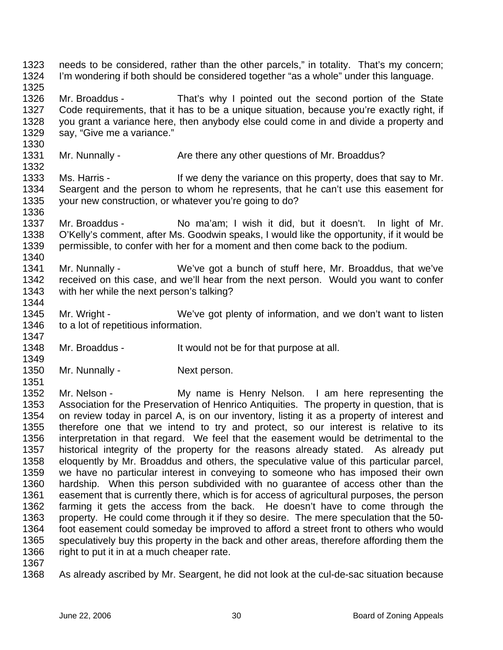1323 1324 1325 needs to be considered, rather than the other parcels," in totality. That's my concern; I'm wondering if both should be considered together "as a whole" under this language.

1326 1327 1328 1329 Mr. Broaddus - That's why I pointed out the second portion of the State Code requirements, that it has to be a unique situation, because you're exactly right, if you grant a variance here, then anybody else could come in and divide a property and say, "Give me a variance."

- 1331 Mr. Nunnally - Are there any other questions of Mr. Broaddus?
- 1333 1334 1335 Ms. Harris - The Music of the variance on this property, does that say to Mr. Seargent and the person to whom he represents, that he can't use this easement for your new construction, or whatever you're going to do?
- 1337 1338 1339 Mr. Broaddus - No ma'am; I wish it did, but it doesn't. In light of Mr. O'Kelly's comment, after Ms. Goodwin speaks, I would like the opportunity, if it would be permissible, to confer with her for a moment and then come back to the podium.
- 1341 1342 1343 1344 Mr. Nunnally - We've got a bunch of stuff here, Mr. Broaddus, that we've received on this case, and we'll hear from the next person. Would you want to confer with her while the next person's talking?
- 1345 1346 1347 Mr. Wright - We've got plenty of information, and we don't want to listen to a lot of repetitious information.
- 1348 Mr. Broaddus - It would not be for that purpose at all.
- 1350 Mr. Nunnally - Next person.

1352 1353 1354 1355 1356 1357 1358 1359 1360 1361 1362 1363 1364 1365 1366 Mr. Nelson - The My name is Henry Nelson. I am here representing the Association for the Preservation of Henrico Antiquities. The property in question, that is on review today in parcel A, is on our inventory, listing it as a property of interest and therefore one that we intend to try and protect, so our interest is relative to its interpretation in that regard. We feel that the easement would be detrimental to the historical integrity of the property for the reasons already stated. As already put eloquently by Mr. Broaddus and others, the speculative value of this particular parcel, we have no particular interest in conveying to someone who has imposed their own hardship. When this person subdivided with no guarantee of access other than the easement that is currently there, which is for access of agricultural purposes, the person farming it gets the access from the back. He doesn't have to come through the property. He could come through it if they so desire. The mere speculation that the 50 foot easement could someday be improved to afford a street front to others who would speculatively buy this property in the back and other areas, therefore affording them the right to put it in at a much cheaper rate.

1367

1330

1332

1336

1340

1349

1351

1368 As already ascribed by Mr. Seargent, he did not look at the cul-de-sac situation because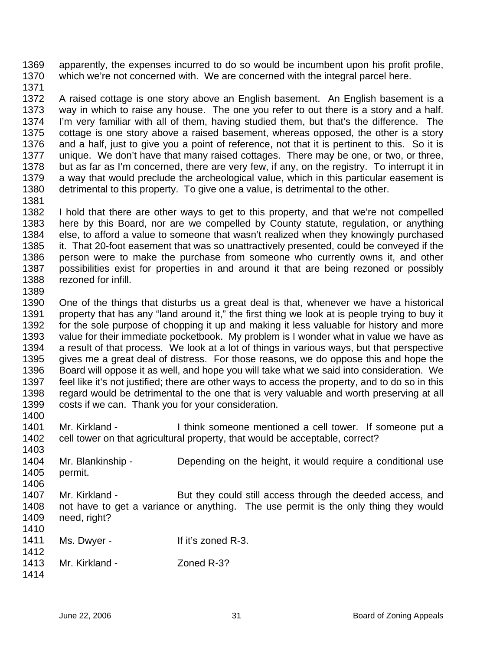1369 1370 apparently, the expenses incurred to do so would be incumbent upon his profit profile, which we're not concerned with. We are concerned with the integral parcel here.

1371

1372 1373 1374 1375 1376 1377 1378 1379 1380 1381 A raised cottage is one story above an English basement. An English basement is a way in which to raise any house. The one you refer to out there is a story and a half. I'm very familiar with all of them, having studied them, but that's the difference. The cottage is one story above a raised basement, whereas opposed, the other is a story and a half, just to give you a point of reference, not that it is pertinent to this. So it is unique. We don't have that many raised cottages. There may be one, or two, or three, but as far as I'm concerned, there are very few, if any, on the registry. To interrupt it in a way that would preclude the archeological value, which in this particular easement is detrimental to this property. To give one a value, is detrimental to the other.

1382 1383 1384 1385 1386 1387 1388 I hold that there are other ways to get to this property, and that we're not compelled here by this Board, nor are we compelled by County statute, regulation, or anything else, to afford a value to someone that wasn't realized when they knowingly purchased it. That 20-foot easement that was so unattractively presented, could be conveyed if the person were to make the purchase from someone who currently owns it, and other possibilities exist for properties in and around it that are being rezoned or possibly rezoned for infill.

1389

1390 1391 1392 1393 1394 1395 1396 1397 1398 1399 1400 One of the things that disturbs us a great deal is that, whenever we have a historical property that has any "land around it," the first thing we look at is people trying to buy it for the sole purpose of chopping it up and making it less valuable for history and more value for their immediate pocketbook. My problem is I wonder what in value we have as a result of that process. We look at a lot of things in various ways, but that perspective gives me a great deal of distress. For those reasons, we do oppose this and hope the Board will oppose it as well, and hope you will take what we said into consideration. We feel like it's not justified; there are other ways to access the property, and to do so in this regard would be detrimental to the one that is very valuable and worth preserving at all costs if we can. Thank you for your consideration.

1401 1402 Mr. Kirkland - Think someone mentioned a cell tower. If someone put a cell tower on that agricultural property, that would be acceptable, correct?

1403 1404 1405 1406 1407 1408 Mr. Blankinship - Depending on the height, it would require a conditional use permit. Mr. Kirkland - But they could still access through the deeded access, and not have to get a variance or anything. The use permit is the only thing they would

- 1409 need, right?
- 1411 1412 Ms. Dwyer - If it's zoned R-3.

| 14 I Z |                |            |
|--------|----------------|------------|
| 1413   | Mr. Kirkland - | Zoned R-3? |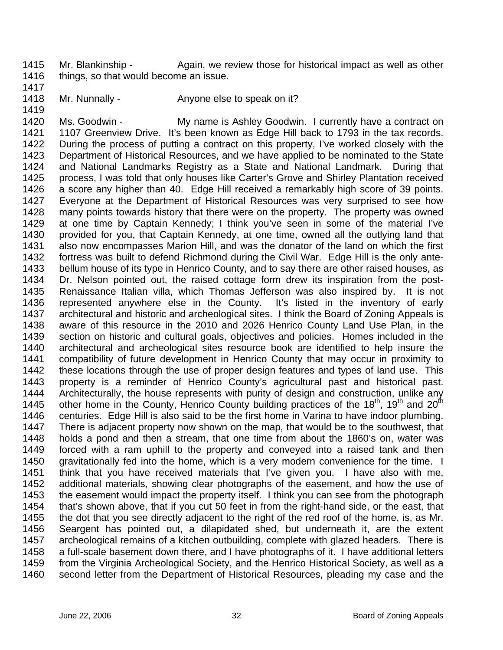1415 1416 Mr. Blankinship - Again, we review those for historical impact as well as other things, so that would become an issue.

- 1417
- 1418 Mr. Nunnally - Anyone else to speak on it?

1419

1420 1421 1422 1423 1424 1425 1426 1427 1428 1429 1430 1431 1432 1433 1434 1435 1436 1437 1438 1439 1440 1441 1442 1443 1444 1445 1446 1447 1448 1449 1450 1451 1452 1453 1454 1455 1456 1457 1458 1459 1460 Ms. Goodwin - My name is Ashley Goodwin. I currently have a contract on 1107 Greenview Drive. It's been known as Edge Hill back to 1793 in the tax records. During the process of putting a contract on this property, I've worked closely with the Department of Historical Resources, and we have applied to be nominated to the State and National Landmarks Registry as a State and National Landmark. During that process, I was told that only houses like Carter's Grove and Shirley Plantation received a score any higher than 40. Edge Hill received a remarkably high score of 39 points. Everyone at the Department of Historical Resources was very surprised to see how many points towards history that there were on the property. The property was owned at one time by Captain Kennedy; I think you've seen in some of the material I've provided for you, that Captain Kennedy, at one time, owned all the outlying land that also now encompasses Marion Hill, and was the donator of the land on which the first fortress was built to defend Richmond during the Civil War. Edge Hill is the only antebellum house of its type in Henrico County, and to say there are other raised houses, as Dr. Nelson pointed out, the raised cottage form drew its inspiration from the post-Renaissance Italian villa, which Thomas Jefferson was also inspired by. It is not represented anywhere else in the County. It's listed in the inventory of early architectural and historic and archeological sites. I think the Board of Zoning Appeals is aware of this resource in the 2010 and 2026 Henrico County Land Use Plan, in the section on historic and cultural goals, objectives and policies. Homes included in the architectural and archeological sites resource book are identified to help insure the compatibility of future development in Henrico County that may occur in proximity to these locations through the use of proper design features and types of land use. This property is a reminder of Henrico County's agricultural past and historical past. Architecturally, the house represents with purity of design and construction, unlike any other home in the County, Henrico County building practices of the  $18<sup>th</sup>$ ,  $19<sup>th</sup>$  and  $20<sup>th</sup>$ centuries. Edge Hill is also said to be the first home in Varina to have indoor plumbing. There is adjacent property now shown on the map, that would be to the southwest, that holds a pond and then a stream, that one time from about the 1860's on, water was forced with a ram uphill to the property and conveyed into a raised tank and then gravitationally fed into the home, which is a very modern convenience for the time. I think that you have received materials that I've given you. I have also with me, additional materials, showing clear photographs of the easement, and how the use of the easement would impact the property itself. I think you can see from the photograph that's shown above, that if you cut 50 feet in from the right-hand side, or the east, that the dot that you see directly adjacent to the right of the red roof of the home, is, as Mr. Seargent has pointed out, a dilapidated shed, but underneath it, are the extent archeological remains of a kitchen outbuilding, complete with glazed headers. There is a full-scale basement down there, and I have photographs of it. I have additional letters from the Virginia Archeological Society, and the Henrico Historical Society, as well as a second letter from the Department of Historical Resources, pleading my case and the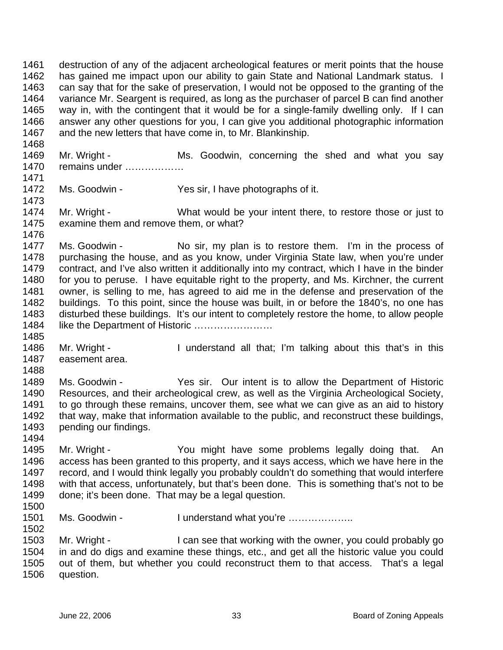1461 1462 1463 1464 1465 1466 1467 destruction of any of the adjacent archeological features or merit points that the house has gained me impact upon our ability to gain State and National Landmark status. I can say that for the sake of preservation, I would not be opposed to the granting of the variance Mr. Seargent is required, as long as the purchaser of parcel B can find another way in, with the contingent that it would be for a single-family dwelling only. If I can answer any other questions for you, I can give you additional photographic information and the new letters that have come in, to Mr. Blankinship.

1469 1470 Mr. Wright - Ms. Goodwin, concerning the shed and what you say remains under ………………

1472 Ms. Goodwin - Yes sir, I have photographs of it.

1474 1475 Mr. Wright - What would be your intent there, to restore those or just to examine them and remove them, or what?

1477 1478 1479 1480 1481 1482 1483 1484 Ms. Goodwin - No sir, my plan is to restore them. I'm in the process of purchasing the house, and as you know, under Virginia State law, when you're under contract, and I've also written it additionally into my contract, which I have in the binder for you to peruse. I have equitable right to the property, and Ms. Kirchner, the current owner, is selling to me, has agreed to aid me in the defense and preservation of the buildings. To this point, since the house was built, in or before the 1840's, no one has disturbed these buildings. It's our intent to completely restore the home, to allow people like the Department of Historic ……………………

1486 1487 Mr. Wright - I understand all that; I'm talking about this that's in this easement area.

1488 1489 1490 1491 1492 1493 Ms. Goodwin - Yes sir. Our intent is to allow the Department of Historic Resources, and their archeological crew, as well as the Virginia Archeological Society, to go through these remains, uncover them, see what we can give as an aid to history that way, make that information available to the public, and reconstruct these buildings, pending our findings.

1495 1496 1497 1498 1499 Mr. Wright - The You might have some problems legally doing that. An access has been granted to this property, and it says access, which we have here in the record, and I would think legally you probably couldn't do something that would interfere with that access, unfortunately, but that's been done. This is something that's not to be done; it's been done. That may be a legal question.

1500

1502

1494

1468

1471

1473

1476

1485

1501 Ms. Goodwin - I understand what you're ………………..

1503 1504 1505 1506 Mr. Wright - I can see that working with the owner, you could probably go in and do digs and examine these things, etc., and get all the historic value you could out of them, but whether you could reconstruct them to that access. That's a legal question.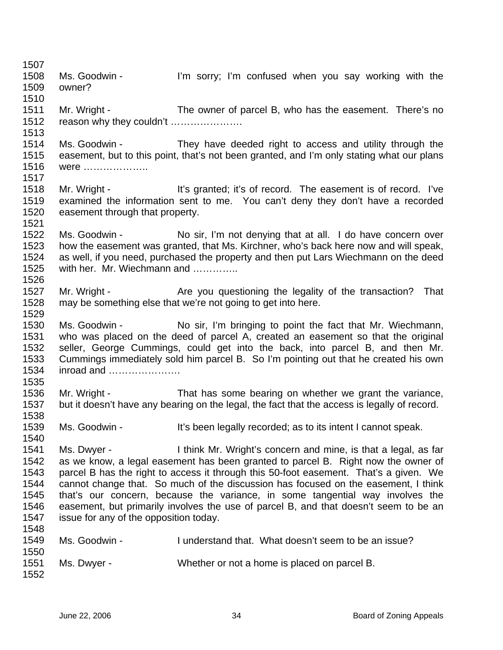1507 1508 1509 1510 1511 1512 1513 1514 1515 1516 1517 1518 1519 1520 1521 1522 1523 1524 1525 1526 1527 1528 1529 1530 1531 1532 1533 1534 1535 1536 1537 1538 1539 1540 1541 1542 1543 1544 1545 1546 1547 1548 1549 1550 1551 1552 Ms. Goodwin - I'm sorry; I'm confused when you say working with the owner? Mr. Wright - The owner of parcel B, who has the easement. There's no reason why they couldn't …………………. Ms. Goodwin - They have deeded right to access and utility through the easement, but to this point, that's not been granted, and I'm only stating what our plans were ……………….. Mr. Wright - It's granted; it's of record. The easement is of record. I've examined the information sent to me. You can't deny they don't have a recorded easement through that property. Ms. Goodwin - No sir, I'm not denying that at all. I do have concern over how the easement was granted, that Ms. Kirchner, who's back here now and will speak, as well, if you need, purchased the property and then put Lars Wiechmann on the deed with her. Mr. Wiechmann and …………… Mr. Wright - Are you questioning the legality of the transaction? That may be something else that we're not going to get into here. Ms. Goodwin - No sir, I'm bringing to point the fact that Mr. Wiechmann, who was placed on the deed of parcel A, created an easement so that the original seller, George Cummings, could get into the back, into parcel B, and then Mr. Cummings immediately sold him parcel B. So I'm pointing out that he created his own inroad and …………………. Mr. Wright - That has some bearing on whether we grant the variance, but it doesn't have any bearing on the legal, the fact that the access is legally of record. Ms. Goodwin - It's been legally recorded; as to its intent I cannot speak. Ms. Dwyer - I think Mr. Wright's concern and mine, is that a legal, as far as we know, a legal easement has been granted to parcel B. Right now the owner of parcel B has the right to access it through this 50-foot easement. That's a given. We cannot change that. So much of the discussion has focused on the easement, I think that's our concern, because the variance, in some tangential way involves the easement, but primarily involves the use of parcel B, and that doesn't seem to be an issue for any of the opposition today. Ms. Goodwin - I understand that. What doesn't seem to be an issue? Ms. Dwyer - Whether or not a home is placed on parcel B.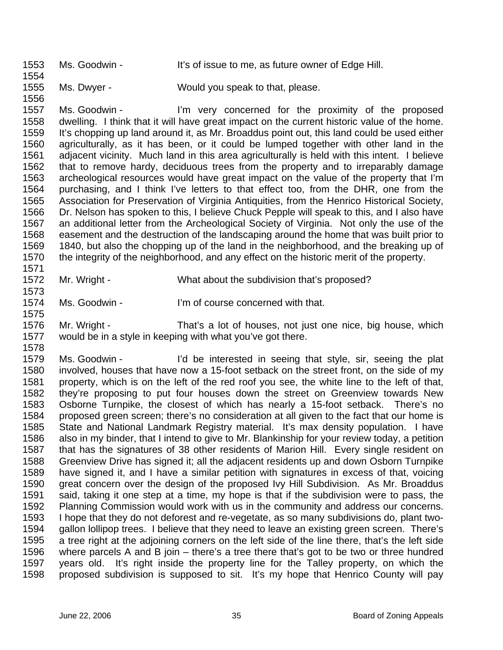1553 1554 Ms. Goodwin - It's of issue to me, as future owner of Edge Hill.

1555 1556 Ms. Dwyer - Would you speak to that, please.

1557 1558 1559 1560 1561 1562 1563 1564 1565 1566 1567 1568 1569 1570 1571 Ms. Goodwin - I'm very concerned for the proximity of the proposed dwelling. I think that it will have great impact on the current historic value of the home. It's chopping up land around it, as Mr. Broaddus point out, this land could be used either agriculturally, as it has been, or it could be lumped together with other land in the adjacent vicinity. Much land in this area agriculturally is held with this intent. I believe that to remove hardy, deciduous trees from the property and to irreparably damage archeological resources would have great impact on the value of the property that I'm purchasing, and I think I've letters to that effect too, from the DHR, one from the Association for Preservation of Virginia Antiquities, from the Henrico Historical Society, Dr. Nelson has spoken to this, I believe Chuck Pepple will speak to this, and I also have an additional letter from the Archeological Society of Virginia. Not only the use of the easement and the destruction of the landscaping around the home that was built prior to 1840, but also the chopping up of the land in the neighborhood, and the breaking up of the integrity of the neighborhood, and any effect on the historic merit of the property.

1572 Mr. Wright - What about the subdivision that's proposed?

1574 Ms. Goodwin - I'm of course concerned with that.

1576 1577 Mr. Wright - That's a lot of houses, not just one nice, big house, which would be in a style in keeping with what you've got there.

1578 1579 1580 1581 1582 1583 1584 1585 1586 1587 1588 1589 1590 1591 1592 1593 1594 1595 1596 1597 1598 Ms. Goodwin - I'd be interested in seeing that style, sir, seeing the plat involved, houses that have now a 15-foot setback on the street front, on the side of my property, which is on the left of the red roof you see, the white line to the left of that, they're proposing to put four houses down the street on Greenview towards New Osborne Turnpike, the closest of which has nearly a 15-foot setback. There's no proposed green screen; there's no consideration at all given to the fact that our home is State and National Landmark Registry material. It's max density population. I have also in my binder, that I intend to give to Mr. Blankinship for your review today, a petition that has the signatures of 38 other residents of Marion Hill. Every single resident on Greenview Drive has signed it; all the adjacent residents up and down Osborn Turnpike have signed it, and I have a similar petition with signatures in excess of that, voicing great concern over the design of the proposed Ivy Hill Subdivision. As Mr. Broaddus said, taking it one step at a time, my hope is that if the subdivision were to pass, the Planning Commission would work with us in the community and address our concerns. I hope that they do not deforest and re-vegetate, as so many subdivisions do, plant twogallon lollipop trees. I believe that they need to leave an existing green screen. There's a tree right at the adjoining corners on the left side of the line there, that's the left side where parcels A and B join – there's a tree there that's got to be two or three hundred years old. It's right inside the property line for the Talley property, on which the proposed subdivision is supposed to sit. It's my hope that Henrico County will pay

1573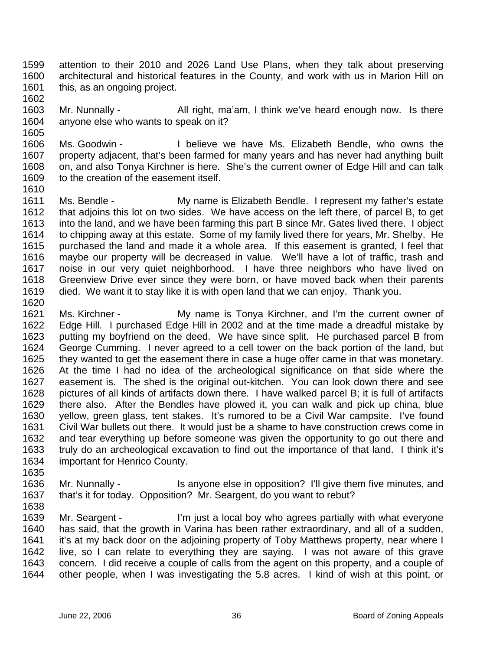- 1599 1600 1601 attention to their 2010 and 2026 Land Use Plans, when they talk about preserving architectural and historical features in the County, and work with us in Marion Hill on this, as an ongoing project.
- 1603 1604 Mr. Nunnally - All right, ma'am, I think we've heard enough now. Is there anyone else who wants to speak on it?
- 1606 1607 1608 1609 Ms. Goodwin - Thelieve we have Ms. Elizabeth Bendle, who owns the property adjacent, that's been farmed for many years and has never had anything built on, and also Tonya Kirchner is here. She's the current owner of Edge Hill and can talk to the creation of the easement itself.
- 1611 1612 1613 1614 1615 1616 1617 1618 1619 1620 Ms. Bendle - My name is Elizabeth Bendle. I represent my father's estate that adjoins this lot on two sides. We have access on the left there, of parcel B, to get into the land, and we have been farming this part B since Mr. Gates lived there. I object to chipping away at this estate. Some of my family lived there for years, Mr. Shelby. He purchased the land and made it a whole area. If this easement is granted, I feel that maybe our property will be decreased in value. We'll have a lot of traffic, trash and noise in our very quiet neighborhood. I have three neighbors who have lived on Greenview Drive ever since they were born, or have moved back when their parents died. We want it to stay like it is with open land that we can enjoy. Thank you.
- 1621 1622 1623 1624 1625 1626 1627 1628 1629 1630 1631 1632 1633 1634 1635 Ms. Kirchner - My name is Tonya Kirchner, and I'm the current owner of Edge Hill. I purchased Edge Hill in 2002 and at the time made a dreadful mistake by putting my boyfriend on the deed. We have since split. He purchased parcel B from George Cumming. I never agreed to a cell tower on the back portion of the land, but they wanted to get the easement there in case a huge offer came in that was monetary. At the time I had no idea of the archeological significance on that side where the easement is. The shed is the original out-kitchen. You can look down there and see pictures of all kinds of artifacts down there. I have walked parcel B; it is full of artifacts there also. After the Bendles have plowed it, you can walk and pick up china, blue yellow, green glass, tent stakes. It's rumored to be a Civil War campsite. I've found Civil War bullets out there. It would just be a shame to have construction crews come in and tear everything up before someone was given the opportunity to go out there and truly do an archeological excavation to find out the importance of that land. I think it's important for Henrico County.
- 1636 1637 Mr. Nunnally - Is anyone else in opposition? I'll give them five minutes, and that's it for today. Opposition? Mr. Seargent, do you want to rebut?
- 1638

1602

1605

1610

1639 1640 1641 1642 1643 1644 Mr. Seargent - I'm just a local boy who agrees partially with what everyone has said, that the growth in Varina has been rather extraordinary, and all of a sudden, it's at my back door on the adjoining property of Toby Matthews property, near where I live, so I can relate to everything they are saying. I was not aware of this grave concern. I did receive a couple of calls from the agent on this property, and a couple of other people, when I was investigating the 5.8 acres. I kind of wish at this point, or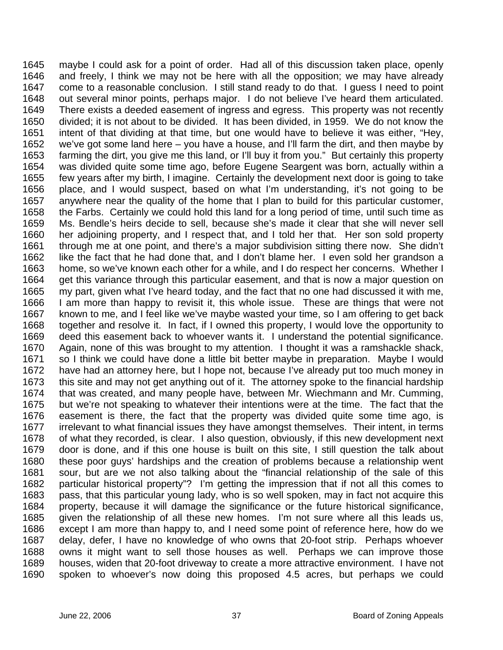1645 1646 1647 1648 1649 1650 1651 1652 1653 1654 1655 1656 1657 1658 1659 1660 1661 1662 1663 1664 1665 1666 1667 1668 1669 1670 1671 1672 1673 1674 1675 1676 1677 1678 1679 1680 1681 1682 1683 1684 1685 1686 1687 1688 1689 1690 maybe I could ask for a point of order. Had all of this discussion taken place, openly and freely, I think we may not be here with all the opposition; we may have already come to a reasonable conclusion. I still stand ready to do that. I guess I need to point out several minor points, perhaps major. I do not believe I've heard them articulated. There exists a deeded easement of ingress and egress. This property was not recently divided; it is not about to be divided. It has been divided, in 1959. We do not know the intent of that dividing at that time, but one would have to believe it was either, "Hey, we've got some land here – you have a house, and I'll farm the dirt, and then maybe by farming the dirt, you give me this land, or I'll buy it from you." But certainly this property was divided quite some time ago, before Eugene Seargent was born, actually within a few years after my birth, I imagine. Certainly the development next door is going to take place, and I would suspect, based on what I'm understanding, it's not going to be anywhere near the quality of the home that I plan to build for this particular customer, the Farbs. Certainly we could hold this land for a long period of time, until such time as Ms. Bendle's heirs decide to sell, because she's made it clear that she will never sell her adjoining property, and I respect that, and I told her that. Her son sold property through me at one point, and there's a major subdivision sitting there now. She didn't like the fact that he had done that, and I don't blame her. I even sold her grandson a home, so we've known each other for a while, and I do respect her concerns. Whether I get this variance through this particular easement, and that is now a major question on my part, given what I've heard today, and the fact that no one had discussed it with me, I am more than happy to revisit it, this whole issue. These are things that were not known to me, and I feel like we've maybe wasted your time, so I am offering to get back together and resolve it. In fact, if I owned this property, I would love the opportunity to deed this easement back to whoever wants it. I understand the potential significance. Again, none of this was brought to my attention. I thought it was a ramshackle shack, so I think we could have done a little bit better maybe in preparation. Maybe I would have had an attorney here, but I hope not, because I've already put too much money in this site and may not get anything out of it. The attorney spoke to the financial hardship that was created, and many people have, between Mr. Wiechmann and Mr. Cumming, but we're not speaking to whatever their intentions were at the time. The fact that the easement is there, the fact that the property was divided quite some time ago, is irrelevant to what financial issues they have amongst themselves. Their intent, in terms of what they recorded, is clear. I also question, obviously, if this new development next door is done, and if this one house is built on this site, I still question the talk about these poor guys' hardships and the creation of problems because a relationship went sour, but are we not also talking about the "financial relationship of the sale of this particular historical property"? I'm getting the impression that if not all this comes to pass, that this particular young lady, who is so well spoken, may in fact not acquire this property, because it will damage the significance or the future historical significance, given the relationship of all these new homes. I'm not sure where all this leads us, except I am more than happy to, and I need some point of reference here, how do we delay, defer, I have no knowledge of who owns that 20-foot strip. Perhaps whoever owns it might want to sell those houses as well. Perhaps we can improve those houses, widen that 20-foot driveway to create a more attractive environment. I have not spoken to whoever's now doing this proposed 4.5 acres, but perhaps we could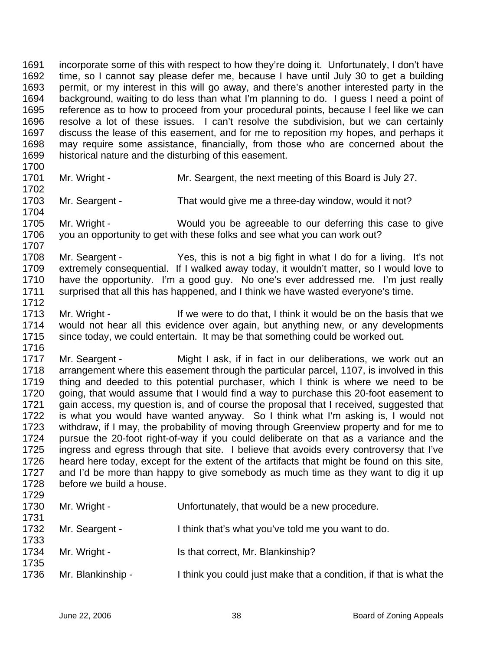1691 1692 1693 1694 1695 1696 1697 1698 1699 1700 incorporate some of this with respect to how they're doing it. Unfortunately, I don't have time, so I cannot say please defer me, because I have until July 30 to get a building permit, or my interest in this will go away, and there's another interested party in the background, waiting to do less than what I'm planning to do. I guess I need a point of reference as to how to proceed from your procedural points, because I feel like we can resolve a lot of these issues. I can't resolve the subdivision, but we can certainly discuss the lease of this easement, and for me to reposition my hopes, and perhaps it may require some assistance, financially, from those who are concerned about the historical nature and the disturbing of this easement.

1701

1702

1707

1712

Mr. Wright - **Mr. Seargent, the next meeting of this Board is July 27.** 

1703 1704 Mr. Seargent - That would give me a three-day window, would it not?

1705 1706 Mr. Wright - Would you be agreeable to our deferring this case to give you an opportunity to get with these folks and see what you can work out?

1708 1709 1710 1711 Mr. Seargent - Yes, this is not a big fight in what I do for a living. It's not extremely consequential. If I walked away today, it wouldn't matter, so I would love to have the opportunity. I'm a good guy. No one's ever addressed me. I'm just really surprised that all this has happened, and I think we have wasted everyone's time.

1713 1714 1715 Mr. Wright - The If we were to do that, I think it would be on the basis that we would not hear all this evidence over again, but anything new, or any developments since today, we could entertain. It may be that something could be worked out.

1716 1717 1718 1719 1720 1721 1722 1723 1724 1725 1726 1727 1728 Mr. Seargent - Might I ask, if in fact in our deliberations, we work out an arrangement where this easement through the particular parcel, 1107, is involved in this thing and deeded to this potential purchaser, which I think is where we need to be going, that would assume that I would find a way to purchase this 20-foot easement to gain access, my question is, and of course the proposal that I received, suggested that is what you would have wanted anyway. So I think what I'm asking is, I would not withdraw, if I may, the probability of moving through Greenview property and for me to pursue the 20-foot right-of-way if you could deliberate on that as a variance and the ingress and egress through that site. I believe that avoids every controversy that I've heard here today, except for the extent of the artifacts that might be found on this site, and I'd be more than happy to give somebody as much time as they want to dig it up before we build a house.

| 1729 |                   |                                                                 |
|------|-------------------|-----------------------------------------------------------------|
| 1730 | Mr. Wright -      | Unfortunately, that would be a new procedure.                   |
| 1731 |                   |                                                                 |
| 1732 | Mr. Seargent -    | I think that's what you've told me you want to do.              |
| 1733 |                   |                                                                 |
| 1734 | Mr. Wright -      | Is that correct, Mr. Blankinship?                               |
| 1735 |                   |                                                                 |
| 1736 | Mr. Blankinship - | think you could just make that a condition, if that is what the |
|      |                   |                                                                 |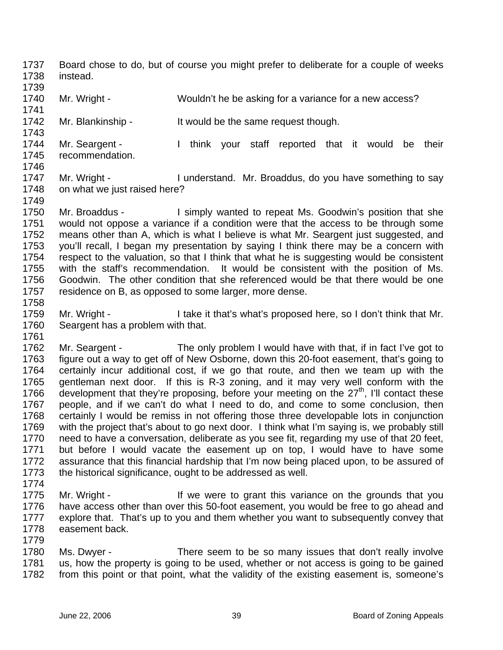- 1737 1738 Board chose to do, but of course you might prefer to deliberate for a couple of weeks instead.
- 1739
- 1740 1741 Mr. Wright - Wouldn't he be asking for a variance for a new access?
- 1742 1743 Mr. Blankinship - It would be the same request though.
- 1744 1745 Mr. Seargent - Think your staff reported that it would be their recommendation.
- 1746

1758

1761

- 1747 1748 1749 Mr. Wright - I understand. Mr. Broaddus, do you have something to say on what we just raised here?
- 1750 1751 1752 1753 1754 1755 1756 1757 Mr. Broaddus - I simply wanted to repeat Ms. Goodwin's position that she would not oppose a variance if a condition were that the access to be through some means other than A, which is what I believe is what Mr. Seargent just suggested, and you'll recall, I began my presentation by saying I think there may be a concern with respect to the valuation, so that I think that what he is suggesting would be consistent with the staff's recommendation. It would be consistent with the position of Ms. Goodwin. The other condition that she referenced would be that there would be one residence on B, as opposed to some larger, more dense.
- 1759 1760 Mr. Wright - I take it that's what's proposed here, so I don't think that Mr. Seargent has a problem with that.
- 1762 1763 1764 1765 1766 1767 1768 1769 1770 1771 1772 1773 Mr. Seargent - The only problem I would have with that, if in fact I've got to figure out a way to get off of New Osborne, down this 20-foot easement, that's going to certainly incur additional cost, if we go that route, and then we team up with the gentleman next door. If this is R-3 zoning, and it may very well conform with the development that they're proposing, before your meeting on the  $27<sup>th</sup>$ , I'll contact these people, and if we can't do what I need to do, and come to some conclusion, then certainly I would be remiss in not offering those three developable lots in conjunction with the project that's about to go next door. I think what I'm saying is, we probably still need to have a conversation, deliberate as you see fit, regarding my use of that 20 feet, but before I would vacate the easement up on top, I would have to have some assurance that this financial hardship that I'm now being placed upon, to be assured of the historical significance, ought to be addressed as well.
- 1774
- 1775 1776 1777 1778 1779 Mr. Wright - The Mentice of the grant this variance on the grounds that you have access other than over this 50-foot easement, you would be free to go ahead and explore that. That's up to you and them whether you want to subsequently convey that easement back.
- 1780 1781 1782 Ms. Dwyer - There seem to be so many issues that don't really involve us, how the property is going to be used, whether or not access is going to be gained from this point or that point, what the validity of the existing easement is, someone's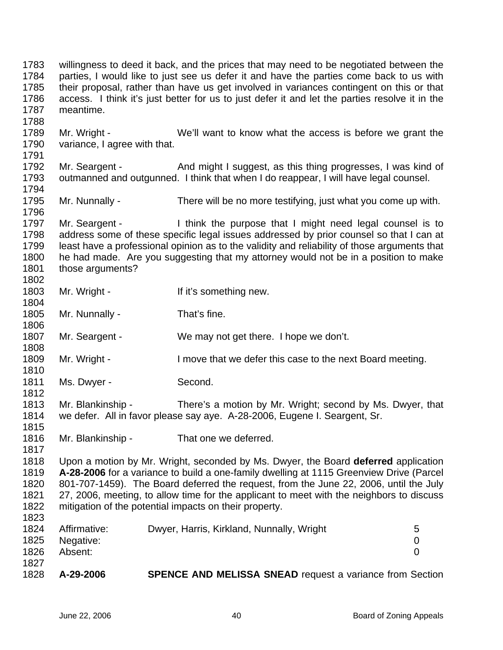1783 1784 1785 1786 1787 1788 1789 1790 1791 1792 1793 1794 1795 1796 1797 1798 1799 1800 1801 1802 1803 1804 1805 1806 1807 1808 1809 1810 1811 1812 1813 1814 1815 1816 1817 1818 1819 1820 1821 1822 1823 1824 1825 1826 1827 1828 willingness to deed it back, and the prices that may need to be negotiated between the parties, I would like to just see us defer it and have the parties come back to us with their proposal, rather than have us get involved in variances contingent on this or that access. I think it's just better for us to just defer it and let the parties resolve it in the meantime. Mr. Wright - We'll want to know what the access is before we grant the variance, I agree with that. Mr. Seargent - And might I suggest, as this thing progresses, I was kind of outmanned and outgunned. I think that when I do reappear, I will have legal counsel. Mr. Nunnally - There will be no more testifying, just what you come up with. Mr. Seargent - I think the purpose that I might need legal counsel is to address some of these specific legal issues addressed by prior counsel so that I can at least have a professional opinion as to the validity and reliability of those arguments that he had made. Are you suggesting that my attorney would not be in a position to make those arguments? Mr. Wright - The Muslim of If it's something new. Mr. Nunnally - That's fine. Mr. Seargent - We may not get there. I hope we don't. Mr. Wright - The I move that we defer this case to the next Board meeting. Ms. Dwyer - Second. Mr. Blankinship - There's a motion by Mr. Wright; second by Ms. Dwyer, that we defer. All in favor please say aye. A-28-2006, Eugene I. Seargent, Sr. Mr. Blankinship - That one we deferred. Upon a motion by Mr. Wright, seconded by Ms. Dwyer, the Board **deferred** application **A-28-2006** for a variance to build a one-family dwelling at 1115 Greenview Drive (Parcel 801-707-1459). The Board deferred the request, from the June 22, 2006, until the July 27, 2006, meeting, to allow time for the applicant to meet with the neighbors to discuss mitigation of the potential impacts on their property. Affirmative: Dwyer, Harris, Kirkland, Nunnally, Wright 5 Negative: 0 Absent: 0 **A-29-2006 SPENCE AND MELISSA SNEAD** request a variance from Section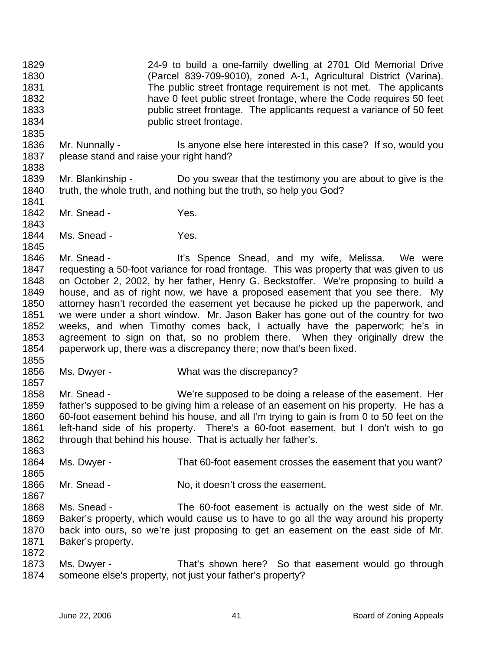1829 1830 1831 1832 1833 1834 1835 24-9 to build a one-family dwelling at 2701 Old Memorial Drive (Parcel 839-709-9010), zoned A-1, Agricultural District (Varina). The public street frontage requirement is not met. The applicants have 0 feet public street frontage, where the Code requires 50 feet public street frontage. The applicants request a variance of 50 feet public street frontage.

1836 1837 1838 Mr. Nunnally - Is anyone else here interested in this case? If so, would you please stand and raise your right hand?

1839 1840 1841 Mr. Blankinship - Do you swear that the testimony you are about to give is the truth, the whole truth, and nothing but the truth, so help you God?

- 1842 Mr. Snead - Yes.
- 1844 Ms. Snead - Yes.

1846 1847 1848 1849 1850 1851 1852 1853 1854 Mr. Snead - The Music Spence Snead, and my wife, Melissa. We were requesting a 50-foot variance for road frontage. This was property that was given to us on October 2, 2002, by her father, Henry G. Beckstoffer. We're proposing to build a house, and as of right now, we have a proposed easement that you see there. My attorney hasn't recorded the easement yet because he picked up the paperwork, and we were under a short window. Mr. Jason Baker has gone out of the country for two weeks, and when Timothy comes back, I actually have the paperwork; he's in agreement to sign on that, so no problem there. When they originally drew the paperwork up, there was a discrepancy there; now that's been fixed.

1855

1857

1863

1867

1843

1845

1856 Ms. Dwyer - What was the discrepancy?

1858 1859 1860 1861 1862 Mr. Snead - We're supposed to be doing a release of the easement. Her father's supposed to be giving him a release of an easement on his property. He has a 60-foot easement behind his house, and all I'm trying to gain is from 0 to 50 feet on the left-hand side of his property. There's a 60-foot easement, but I don't wish to go through that behind his house. That is actually her father's.

1864 1865 Ms. Dwyer - That 60-foot easement crosses the easement that you want?

1866 Mr. Snead - No, it doesn't cross the easement.

1868 1869 1870 1871 1872 Ms. Snead - The 60-foot easement is actually on the west side of Mr. Baker's property, which would cause us to have to go all the way around his property back into ours, so we're just proposing to get an easement on the east side of Mr. Baker's property.

1873 1874 Ms. Dwyer - That's shown here? So that easement would go through someone else's property, not just your father's property?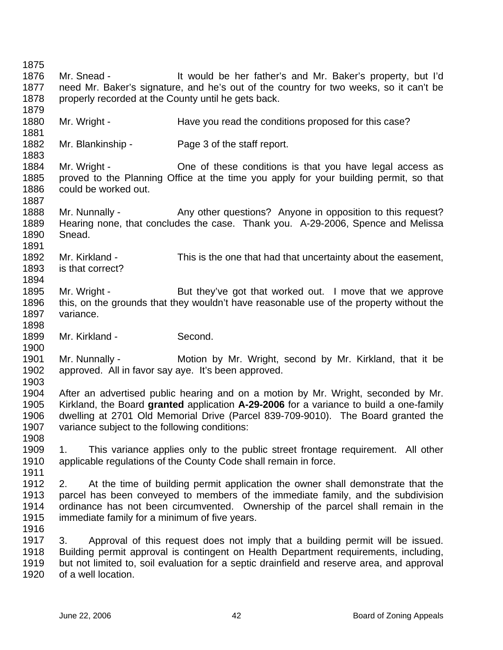1875 1876 1877 1878 1879 1880 1881 1882 1883 1884 1885 1886 1887 1888 1889 1890 1891 1892 1893 1894 1895 1896 1897 1898 1899 1900 1901 1902 1903 1904 1905 1906 1907 1908 1909 1910 1911 1912 1913 1914 1915 1916 1917 1918 1919 1920 Mr. Snead - It would be her father's and Mr. Baker's property, but I'd need Mr. Baker's signature, and he's out of the country for two weeks, so it can't be properly recorded at the County until he gets back. Mr. Wright - Have you read the conditions proposed for this case? Mr. Blankinship - Page 3 of the staff report. Mr. Wright - Che of these conditions is that you have legal access as proved to the Planning Office at the time you apply for your building permit, so that could be worked out. Mr. Nunnally - Any other questions? Anyone in opposition to this request? Hearing none, that concludes the case. Thank you. A-29-2006, Spence and Melissa Snead. Mr. Kirkland - This is the one that had that uncertainty about the easement, is that correct? Mr. Wright - But they've got that worked out. I move that we approve this, on the grounds that they wouldn't have reasonable use of the property without the variance. Mr. Kirkland - Second. Mr. Nunnally - Motion by Mr. Wright, second by Mr. Kirkland, that it be approved. All in favor say aye. It's been approved. After an advertised public hearing and on a motion by Mr. Wright, seconded by Mr. Kirkland, the Board **granted** application **A-29-2006** for a variance to build a one-family dwelling at 2701 Old Memorial Drive (Parcel 839-709-9010). The Board granted the variance subject to the following conditions: 1. This variance applies only to the public street frontage requirement. All other applicable regulations of the County Code shall remain in force. 2. At the time of building permit application the owner shall demonstrate that the parcel has been conveyed to members of the immediate family, and the subdivision ordinance has not been circumvented. Ownership of the parcel shall remain in the immediate family for a minimum of five years. 3. Approval of this request does not imply that a building permit will be issued. Building permit approval is contingent on Health Department requirements, including, but not limited to, soil evaluation for a septic drainfield and reserve area, and approval of a well location.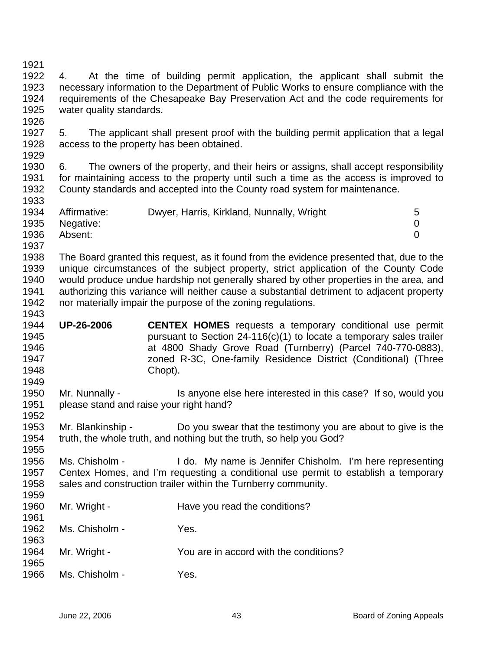1921 1922 1923 1924 1925 1926 1927 1928 1929 1930 1931 1932 1933 1934 1935 1936 1937 1938 1939 1940 1941 1942 1943 1944 1945 1946 1947 1948 1949 1950 1951 1952 1953 1954 1955 1956 1957 1958 1959 1960 1961 1962 1963 1964 1965 1966 4. At the time of building permit application, the applicant shall submit the necessary information to the Department of Public Works to ensure compliance with the requirements of the Chesapeake Bay Preservation Act and the code requirements for water quality standards. 5. The applicant shall present proof with the building permit application that a legal access to the property has been obtained. 6. The owners of the property, and their heirs or assigns, shall accept responsibility for maintaining access to the property until such a time as the access is improved to County standards and accepted into the County road system for maintenance. Affirmative: Dwyer, Harris, Kirkland, Nunnally, Wright 5 Negative: 0 Absent: 0 The Board granted this request, as it found from the evidence presented that, due to the unique circumstances of the subject property, strict application of the County Code would produce undue hardship not generally shared by other properties in the area, and authorizing this variance will neither cause a substantial detriment to adjacent property nor materially impair the purpose of the zoning regulations. **UP-26-2006 CENTEX HOMES** requests a temporary conditional use permit pursuant to Section 24-116(c)(1) to locate a temporary sales trailer at 4800 Shady Grove Road (Turnberry) (Parcel 740-770-0883), zoned R-3C, One-family Residence District (Conditional) (Three Chopt). Mr. Nunnally - Is anyone else here interested in this case? If so, would you please stand and raise your right hand? Mr. Blankinship - Do you swear that the testimony you are about to give is the truth, the whole truth, and nothing but the truth, so help you God? Ms. Chisholm - I do. My name is Jennifer Chisholm. I'm here representing Centex Homes, and I'm requesting a conditional use permit to establish a temporary sales and construction trailer within the Turnberry community. Mr. Wright - The Have you read the conditions? Ms. Chisholm - Yes. Mr. Wright - You are in accord with the conditions? Ms. Chisholm - Yes.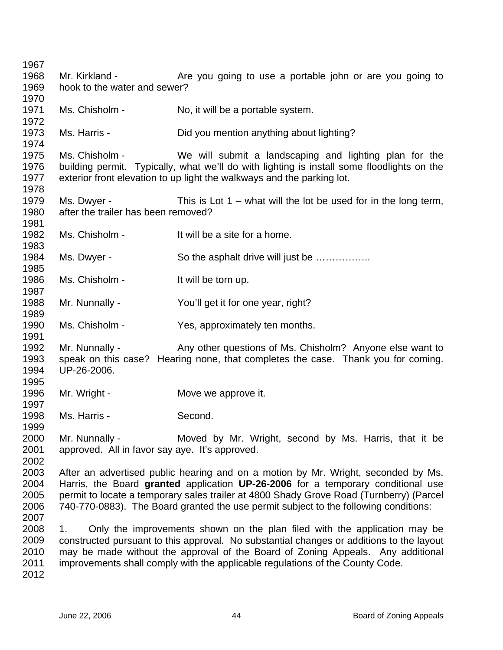Mr. Kirkland - The you going to use a portable john or are you going to hook to the water and sewer? Ms. Chisholm - No, it will be a portable system. Ms. Harris - Did you mention anything about lighting? Ms. Chisholm - We will submit a landscaping and lighting plan for the building permit. Typically, what we'll do with lighting is install some floodlights on the exterior front elevation to up light the walkways and the parking lot. Ms. Dwyer - This is Lot  $1 -$  what will the lot be used for in the long term, after the trailer has been removed? Ms. Chisholm - It will be a site for a home. Ms. Dwyer - So the asphalt drive will just be ................ Ms. Chisholm - It will be torn up. Mr. Nunnally - You'll get it for one year, right? Ms. Chisholm - Yes, approximately ten months. Mr. Nunnally - Any other questions of Ms. Chisholm? Anyone else want to speak on this case? Hearing none, that completes the case. Thank you for coming. UP-26-2006. Mr. Wright - The Move we approve it. Ms. Harris - Second. Mr. Nunnally - Moved by Mr. Wright, second by Ms. Harris, that it be approved. All in favor say aye. It's approved. After an advertised public hearing and on a motion by Mr. Wright, seconded by Ms. Harris, the Board **granted** application **UP-26-2006** for a temporary conditional use permit to locate a temporary sales trailer at 4800 Shady Grove Road (Turnberry) (Parcel 740-770-0883). The Board granted the use permit subject to the following conditions: 1. Only the improvements shown on the plan filed with the application may be constructed pursuant to this approval. No substantial changes or additions to the layout may be made without the approval of the Board of Zoning Appeals. Any additional improvements shall comply with the applicable regulations of the County Code.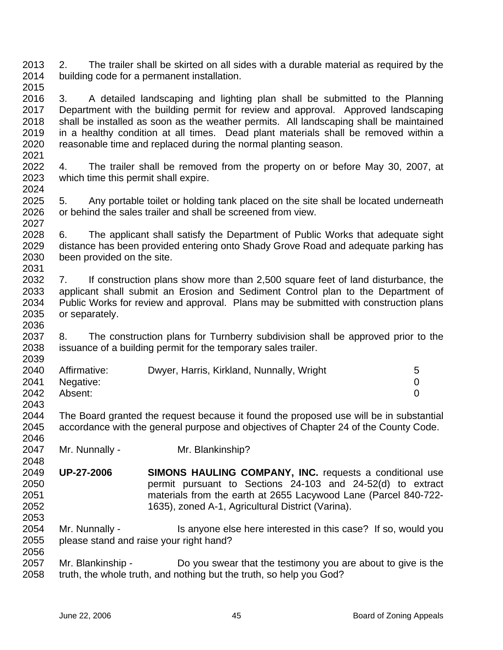2013 2014 2. The trailer shall be skirted on all sides with a durable material as required by the building code for a permanent installation.

2015

2021

2048

2053

2016 2017 2018 2019 2020 3. A detailed landscaping and lighting plan shall be submitted to the Planning Department with the building permit for review and approval. Approved landscaping shall be installed as soon as the weather permits. All landscaping shall be maintained in a healthy condition at all times. Dead plant materials shall be removed within a reasonable time and replaced during the normal planting season.

2022 2023 2024 4. The trailer shall be removed from the property on or before May 30, 2007, at which time this permit shall expire.

2025 2026 2027 5. Any portable toilet or holding tank placed on the site shall be located underneath or behind the sales trailer and shall be screened from view.

2028 2029 2030 2031 6. The applicant shall satisfy the Department of Public Works that adequate sight distance has been provided entering onto Shady Grove Road and adequate parking has been provided on the site.

2032 2033 2034 2035 2036 7. If construction plans show more than 2,500 square feet of land disturbance, the applicant shall submit an Erosion and Sediment Control plan to the Department of Public Works for review and approval. Plans may be submitted with construction plans or separately.

2037 2038 2039 8. The construction plans for Turnberry subdivision shall be approved prior to the issuance of a building permit for the temporary sales trailer.

| 2040 | Affirmative:   | Dwyer, Harris, Kirkland, Nunnally, Wright | 5 |
|------|----------------|-------------------------------------------|---|
|      | 2041 Negative: |                                           |   |
| 2042 | Absent:        |                                           |   |
| 2043 |                |                                           |   |

2044 2045 2046 The Board granted the request because it found the proposed use will be in substantial accordance with the general purpose and objectives of Chapter 24 of the County Code.

2047 Mr. Nunnally - Mr. Blankinship?

2049 2050 2051 2052 **UP-27-2006 SIMONS HAULING COMPANY, INC.** requests a conditional use permit pursuant to Sections 24-103 and 24-52(d) to extract materials from the earth at 2655 Lacywood Lane (Parcel 840-722- 1635), zoned A-1, Agricultural District (Varina).

2054 2055 2056 Mr. Nunnally - Is anyone else here interested in this case? If so, would you please stand and raise your right hand?

2057 2058 Mr. Blankinship - Do you swear that the testimony you are about to give is the truth, the whole truth, and nothing but the truth, so help you God?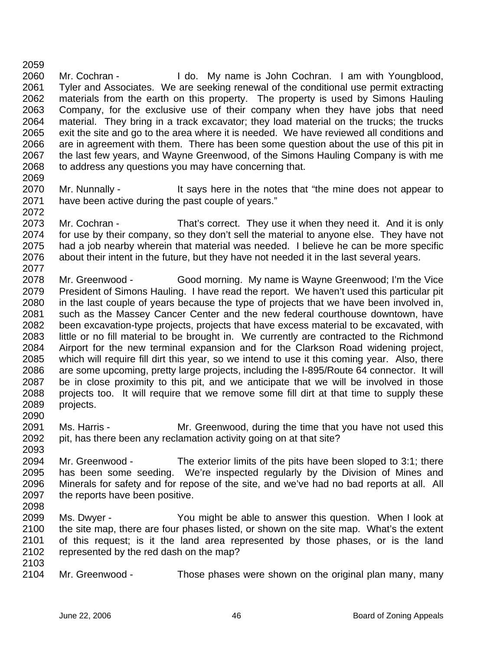2059 2060 2061 2062 2063 2064 2065 2066 2067 2068 2069 Mr. Cochran - I do. My name is John Cochran. I am with Youngblood, Tyler and Associates. We are seeking renewal of the conditional use permit extracting materials from the earth on this property. The property is used by Simons Hauling Company, for the exclusive use of their company when they have jobs that need material. They bring in a track excavator; they load material on the trucks; the trucks exit the site and go to the area where it is needed. We have reviewed all conditions and are in agreement with them. There has been some question about the use of this pit in the last few years, and Wayne Greenwood, of the Simons Hauling Company is with me to address any questions you may have concerning that.

- 2070 2071 2072 Mr. Nunnally - It says here in the notes that "the mine does not appear to have been active during the past couple of years."
- 2073 2074 2075 2076 2077 Mr. Cochran - That's correct. They use it when they need it. And it is only for use by their company, so they don't sell the material to anyone else. They have not had a job nearby wherein that material was needed. I believe he can be more specific about their intent in the future, but they have not needed it in the last several years.
- 2078 2079 2080 2081 2082 2083 2084 2085 2086 2087 2088 2089 2090 Mr. Greenwood - Good morning. My name is Wayne Greenwood; I'm the Vice President of Simons Hauling. I have read the report. We haven't used this particular pit in the last couple of years because the type of projects that we have been involved in, such as the Massey Cancer Center and the new federal courthouse downtown, have been excavation-type projects, projects that have excess material to be excavated, with little or no fill material to be brought in. We currently are contracted to the Richmond Airport for the new terminal expansion and for the Clarkson Road widening project, which will require fill dirt this year, so we intend to use it this coming year. Also, there are some upcoming, pretty large projects, including the I-895/Route 64 connector. It will be in close proximity to this pit, and we anticipate that we will be involved in those projects too. It will require that we remove some fill dirt at that time to supply these projects.
- 2091 2092 2093 Ms. Harris - The Mr. Greenwood, during the time that you have not used this pit, has there been any reclamation activity going on at that site?
- 2094 2095 2096 2097 Mr. Greenwood - The exterior limits of the pits have been sloped to 3:1; there has been some seeding. We're inspected regularly by the Division of Mines and Minerals for safety and for repose of the site, and we've had no bad reports at all. All the reports have been positive.
- 2098
- 2099 2100 2101 2102 2103 Ms. Dwyer - You might be able to answer this question. When I look at the site map, there are four phases listed, or shown on the site map. What's the extent of this request; is it the land area represented by those phases, or is the land represented by the red dash on the map?
- 2104 Mr. Greenwood - Those phases were shown on the original plan many, many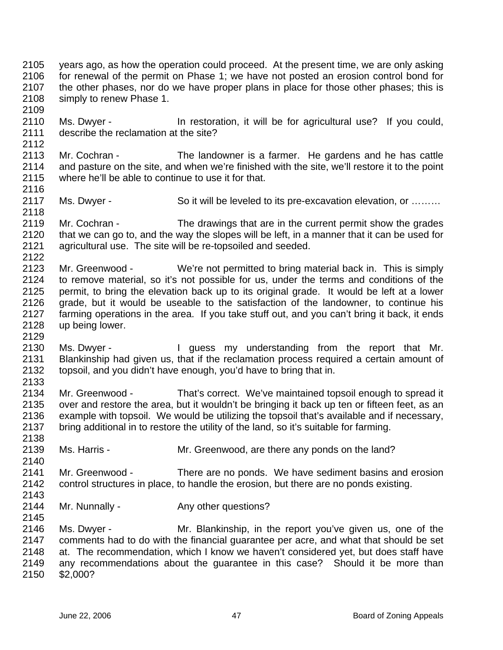2105 2106 2107 2108 2109 years ago, as how the operation could proceed. At the present time, we are only asking for renewal of the permit on Phase 1; we have not posted an erosion control bond for the other phases, nor do we have proper plans in place for those other phases; this is simply to renew Phase 1.

- 2110 2111 2112 Ms. Dwyer - In restoration, it will be for agricultural use? If you could, describe the reclamation at the site?
- 2113 2114 2115 2116 Mr. Cochran - The landowner is a farmer. He gardens and he has cattle and pasture on the site, and when we're finished with the site, we'll restore it to the point where he'll be able to continue to use it for that.
- 2117 Ms. Dwyer - So it will be leveled to its pre-excavation elevation, or ………
- 2119 2120 2121 2122 Mr. Cochran - The drawings that are in the current permit show the grades that we can go to, and the way the slopes will be left, in a manner that it can be used for agricultural use. The site will be re-topsoiled and seeded.
- 2123 2124 2125 2126 2127 2128 Mr. Greenwood - We're not permitted to bring material back in. This is simply to remove material, so it's not possible for us, under the terms and conditions of the permit, to bring the elevation back up to its original grade. It would be left at a lower grade, but it would be useable to the satisfaction of the landowner, to continue his farming operations in the area. If you take stuff out, and you can't bring it back, it ends up being lower.
- 2130 2131 2132 2133 Ms. Dwyer - The University of the standing from the report that Mr. Blankinship had given us, that if the reclamation process required a certain amount of topsoil, and you didn't have enough, you'd have to bring that in.
- 2134 2135 2136 2137 2138 Mr. Greenwood - That's correct. We've maintained topsoil enough to spread it over and restore the area, but it wouldn't be bringing it back up ten or fifteen feet, as an example with topsoil. We would be utilizing the topsoil that's available and if necessary, bring additional in to restore the utility of the land, so it's suitable for farming.
- 2139 Ms. Harris - The Mr. Greenwood, are there any ponds on the land?
- 2140 2141 2142 Mr. Greenwood - There are no ponds. We have sediment basins and erosion control structures in place, to handle the erosion, but there are no ponds existing.
- 2143 2144

2145

2118

2129

- Mr. Nunnally Any other questions?
- 2146 2147 2148 2149 2150 Ms. Dwyer - The Mr. Blankinship, in the report you've given us, one of the comments had to do with the financial guarantee per acre, and what that should be set at. The recommendation, which I know we haven't considered yet, but does staff have any recommendations about the guarantee in this case? Should it be more than \$2,000?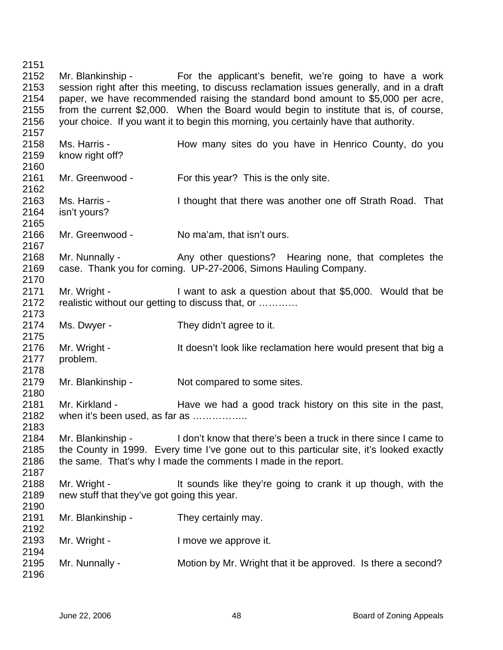Mr. Blankinship - For the applicant's benefit, we're going to have a work session right after this meeting, to discuss reclamation issues generally, and in a draft paper, we have recommended raising the standard bond amount to \$5,000 per acre, from the current \$2,000. When the Board would begin to institute that is, of course, your choice. If you want it to begin this morning, you certainly have that authority. Ms. Harris - The How many sites do you have in Henrico County, do you know right off? Mr. Greenwood - For this year? This is the only site. Ms. Harris - I thought that there was another one off Strath Road. That isn't yours? Mr. Greenwood - No ma'am, that isn't ours. Mr. Nunnally - Any other questions? Hearing none, that completes the case. Thank you for coming. UP-27-2006, Simons Hauling Company. Mr. Wright - I want to ask a question about that \$5,000. Would that be realistic without our getting to discuss that, or ………… Ms. Dwyer - They didn't agree to it. Mr. Wright - It doesn't look like reclamation here would present that big a problem. Mr. Blankinship - Not compared to some sites. Mr. Kirkland - Have we had a good track history on this site in the past, when it's been used, as far as ................. Mr. Blankinship - I don't know that there's been a truck in there since I came to the County in 1999. Every time I've gone out to this particular site, it's looked exactly the same. That's why I made the comments I made in the report. Mr. Wright - It sounds like they're going to crank it up though, with the new stuff that they've got going this year. Mr. Blankinship - They certainly may. Mr. Wright - The Music Contract is a lower we approve it. Mr. Nunnally - Motion by Mr. Wright that it be approved. Is there a second?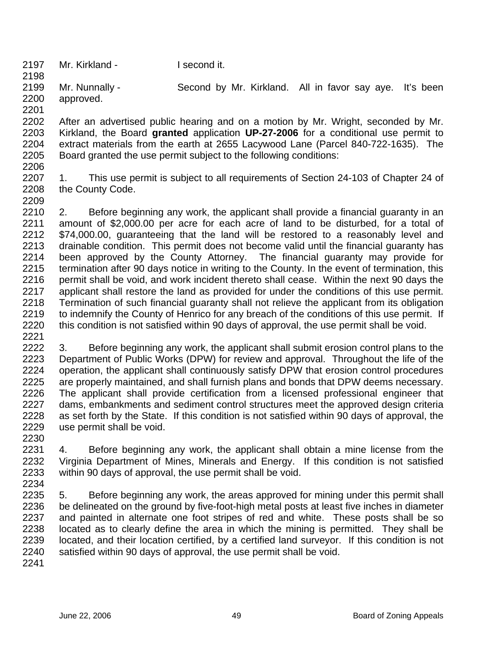2197 Mr. Kirkland - I second it.

2199 2200 2201 Mr. Nunnally - Second by Mr. Kirkland. All in favor say aye. It's been approved.

2202 2203 2204 2205 After an advertised public hearing and on a motion by Mr. Wright, seconded by Mr. Kirkland, the Board **granted** application **UP-27-2006** for a conditional use permit to extract materials from the earth at 2655 Lacywood Lane (Parcel 840-722-1635). The Board granted the use permit subject to the following conditions:

2206

2198

2207 2208 2209 1. This use permit is subject to all requirements of Section 24-103 of Chapter 24 of the County Code.

2210 2211 2212 2213 2214 2215 2216 2217 2218 2219 2220 2. Before beginning any work, the applicant shall provide a financial guaranty in an amount of \$2,000.00 per acre for each acre of land to be disturbed, for a total of \$74,000.00, guaranteeing that the land will be restored to a reasonably level and drainable condition. This permit does not become valid until the financial guaranty has been approved by the County Attorney. The financial guaranty may provide for termination after 90 days notice in writing to the County. In the event of termination, this permit shall be void, and work incident thereto shall cease. Within the next 90 days the applicant shall restore the land as provided for under the conditions of this use permit. Termination of such financial guaranty shall not relieve the applicant from its obligation to indemnify the County of Henrico for any breach of the conditions of this use permit. If this condition is not satisfied within 90 days of approval, the use permit shall be void.

2221

2222 2223 2224 2225 2226 2227 2228 2229 2230 3. Before beginning any work, the applicant shall submit erosion control plans to the Department of Public Works (DPW) for review and approval. Throughout the life of the operation, the applicant shall continuously satisfy DPW that erosion control procedures are properly maintained, and shall furnish plans and bonds that DPW deems necessary. The applicant shall provide certification from a licensed professional engineer that dams, embankments and sediment control structures meet the approved design criteria as set forth by the State. If this condition is not satisfied within 90 days of approval, the use permit shall be void.

2231 2232 2233 2234 4. Before beginning any work, the applicant shall obtain a mine license from the Virginia Department of Mines, Minerals and Energy. If this condition is not satisfied within 90 days of approval, the use permit shall be void.

2235 2236 2237 2238 2239 2240 5. Before beginning any work, the areas approved for mining under this permit shall be delineated on the ground by five-foot-high metal posts at least five inches in diameter and painted in alternate one foot stripes of red and white. These posts shall be so located as to clearly define the area in which the mining is permitted. They shall be located, and their location certified, by a certified land surveyor. If this condition is not satisfied within 90 days of approval, the use permit shall be void.

2241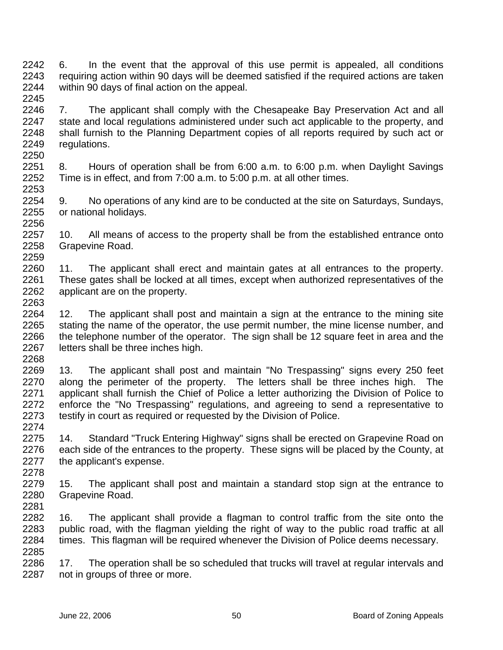2242 2243 2244 2245 6. In the event that the approval of this use permit is appealed, all conditions requiring action within 90 days will be deemed satisfied if the required actions are taken within 90 days of final action on the appeal.

2246 2247 2248 2249 2250 7. The applicant shall comply with the Chesapeake Bay Preservation Act and all state and local regulations administered under such act applicable to the property, and shall furnish to the Planning Department copies of all reports required by such act or regulations.

2251 2252 2253 8. Hours of operation shall be from 6:00 a.m. to 6:00 p.m. when Daylight Savings Time is in effect, and from 7:00 a.m. to 5:00 p.m. at all other times.

2254 2255 2256 9. No operations of any kind are to be conducted at the site on Saturdays, Sundays, or national holidays.

2257 2258 2259 10. All means of access to the property shall be from the established entrance onto Grapevine Road.

2260 2261 2262 2263 11. The applicant shall erect and maintain gates at all entrances to the property. These gates shall be locked at all times, except when authorized representatives of the applicant are on the property.

2264 2265 2266 2267 2268 12. The applicant shall post and maintain a sign at the entrance to the mining site stating the name of the operator, the use permit number, the mine license number, and the telephone number of the operator. The sign shall be 12 square feet in area and the letters shall be three inches high.

2269 2270 2271 2272 2273 2274 13. The applicant shall post and maintain "No Trespassing" signs every 250 feet along the perimeter of the property. The letters shall be three inches high. The applicant shall furnish the Chief of Police a letter authorizing the Division of Police to enforce the "No Trespassing" regulations, and agreeing to send a representative to testify in court as required or requested by the Division of Police.

2275 2276 2277 2278 14. Standard "Truck Entering Highway" signs shall be erected on Grapevine Road on each side of the entrances to the property. These signs will be placed by the County, at the applicant's expense.

2279 2280 2281 15. The applicant shall post and maintain a standard stop sign at the entrance to Grapevine Road.

2282 2283 2284 2285 16. The applicant shall provide a flagman to control traffic from the site onto the public road, with the flagman yielding the right of way to the public road traffic at all times. This flagman will be required whenever the Division of Police deems necessary.

2286 2287 17. The operation shall be so scheduled that trucks will travel at regular intervals and not in groups of three or more.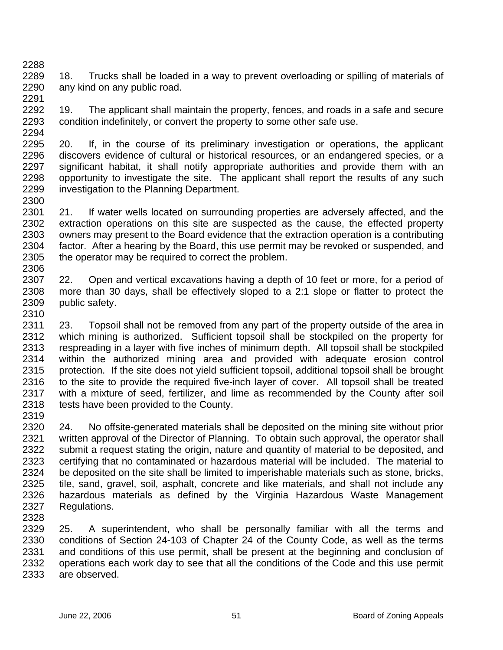2289 2290 2291 18. Trucks shall be loaded in a way to prevent overloading or spilling of materials of any kind on any public road.

2292 2293 2294 19. The applicant shall maintain the property, fences, and roads in a safe and secure condition indefinitely, or convert the property to some other safe use.

2295 2296 2297 2298 2299 2300 20. If, in the course of its preliminary investigation or operations, the applicant discovers evidence of cultural or historical resources, or an endangered species, or a significant habitat, it shall notify appropriate authorities and provide them with an opportunity to investigate the site. The applicant shall report the results of any such investigation to the Planning Department.

2301 2302 2303 2304 2305 2306 21. If water wells located on surrounding properties are adversely affected, and the extraction operations on this site are suspected as the cause, the effected property owners may present to the Board evidence that the extraction operation is a contributing factor. After a hearing by the Board, this use permit may be revoked or suspended, and the operator may be required to correct the problem.

2307 2308 2309 2310 22. Open and vertical excavations having a depth of 10 feet or more, for a period of more than 30 days, shall be effectively sloped to a 2:1 slope or flatter to protect the public safety.

2311 2312 2313 2314 2315 2316 2317 2318 23. Topsoil shall not be removed from any part of the property outside of the area in which mining is authorized. Sufficient topsoil shall be stockpiled on the property for respreading in a layer with five inches of minimum depth. All topsoil shall be stockpiled within the authorized mining area and provided with adequate erosion control protection. If the site does not yield sufficient topsoil, additional topsoil shall be brought to the site to provide the required five-inch layer of cover. All topsoil shall be treated with a mixture of seed, fertilizer, and lime as recommended by the County after soil tests have been provided to the County.

2319

2288

2320 2321 2322 2323 2324 2325 2326 2327 2328 24. No offsite-generated materials shall be deposited on the mining site without prior written approval of the Director of Planning. To obtain such approval, the operator shall submit a request stating the origin, nature and quantity of material to be deposited, and certifying that no contaminated or hazardous material will be included. The material to be deposited on the site shall be limited to imperishable materials such as stone, bricks, tile, sand, gravel, soil, asphalt, concrete and like materials, and shall not include any hazardous materials as defined by the Virginia Hazardous Waste Management Regulations.

2329 2330 2331 2332 2333 25. A superintendent, who shall be personally familiar with all the terms and conditions of Section 24-103 of Chapter 24 of the County Code, as well as the terms and conditions of this use permit, shall be present at the beginning and conclusion of operations each work day to see that all the conditions of the Code and this use permit are observed.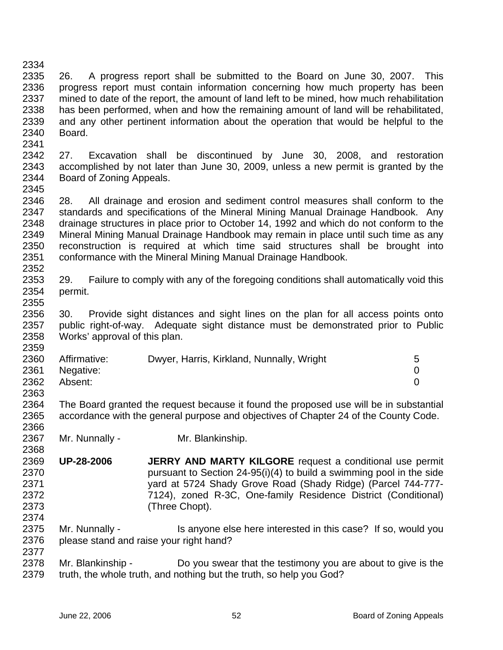2334 2335 2336 2337 2338 2339 2340 2341 26. A progress report shall be submitted to the Board on June 30, 2007. This progress report must contain information concerning how much property has been mined to date of the report, the amount of land left to be mined, how much rehabilitation has been performed, when and how the remaining amount of land will be rehabilitated, and any other pertinent information about the operation that would be helpful to the Board.

2342 2343 2344 2345 27. Excavation shall be discontinued by June 30, 2008, and restoration accomplished by not later than June 30, 2009, unless a new permit is granted by the Board of Zoning Appeals.

2346 2347 2348 2349 2350 2351 2352 28. All drainage and erosion and sediment control measures shall conform to the standards and specifications of the Mineral Mining Manual Drainage Handbook. Any drainage structures in place prior to October 14, 1992 and which do not conform to the Mineral Mining Manual Drainage Handbook may remain in place until such time as any reconstruction is required at which time said structures shall be brought into conformance with the Mineral Mining Manual Drainage Handbook.

2353 2354 2355 29. Failure to comply with any of the foregoing conditions shall automatically void this permit.

2356 2357 2358 30. Provide sight distances and sight lines on the plan for all access points onto public right-of-way. Adequate sight distance must be demonstrated prior to Public Works' approval of this plan.

| 2360 | Affirmative: | Dwyer, Harris, Kirkland, Nunnally, Wright | 5 |
|------|--------------|-------------------------------------------|---|
| 2361 | Negative:    |                                           |   |
| 2362 | Absent:      |                                           |   |
| 2363 |              |                                           |   |

2364 2365 The Board granted the request because it found the proposed use will be in substantial accordance with the general purpose and objectives of Chapter 24 of the County Code.

- 2367 Mr. Nunnally - Mr. Blankinship.
- 2369 2370 2371 2372 2373 2374 **UP-28-2006 JERRY AND MARTY KILGORE** request a conditional use permit pursuant to Section 24-95(i)(4) to build a swimming pool in the side yard at 5724 Shady Grove Road (Shady Ridge) (Parcel 744-777- 7124), zoned R-3C, One-family Residence District (Conditional) (Three Chopt).
- 2375 2376 Mr. Nunnally - Is anyone else here interested in this case? If so, would you please stand and raise your right hand?

2378 2379 Mr. Blankinship - Do you swear that the testimony you are about to give is the truth, the whole truth, and nothing but the truth, so help you God?

2359

2366

2368

2377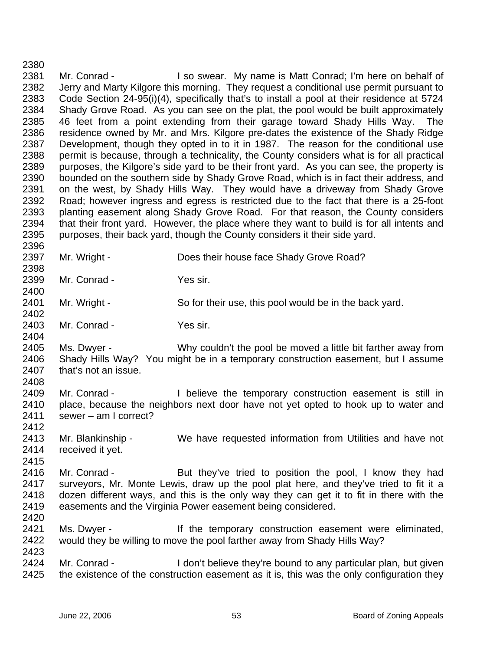2381 2382 2383 2384 2385 2386 2387 2388 2389 2390 2391 2392 2393 2394 2395 2396 2397 2398 2399 2400 2401 2402 2403 2404 2405 2406 2407 2408 2409 2410 2411 2412 2413 2414 2415 2416 2417 2418 2419 2420 2421 2422 2423 2424 2425 Mr. Conrad - I so swear. My name is Matt Conrad; I'm here on behalf of Jerry and Marty Kilgore this morning. They request a conditional use permit pursuant to Code Section 24-95(i)(4), specifically that's to install a pool at their residence at 5724 Shady Grove Road. As you can see on the plat, the pool would be built approximately 46 feet from a point extending from their garage toward Shady Hills Way. The residence owned by Mr. and Mrs. Kilgore pre-dates the existence of the Shady Ridge Development, though they opted in to it in 1987. The reason for the conditional use permit is because, through a technicality, the County considers what is for all practical purposes, the Kilgore's side yard to be their front yard. As you can see, the property is bounded on the southern side by Shady Grove Road, which is in fact their address, and on the west, by Shady Hills Way. They would have a driveway from Shady Grove Road; however ingress and egress is restricted due to the fact that there is a 25-foot planting easement along Shady Grove Road. For that reason, the County considers that their front yard. However, the place where they want to build is for all intents and purposes, their back yard, though the County considers it their side yard. Mr. Wright - **Does their house face Shady Grove Road?** Mr. Conrad - Yes sir. Mr. Wright - So for their use, this pool would be in the back yard. Mr. Conrad - Yes sir. Ms. Dwyer - Why couldn't the pool be moved a little bit farther away from Shady Hills Way? You might be in a temporary construction easement, but I assume that's not an issue. Mr. Conrad - Thelieve the temporary construction easement is still in place, because the neighbors next door have not yet opted to hook up to water and sewer – am I correct? Mr. Blankinship - We have requested information from Utilities and have not received it yet. Mr. Conrad - But they've tried to position the pool, I know they had surveyors, Mr. Monte Lewis, draw up the pool plat here, and they've tried to fit it a dozen different ways, and this is the only way they can get it to fit in there with the easements and the Virginia Power easement being considered. Ms. Dwyer - The temporary construction easement were eliminated, would they be willing to move the pool farther away from Shady Hills Way? Mr. Conrad - I don't believe they're bound to any particular plan, but given the existence of the construction easement as it is, this was the only configuration they

2380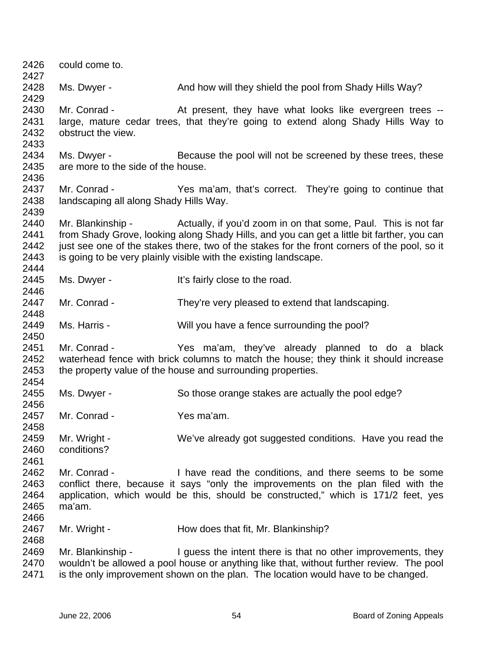| 2426<br>2427                         | could come to.                                                                                                                                                                                                                                                                                                                                     |                                                                                                                                                                                                                                               |  |
|--------------------------------------|----------------------------------------------------------------------------------------------------------------------------------------------------------------------------------------------------------------------------------------------------------------------------------------------------------------------------------------------------|-----------------------------------------------------------------------------------------------------------------------------------------------------------------------------------------------------------------------------------------------|--|
| 2428<br>2429                         | Ms. Dwyer -                                                                                                                                                                                                                                                                                                                                        | And how will they shield the pool from Shady Hills Way?                                                                                                                                                                                       |  |
| 2430<br>2431<br>2432<br>2433         | Mr. Conrad -<br>obstruct the view.                                                                                                                                                                                                                                                                                                                 | At present, they have what looks like evergreen trees --<br>large, mature cedar trees, that they're going to extend along Shady Hills Way to                                                                                                  |  |
| 2434<br>2435<br>2436                 | Ms. Dwyer -<br>are more to the side of the house.                                                                                                                                                                                                                                                                                                  | Because the pool will not be screened by these trees, these                                                                                                                                                                                   |  |
| 2437<br>2438<br>2439                 | Mr. Conrad -<br>landscaping all along Shady Hills Way.                                                                                                                                                                                                                                                                                             | Yes ma'am, that's correct. They're going to continue that                                                                                                                                                                                     |  |
| 2440<br>2441<br>2442<br>2443<br>2444 | Mr. Blankinship - Actually, if you'd zoom in on that some, Paul. This is not far<br>from Shady Grove, looking along Shady Hills, and you can get a little bit farther, you can<br>just see one of the stakes there, two of the stakes for the front corners of the pool, so it<br>is going to be very plainly visible with the existing landscape. |                                                                                                                                                                                                                                               |  |
| 2445<br>2446                         | Ms. Dwyer -                                                                                                                                                                                                                                                                                                                                        | It's fairly close to the road.                                                                                                                                                                                                                |  |
| 2447<br>2448                         | Mr. Conrad -                                                                                                                                                                                                                                                                                                                                       | They're very pleased to extend that landscaping.                                                                                                                                                                                              |  |
| 2449<br>2450                         | Ms. Harris -                                                                                                                                                                                                                                                                                                                                       | Will you have a fence surrounding the pool?                                                                                                                                                                                                   |  |
| 2451<br>2452<br>2453<br>2454         | Mr. Conrad -<br>Yes ma'am, they've already planned to do a black<br>waterhead fence with brick columns to match the house; they think it should increase<br>the property value of the house and surrounding properties.                                                                                                                            |                                                                                                                                                                                                                                               |  |
| 2455<br>2456                         | Ms. Dwyer -                                                                                                                                                                                                                                                                                                                                        | So those orange stakes are actually the pool edge?                                                                                                                                                                                            |  |
| 2457                                 | Mr. Conrad -                                                                                                                                                                                                                                                                                                                                       | Yes ma'am.                                                                                                                                                                                                                                    |  |
| 2458<br>2459<br>2460<br>2461         | Mr. Wright -<br>conditions?                                                                                                                                                                                                                                                                                                                        | We've already got suggested conditions. Have you read the                                                                                                                                                                                     |  |
| 2462<br>2463<br>2464<br>2465<br>2466 | Mr. Conrad -<br>I have read the conditions, and there seems to be some<br>conflict there, because it says "only the improvements on the plan filed with the<br>application, which would be this, should be constructed," which is 171/2 feet, yes<br>ma'am.                                                                                        |                                                                                                                                                                                                                                               |  |
| 2467<br>2468                         | Mr. Wright -                                                                                                                                                                                                                                                                                                                                       | How does that fit, Mr. Blankinship?                                                                                                                                                                                                           |  |
| 2469<br>2470<br>2471                 | Mr. Blankinship -                                                                                                                                                                                                                                                                                                                                  | I guess the intent there is that no other improvements, they<br>wouldn't be allowed a pool house or anything like that, without further review. The pool<br>is the only improvement shown on the plan. The location would have to be changed. |  |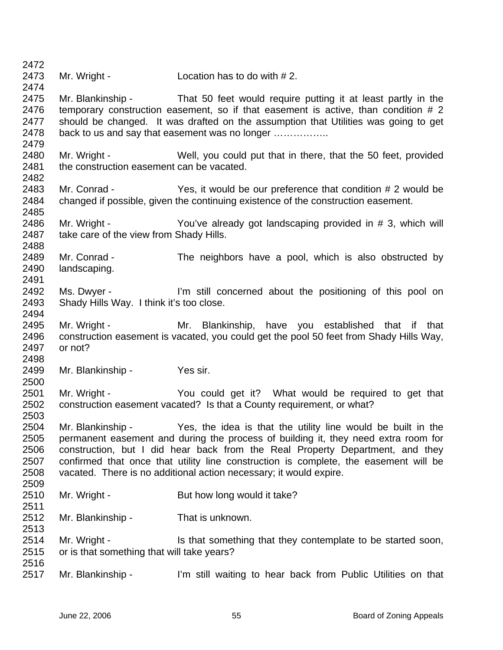2472 2473 2474 2475 2476 2477 2478 2479 2480 2481 2482 2483 2484 2485 2486 2487 2488 2489 2490 2491 2492 2493 2494 2495 2496 2497 2498 2499 2500 2501 2502 2503 2504 2505 2506 2507 2508 2509 2510 2511 2512 2513 2514 2515 2516 2517 Mr. Wright - Location has to do with #2. Mr. Blankinship - That 50 feet would require putting it at least partly in the temporary construction easement, so if that easement is active, than condition # 2 should be changed. It was drafted on the assumption that Utilities was going to get back to us and say that easement was no longer …………….. Mr. Wright - Well, you could put that in there, that the 50 feet, provided the construction easement can be vacated. Mr. Conrad - Yes, it would be our preference that condition # 2 would be changed if possible, given the continuing existence of the construction easement. Mr. Wright - You've already got landscaping provided in # 3, which will take care of the view from Shady Hills. Mr. Conrad - The neighbors have a pool, which is also obstructed by landscaping. Ms. Dwyer - I'm still concerned about the positioning of this pool on Shady Hills Way. I think it's too close. Mr. Wright - The Mr. Blankinship, have you established that if that construction easement is vacated, you could get the pool 50 feet from Shady Hills Way, or not? Mr. Blankinship - Yes sir. Mr. Wright - The You could get it? What would be required to get that construction easement vacated? Is that a County requirement, or what? Mr. Blankinship - Yes, the idea is that the utility line would be built in the permanent easement and during the process of building it, they need extra room for construction, but I did hear back from the Real Property Department, and they confirmed that once that utility line construction is complete, the easement will be vacated. There is no additional action necessary; it would expire. Mr. Wright - But how long would it take? Mr. Blankinship - That is unknown. Mr. Wright - Is that something that they contemplate to be started soon, or is that something that will take years? Mr. Blankinship - I'm still waiting to hear back from Public Utilities on that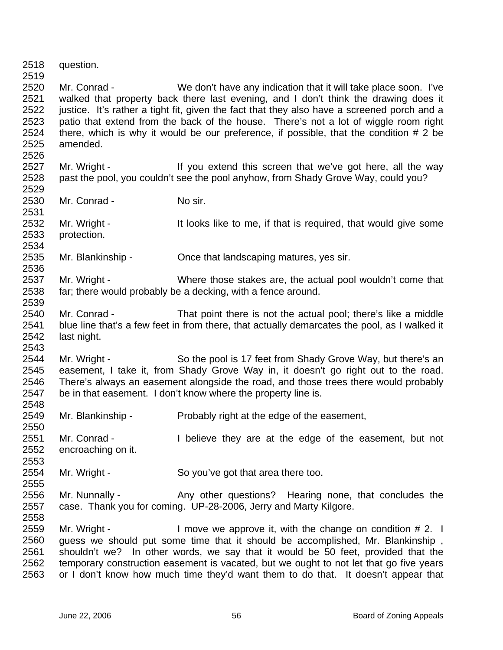2518 2519 2520 2521 2522 2523 2524 2525 2526 2527 2528 2529 2530 2531 2532 2533 2534 2535 2536 2537 2538 2539 2540 2541 2542 2543 2544 2545 2546 2547 2548 2549 2550 2551 2552 2553 2554 2555 2556 2557 2558 2559 2560 2561 2562 2563 question. Mr. Conrad - We don't have any indication that it will take place soon. I've walked that property back there last evening, and I don't think the drawing does it justice. It's rather a tight fit, given the fact that they also have a screened porch and a patio that extend from the back of the house. There's not a lot of wiggle room right there, which is why it would be our preference, if possible, that the condition # 2 be amended. Mr. Wright - If you extend this screen that we've got here, all the way past the pool, you couldn't see the pool anyhow, from Shady Grove Way, could you? Mr. Conrad - No sir. Mr. Wright - The It looks like to me, if that is required, that would give some protection. Mr. Blankinship - Chice that landscaping matures, yes sir. Mr. Wright - Where those stakes are, the actual pool wouldn't come that far; there would probably be a decking, with a fence around. Mr. Conrad - That point there is not the actual pool; there's like a middle blue line that's a few feet in from there, that actually demarcates the pool, as I walked it last night. Mr. Wright - So the pool is 17 feet from Shady Grove Way, but there's an easement, I take it, from Shady Grove Way in, it doesn't go right out to the road. There's always an easement alongside the road, and those trees there would probably be in that easement. I don't know where the property line is. Mr. Blankinship - Probably right at the edge of the easement, Mr. Conrad - Thelieve they are at the edge of the easement, but not encroaching on it. Mr. Wright - So you've got that area there too. Mr. Nunnally - Any other questions? Hearing none, that concludes the case. Thank you for coming. UP-28-2006, Jerry and Marty Kilgore. Mr. Wright - I move we approve it, with the change on condition # 2. I guess we should put some time that it should be accomplished, Mr. Blankinship , shouldn't we? In other words, we say that it would be 50 feet, provided that the temporary construction easement is vacated, but we ought to not let that go five years or I don't know how much time they'd want them to do that. It doesn't appear that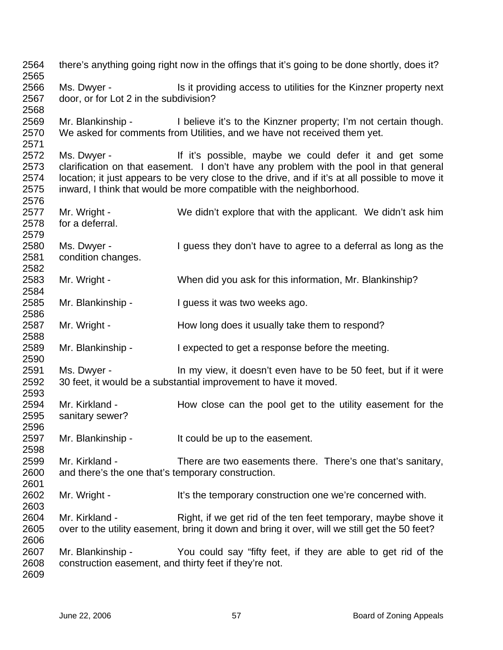there's anything going right now in the offings that it's going to be done shortly, does it? Ms. Dwyer - Is it providing access to utilities for the Kinzner property next door, or for Lot 2 in the subdivision? Mr. Blankinship - I believe it's to the Kinzner property; I'm not certain though. We asked for comments from Utilities, and we have not received them yet. Ms. Dwyer - The Music of the it's possible, maybe we could defer it and get some clarification on that easement. I don't have any problem with the pool in that general location; it just appears to be very close to the drive, and if it's at all possible to move it inward, I think that would be more compatible with the neighborhood. Mr. Wright - We didn't explore that with the applicant. We didn't ask him for a deferral. Ms. Dwyer - I guess they don't have to agree to a deferral as long as the condition changes. Mr. Wright - When did you ask for this information, Mr. Blankinship? Mr. Blankinship - I guess it was two weeks ago. Mr. Wright - How long does it usually take them to respond? Mr. Blankinship - I expected to get a response before the meeting. Ms. Dwyer - In my view, it doesn't even have to be 50 feet, but if it were 30 feet, it would be a substantial improvement to have it moved. Mr. Kirkland - The How close can the pool get to the utility easement for the sanitary sewer? Mr. Blankinship - It could be up to the easement. Mr. Kirkland - There are two easements there. There's one that's sanitary, and there's the one that's temporary construction. Mr. Wright - It's the temporary construction one we're concerned with. Mr. Kirkland - Right, if we get rid of the ten feet temporary, maybe shove it over to the utility easement, bring it down and bring it over, will we still get the 50 feet? Mr. Blankinship - You could say "fifty feet, if they are able to get rid of the construction easement, and thirty feet if they're not.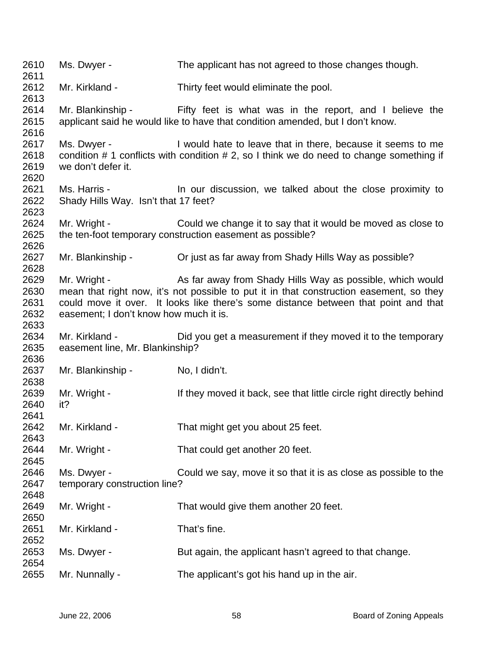Ms. Dwyer - The applicant has not agreed to those changes though. Mr. Kirkland - Thirty feet would eliminate the pool. Mr. Blankinship - Fifty feet is what was in the report, and I believe the applicant said he would like to have that condition amended, but I don't know. Ms. Dwyer - I would hate to leave that in there, because it seems to me condition # 1 conflicts with condition # 2, so I think we do need to change something if we don't defer it. Ms. Harris - In our discussion, we talked about the close proximity to Shady Hills Way. Isn't that 17 feet? Mr. Wright - Could we change it to say that it would be moved as close to the ten-foot temporary construction easement as possible? Mr. Blankinship - Criust as far away from Shady Hills Way as possible? Mr. Wright - As far away from Shady Hills Way as possible, which would mean that right now, it's not possible to put it in that construction easement, so they could move it over. It looks like there's some distance between that point and that easement; I don't know how much it is. Mr. Kirkland - Did you get a measurement if they moved it to the temporary easement line, Mr. Blankinship? Mr. Blankinship - No, I didn't. Mr. Wright - If they moved it back, see that little circle right directly behind it? Mr. Kirkland - That might get you about 25 feet. Mr. Wright - That could get another 20 feet. Ms. Dwyer - Could we say, move it so that it is as close as possible to the temporary construction line? Mr. Wright - That would give them another 20 feet. Mr. Kirkland - That's fine. Ms. Dwyer - But again, the applicant hasn't agreed to that change. Mr. Nunnally - The applicant's got his hand up in the air.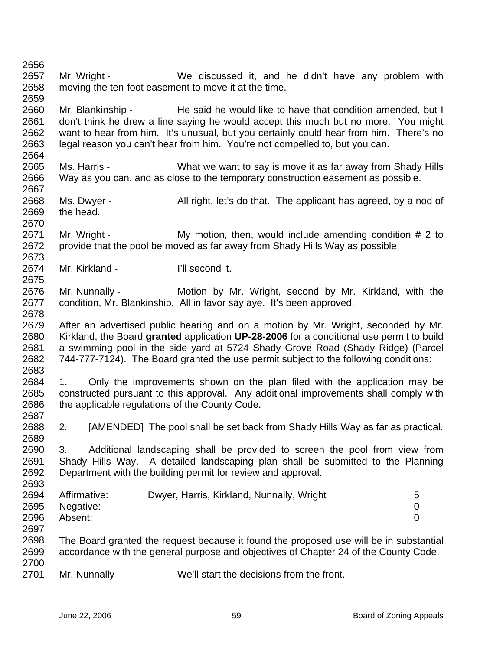2661 2662 2663 2664 2665 2666 2667 2668 2669 2670 2671 2672 2673 2674 2675 2676 2677 2678 2679 2680 2681 2682 2683 2684 2685 2686 2687 2688 2689 2690 2691 2692 2693 2694 2695 2696 2697 2698 2699 2700 2701 don't think he drew a line saying he would accept this much but no more. You might want to hear from him. It's unusual, but you certainly could hear from him. There's no legal reason you can't hear from him. You're not compelled to, but you can. Ms. Harris - What we want to say is move it as far away from Shady Hills Way as you can, and as close to the temporary construction easement as possible. Ms. Dwyer - All right, let's do that. The applicant has agreed, by a nod of the head. Mr. Wright - My motion, then, would include amending condition # 2 to provide that the pool be moved as far away from Shady Hills Way as possible. Mr. Kirkland - **I'll second it.** Mr. Nunnally - **Motion by Mr. Wright, second by Mr. Kirkland, with the** condition, Mr. Blankinship. All in favor say aye. It's been approved. After an advertised public hearing and on a motion by Mr. Wright, seconded by Mr. Kirkland, the Board **granted** application **UP-28-2006** for a conditional use permit to build a swimming pool in the side yard at 5724 Shady Grove Road (Shady Ridge) (Parcel 744-777-7124). The Board granted the use permit subject to the following conditions: 1. Only the improvements shown on the plan filed with the application may be constructed pursuant to this approval. Any additional improvements shall comply with the applicable regulations of the County Code. 2. [AMENDED] The pool shall be set back from Shady Hills Way as far as practical. 3. Additional landscaping shall be provided to screen the pool from view from Shady Hills Way. A detailed landscaping plan shall be submitted to the Planning Department with the building permit for review and approval. Affirmative: Dwyer, Harris, Kirkland, Nunnally, Wright 5 Negative: 0 Absent: 0 The Board granted the request because it found the proposed use will be in substantial accordance with the general purpose and objectives of Chapter 24 of the County Code. Mr. Nunnally - We'll start the decisions from the front. June 22, 2006 **59 59 59 59 59 Board of Zoning Appeals** 

Mr. Wright - We discussed it, and he didn't have any problem with

Mr. Blankinship - He said he would like to have that condition amended, but I

moving the ten-foot easement to move it at the time.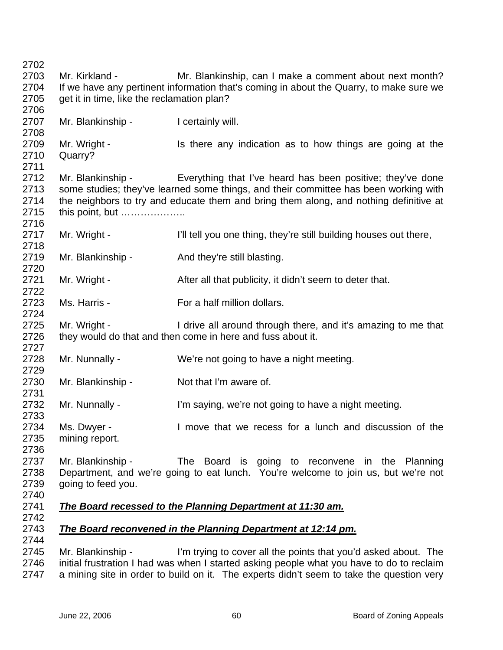Mr. Kirkland - **Mr. Blankinship, can I make a comment about next month?** If we have any pertinent information that's coming in about the Quarry, to make sure we get it in time, like the reclamation plan? Mr. Blankinship - I certainly will. Mr. Wright - Is there any indication as to how things are going at the Quarry? Mr. Blankinship - Everything that I've heard has been positive; they've done some studies; they've learned some things, and their committee has been working with the neighbors to try and educate them and bring them along, and nothing definitive at this point, but ……………….. Mr. Wright - I'll tell you one thing, they're still building houses out there, Mr. Blankinship - And they're still blasting. Mr. Wright - After all that publicity, it didn't seem to deter that. Ms. Harris - The Music For a half million dollars. Mr. Wright - I drive all around through there, and it's amazing to me that they would do that and then come in here and fuss about it. Mr. Nunnally - We're not going to have a night meeting. Mr. Blankinship - Not that I'm aware of. Mr. Nunnally - I'm saying, we're not going to have a night meeting. Ms. Dwyer - I move that we recess for a lunch and discussion of the mining report. Mr. Blankinship - The Board is going to reconvene in the Planning Department, and we're going to eat lunch. You're welcome to join us, but we're not going to feed you. *The Board recessed to the Planning Department at 11:30 am. The Board reconvened in the Planning Department at 12:14 pm.* Mr. Blankinship - I'm trying to cover all the points that you'd asked about. The initial frustration I had was when I started asking people what you have to do to reclaim

 a mining site in order to build on it. The experts didn't seem to take the question very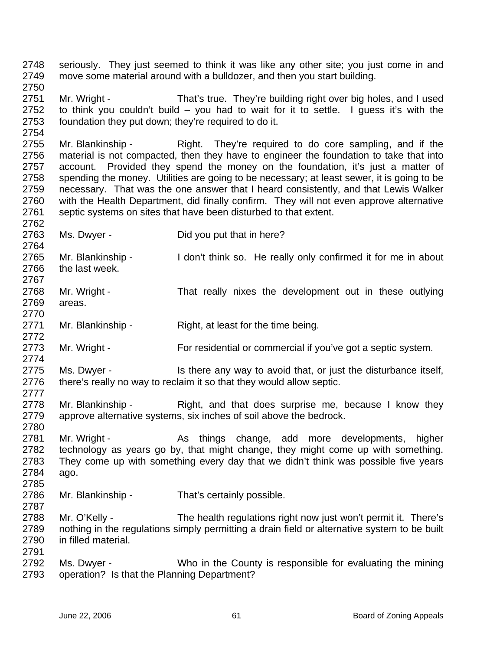2748 2749 2750 seriously. They just seemed to think it was like any other site; you just come in and move some material around with a bulldozer, and then you start building.

2751 2752 2753 Mr. Wright - That's true. They're building right over big holes, and I used to think you couldn't build – you had to wait for it to settle. I guess it's with the foundation they put down; they're required to do it.

2755 2756 2757 2758 2759 2760 2761 Mr. Blankinship - Right. They're required to do core sampling, and if the material is not compacted, then they have to engineer the foundation to take that into account. Provided they spend the money on the foundation, it's just a matter of spending the money. Utilities are going to be necessary; at least sewer, it is going to be necessary. That was the one answer that I heard consistently, and that Lewis Walker with the Health Department, did finally confirm. They will not even approve alternative septic systems on sites that have been disturbed to that extent.

2763

2762

2764

2767

2770

2772

2774

2780

2785

2754

Ms. Dwyer - Did you put that in here?

2765 2766 Mr. Blankinship - I don't think so. He really only confirmed it for me in about the last week.

2768 2769 Mr. Wright - That really nixes the development out in these outlying areas.

2771 Mr. Blankinship - Right, at least for the time being.

2773 Mr. Wright - For residential or commercial if you've got a septic system.

2775 2776 2777 Ms. Dwyer - Is there any way to avoid that, or just the disturbance itself, there's really no way to reclaim it so that they would allow septic.

- 2778 2779 Mr. Blankinship - Right, and that does surprise me, because I know they approve alternative systems, six inches of soil above the bedrock.
- 2781 2782 2783 2784 Mr. Wright - The As things change, add more developments, higher technology as years go by, that might change, they might come up with something. They come up with something every day that we didn't think was possible five years ago.

2786 2787 Mr. Blankinship - That's certainly possible.

2788 2789 2790 2791 Mr. O'Kelly - The health regulations right now just won't permit it. There's nothing in the regulations simply permitting a drain field or alternative system to be built in filled material.

2792 2793 Ms. Dwyer - Who in the County is responsible for evaluating the mining operation? Is that the Planning Department?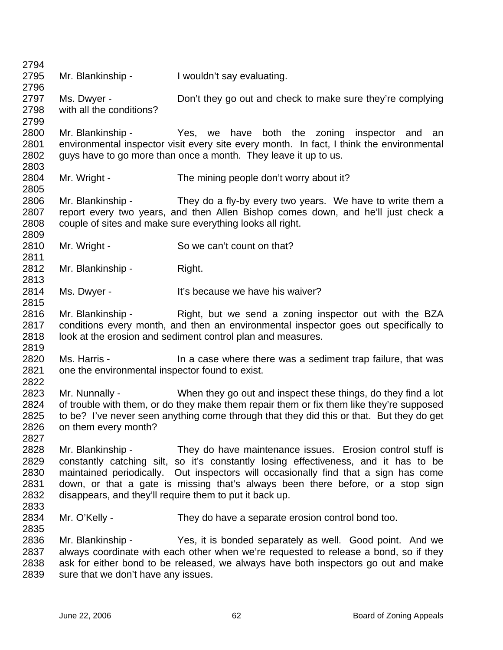2794 2795 2796 2797 2798 2799 2800 2801 2802 2803 2804 2805 2806 2807 2808 2809 2810 2811 2812 2813 2814 2815 2816 2817 2818 2819 2820 2821 2822 2823 2824 2825 2826 2827 2828 2829 2830 2831 2832 2833 2834 2835 2836 2837 2838 2839 Mr. Blankinship - I wouldn't say evaluating. Ms. Dwyer - **Don't they go out and check to make sure they're complying** with all the conditions? Mr. Blankinship - The Yes, we have both the zoning inspector and an environmental inspector visit every site every month. In fact, I think the environmental guys have to go more than once a month. They leave it up to us. Mr. Wright - The mining people don't worry about it? Mr. Blankinship - They do a fly-by every two years. We have to write them a report every two years, and then Allen Bishop comes down, and he'll just check a couple of sites and make sure everything looks all right. Mr. Wright - So we can't count on that? Mr. Blankinship - Right. Ms. Dwyer - It's because we have his waiver? Mr. Blankinship - The Right, but we send a zoning inspector out with the BZA conditions every month, and then an environmental inspector goes out specifically to look at the erosion and sediment control plan and measures. Ms. Harris - In a case where there was a sediment trap failure, that was one the environmental inspector found to exist. Mr. Nunnally - When they go out and inspect these things, do they find a lot of trouble with them, or do they make them repair them or fix them like they're supposed to be? I've never seen anything come through that they did this or that. But they do get on them every month? Mr. Blankinship - They do have maintenance issues. Erosion control stuff is constantly catching silt, so it's constantly losing effectiveness, and it has to be maintained periodically. Out inspectors will occasionally find that a sign has come down, or that a gate is missing that's always been there before, or a stop sign disappears, and they'll require them to put it back up. Mr. O'Kelly - They do have a separate erosion control bond too. Mr. Blankinship - Yes, it is bonded separately as well. Good point. And we always coordinate with each other when we're requested to release a bond, so if they ask for either bond to be released, we always have both inspectors go out and make sure that we don't have any issues.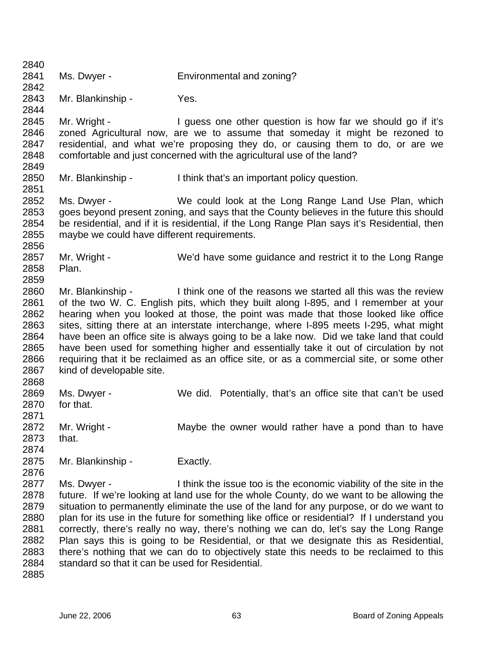2840 2841 2842 2843 2844 2845 2846 2847 2848 2849 2850 2851 2852 2853 2854 2855 2856 2857 2858 2859 2860 2861 2862 2863 2864 2865 2866 2867 2868 2869 2870 2871 2872 2873 2874 2875 2876 2877 2878 2879 2880 2881 2882 2883 2884 2885 Ms. Dwyer - Environmental and zoning? Mr. Blankinship - Yes. Mr. Wright - I guess one other question is how far we should go if it's zoned Agricultural now, are we to assume that someday it might be rezoned to residential, and what we're proposing they do, or causing them to do, or are we comfortable and just concerned with the agricultural use of the land? Mr. Blankinship - I think that's an important policy question. Ms. Dwyer - We could look at the Long Range Land Use Plan, which goes beyond present zoning, and says that the County believes in the future this should be residential, and if it is residential, if the Long Range Plan says it's Residential, then maybe we could have different requirements. Mr. Wright - We'd have some guidance and restrict it to the Long Range Plan. Mr. Blankinship - Think one of the reasons we started all this was the review of the two W. C. English pits, which they built along I-895, and I remember at your hearing when you looked at those, the point was made that those looked like office sites, sitting there at an interstate interchange, where I-895 meets I-295, what might have been an office site is always going to be a lake now. Did we take land that could have been used for something higher and essentially take it out of circulation by not requiring that it be reclaimed as an office site, or as a commercial site, or some other kind of developable site. Ms. Dwyer - We did. Potentially, that's an office site that can't be used for that. Mr. Wright - **Maybe the owner would rather have a pond than to have** that. Mr. Blankinship - Exactly. Ms. Dwyer - I think the issue too is the economic viability of the site in the future. If we're looking at land use for the whole County, do we want to be allowing the situation to permanently eliminate the use of the land for any purpose, or do we want to plan for its use in the future for something like office or residential? If I understand you correctly, there's really no way, there's nothing we can do, let's say the Long Range Plan says this is going to be Residential, or that we designate this as Residential, there's nothing that we can do to objectively state this needs to be reclaimed to this standard so that it can be used for Residential.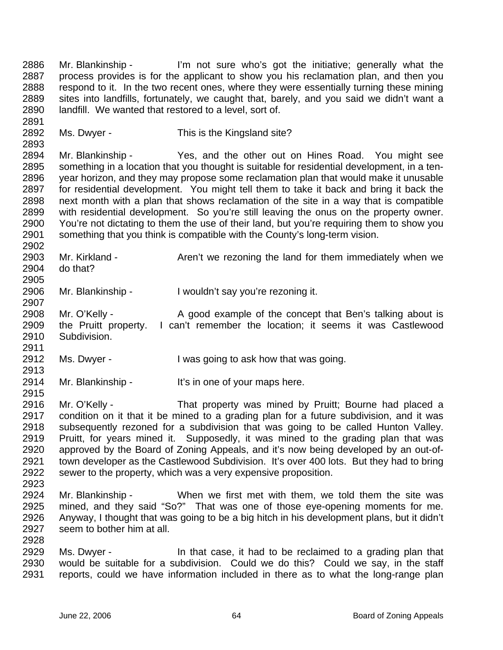2886 2887 2888 2889 2890 Mr. Blankinship - I'm not sure who's got the initiative; generally what the process provides is for the applicant to show you his reclamation plan, and then you respond to it. In the two recent ones, where they were essentially turning these mining sites into landfills, fortunately, we caught that, barely, and you said we didn't want a landfill. We wanted that restored to a level, sort of.

2892 Ms. Dwyer - This is the Kingsland site?

2894 2895 2896 2897 2898 2899 2900 2901 Mr. Blankinship - Yes, and the other out on Hines Road. You might see something in a location that you thought is suitable for residential development, in a tenyear horizon, and they may propose some reclamation plan that would make it unusable for residential development. You might tell them to take it back and bring it back the next month with a plan that shows reclamation of the site in a way that is compatible with residential development. So you're still leaving the onus on the property owner. You're not dictating to them the use of their land, but you're requiring them to show you something that you think is compatible with the County's long-term vision.

2903 2904 Mr. Kirkland - The Aren't we rezoning the land for them immediately when we do that?

2906 Mr. Blankinship - I wouldn't say you're rezoning it.

2908 2909 2910 Mr. O'Kelly - A good example of the concept that Ben's talking about is the Pruitt property. I can't remember the location; it seems it was Castlewood Subdivision.

2912 Ms. Dwyer - I was going to ask how that was going.

2914 Mr. Blankinship - It's in one of your maps here.

- 2916 2917 2918 2919 2920 2921 2922 Mr. O'Kelly - That property was mined by Pruitt; Bourne had placed a condition on it that it be mined to a grading plan for a future subdivision, and it was subsequently rezoned for a subdivision that was going to be called Hunton Valley. Pruitt, for years mined it. Supposedly, it was mined to the grading plan that was approved by the Board of Zoning Appeals, and it's now being developed by an out-oftown developer as the Castlewood Subdivision. It's over 400 lots. But they had to bring sewer to the property, which was a very expensive proposition.
- 2923

2891

2893

2902

2905

2907

2911

2913

2915

2924 2925 2926 2927 2928 Mr. Blankinship - When we first met with them, we told them the site was mined, and they said "So?" That was one of those eye-opening moments for me. Anyway, I thought that was going to be a big hitch in his development plans, but it didn't seem to bother him at all.

2929 2930 2931 Ms. Dwyer - In that case, it had to be reclaimed to a grading plan that would be suitable for a subdivision. Could we do this? Could we say, in the staff reports, could we have information included in there as to what the long-range plan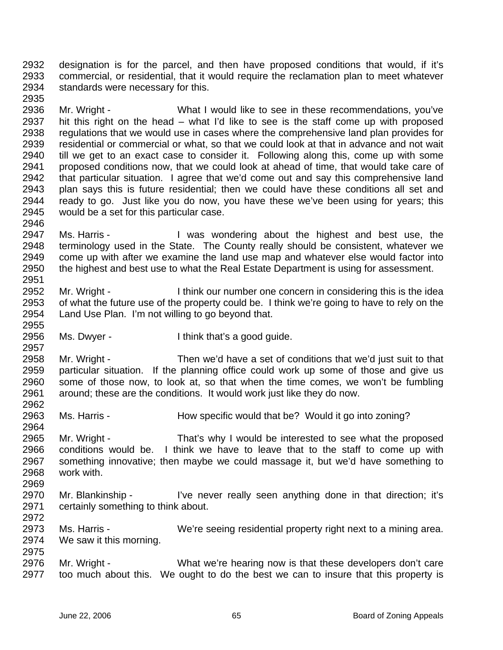2932 2933 2934 designation is for the parcel, and then have proposed conditions that would, if it's commercial, or residential, that it would require the reclamation plan to meet whatever standards were necessary for this.

2936 2937 2938 2939 2940 2941 2942 2943 2944 2945 Mr. Wright - What I would like to see in these recommendations, you've hit this right on the head – what I'd like to see is the staff come up with proposed regulations that we would use in cases where the comprehensive land plan provides for residential or commercial or what, so that we could look at that in advance and not wait till we get to an exact case to consider it. Following along this, come up with some proposed conditions now, that we could look at ahead of time, that would take care of that particular situation. I agree that we'd come out and say this comprehensive land plan says this is future residential; then we could have these conditions all set and ready to go. Just like you do now, you have these we've been using for years; this would be a set for this particular case.

- 2947 2948 2949 2950 2951 Ms. Harris - The Mas wondering about the highest and best use, the terminology used in the State. The County really should be consistent, whatever we come up with after we examine the land use map and whatever else would factor into the highest and best use to what the Real Estate Department is using for assessment.
- 2952 2953 2954 2955 Mr. Wright - I think our number one concern in considering this is the idea of what the future use of the property could be. I think we're going to have to rely on the Land Use Plan. I'm not willing to go beyond that.
- 2956 Ms. Dwyer - I think that's a good guide.

2958 2959 2960 2961 Mr. Wright - Then we'd have a set of conditions that we'd just suit to that particular situation. If the planning office could work up some of those and give us some of those now, to look at, so that when the time comes, we won't be fumbling around; these are the conditions. It would work just like they do now.

- 2963 Ms. Harris - **How specific would that be?** Would it go into zoning?
- 2964 2965 2966 2967 2968 2969 Mr. Wright - That's why I would be interested to see what the proposed conditions would be. I think we have to leave that to the staff to come up with something innovative; then maybe we could massage it, but we'd have something to work with.
- 2970 2971 Mr. Blankinship - I've never really seen anything done in that direction; it's certainly something to think about.
- 2973 2974 2975 Ms. Harris - We're seeing residential property right next to a mining area. We saw it this morning.
- 2976 2977 Mr. Wright - What we're hearing now is that these developers don't care too much about this. We ought to do the best we can to insure that this property is

2935

2946

2957

2962

2972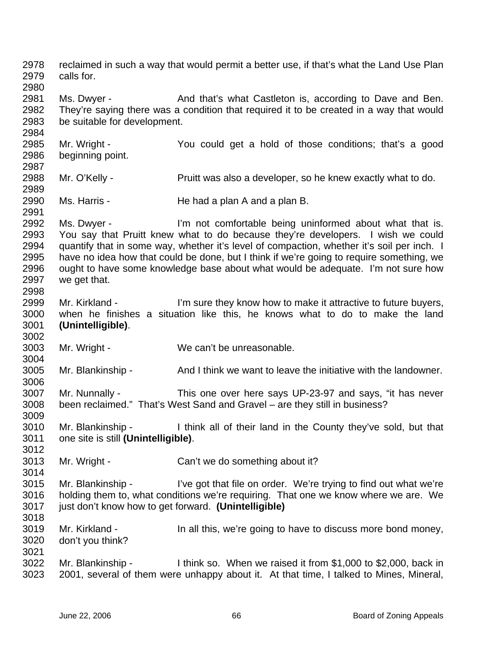2978 2979 2980 2981 2982 2983 2984 2985 2986 2987 2988 2989 2990 2991 2992 2993 2994 2995 2996 2997 2998 2999 3000 3001 3002 3003 3004 3005 3006 3007 3008 3009 3010 3011 3012 3013 3014 3015 3016 3017 3018 3019 3020 3021 3022 3023 reclaimed in such a way that would permit a better use, if that's what the Land Use Plan calls for. Ms. Dwyer - And that's what Castleton is, according to Dave and Ben. They're saying there was a condition that required it to be created in a way that would be suitable for development. Mr. Wright - The You could get a hold of those conditions; that's a good beginning point. Mr. O'Kelly - **Pruitt was also a developer**, so he knew exactly what to do. Ms. Harris - The had a plan A and a plan B. Ms. Dwyer - I'm not comfortable being uninformed about what that is. You say that Pruitt knew what to do because they're developers. I wish we could quantify that in some way, whether it's level of compaction, whether it's soil per inch. I have no idea how that could be done, but I think if we're going to require something, we ought to have some knowledge base about what would be adequate. I'm not sure how we get that. Mr. Kirkland - I'm sure they know how to make it attractive to future buyers, when he finishes a situation like this, he knows what to do to make the land **(Unintelligible)**. Mr. Wright - We can't be unreasonable. Mr. Blankinship - And I think we want to leave the initiative with the landowner. Mr. Nunnally - This one over here says UP-23-97 and says, "it has never been reclaimed." That's West Sand and Gravel – are they still in business? Mr. Blankinship - I think all of their land in the County they've sold, but that one site is still **(Unintelligible)**. Mr. Wright - Can't we do something about it? Mr. Blankinship - I've got that file on order. We're trying to find out what we're holding them to, what conditions we're requiring. That one we know where we are. We just don't know how to get forward. **(Unintelligible)** Mr. Kirkland - In all this, we're going to have to discuss more bond money, don't you think? Mr. Blankinship - I think so. When we raised it from \$1,000 to \$2,000, back in 2001, several of them were unhappy about it. At that time, I talked to Mines, Mineral,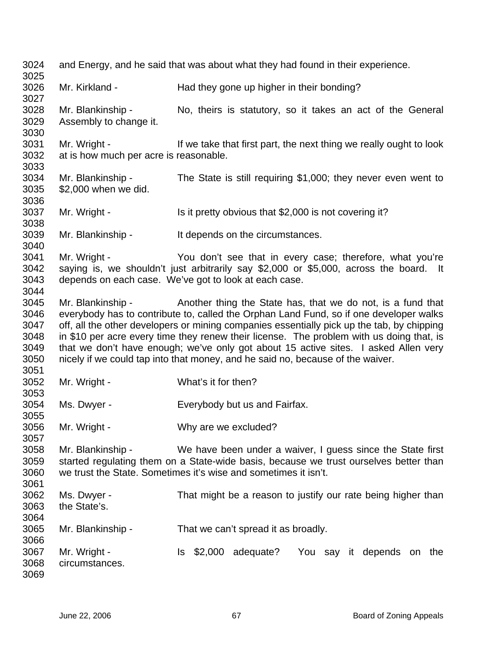3024 3025 3026 3027 3028 3029 3030 3031 3032 3033 3034 3035 3036 3037 3038 3039 3040 3041 3042 3043 3044 3045 3046 3047 3048 3049 3050 3051 3052 3053 3054 3055 3056 3057 3058 3059 3060 3061 3062 3063 3064 3065 3066 3067 3068 3069 and Energy, and he said that was about what they had found in their experience. Mr. Kirkland - Had they gone up higher in their bonding? Mr. Blankinship - No, theirs is statutory, so it takes an act of the General Assembly to change it. Mr. Wright - If we take that first part, the next thing we really ought to look at is how much per acre is reasonable. Mr. Blankinship - The State is still requiring \$1,000; they never even went to \$2,000 when we did. Mr. Wright - Is it pretty obvious that \$2,000 is not covering it? Mr. Blankinship - It depends on the circumstances. Mr. Wright - The You don't see that in every case; therefore, what you're saying is, we shouldn't just arbitrarily say \$2,000 or \$5,000, across the board. It depends on each case. We've got to look at each case. Mr. Blankinship - Another thing the State has, that we do not, is a fund that everybody has to contribute to, called the Orphan Land Fund, so if one developer walks off, all the other developers or mining companies essentially pick up the tab, by chipping in \$10 per acre every time they renew their license. The problem with us doing that, is that we don't have enough; we've only got about 15 active sites. I asked Allen very nicely if we could tap into that money, and he said no, because of the waiver. Mr. Wright - What's it for then? Ms. Dwyer - Everybody but us and Fairfax. Mr. Wright - Why are we excluded? Mr. Blankinship - We have been under a waiver, I guess since the State first started regulating them on a State-wide basis, because we trust ourselves better than we trust the State. Sometimes it's wise and sometimes it isn't. Ms. Dwyer - That might be a reason to justify our rate being higher than the State's. Mr. Blankinship - That we can't spread it as broadly. Mr. Wright - The S2,000 adequate? You say it depends on the circumstances.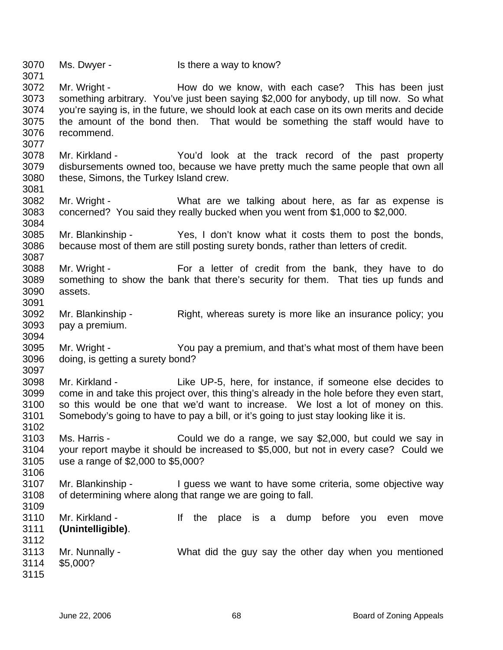3070 3071 3072 3073 3074 3075 3076 3077 3078 3079 3080 3081 3082 3083 3084 3085 3086 3087 3088 3089 3090 3091 3092 3093 3094 3095 3096 3097 3098 3099 3100 3101 3102 3103 3104 3105 3106 3107 3108 3109 3110 3111 3112 3113 3114 3115 Ms. Dwyer - Is there a way to know? Mr. Wright - This has been just allow do we know, with each case? This has been just something arbitrary. You've just been saying \$2,000 for anybody, up till now. So what you're saying is, in the future, we should look at each case on its own merits and decide the amount of the bond then. That would be something the staff would have to recommend. Mr. Kirkland - The You'd look at the track record of the past property disbursements owned too, because we have pretty much the same people that own all these, Simons, the Turkey Island crew. Mr. Wright - The Must are we talking about here, as far as expense is concerned? You said they really bucked when you went from \$1,000 to \$2,000. Mr. Blankinship - Yes, I don't know what it costs them to post the bonds, because most of them are still posting surety bonds, rather than letters of credit. Mr. Wright - For a letter of credit from the bank, they have to do something to show the bank that there's security for them. That ties up funds and assets. Mr. Blankinship - Right, whereas surety is more like an insurance policy; you pay a premium. Mr. Wright - You pay a premium, and that's what most of them have been doing, is getting a surety bond? Mr. Kirkland - Like UP-5, here, for instance, if someone else decides to come in and take this project over, this thing's already in the hole before they even start, so this would be one that we'd want to increase. We lost a lot of money on this. Somebody's going to have to pay a bill, or it's going to just stay looking like it is. Ms. Harris - Could we do a range, we say \$2,000, but could we say in your report maybe it should be increased to \$5,000, but not in every case? Could we use a range of \$2,000 to \$5,000? Mr. Blankinship - I guess we want to have some criteria, some objective way of determining where along that range we are going to fall. Mr. Kirkland - The the place is a dump before you even move **(Unintelligible)**. Mr. Nunnally - What did the guy say the other day when you mentioned \$5,000?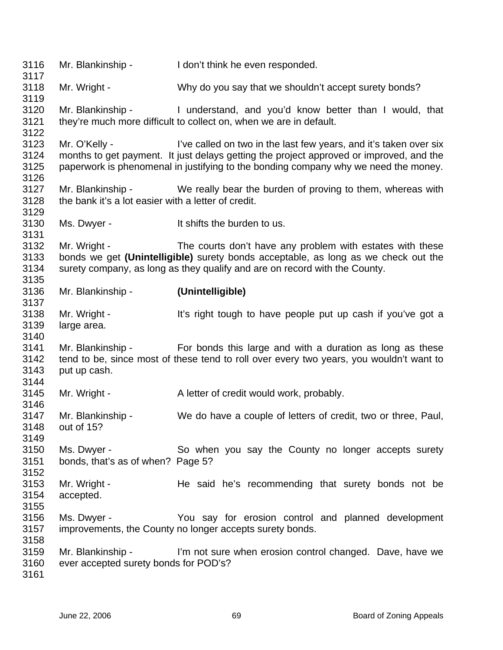3116 3117 3118 3119 3120 3121 3122 3123 3124 3125 3126 3127 3128 3129 3130 3131 3132 3133 3134 3135 3136 3137 3138 3139 3140 3141 3142 3143 3144 3145 3146 3147 3148 3149 3150 3151 3152 3153 3154 3155 3156 3157 3158 3159 3160 3161 Mr. Blankinship - I don't think he even responded. Mr. Wright - Why do you say that we shouldn't accept surety bonds? Mr. Blankinship - I understand, and you'd know better than I would, that they're much more difficult to collect on, when we are in default. Mr. O'Kelly - I've called on two in the last few years, and it's taken over six months to get payment. It just delays getting the project approved or improved, and the paperwork is phenomenal in justifying to the bonding company why we need the money. Mr. Blankinship - We really bear the burden of proving to them, whereas with the bank it's a lot easier with a letter of credit. Ms. Dwyer - The Music Shifts the burden to us. Mr. Wright - The courts don't have any problem with estates with these bonds we get **(Unintelligible)** surety bonds acceptable, as long as we check out the surety company, as long as they qualify and are on record with the County. Mr. Blankinship - **(Unintelligible)** Mr. Wright - It's right tough to have people put up cash if you've got a large area. Mr. Blankinship - For bonds this large and with a duration as long as these tend to be, since most of these tend to roll over every two years, you wouldn't want to put up cash. Mr. Wright - A letter of credit would work, probably. Mr. Blankinship - We do have a couple of letters of credit, two or three, Paul, out of 15? Ms. Dwyer - So when you say the County no longer accepts surety bonds, that's as of when? Page 5? Mr. Wright - The said he's recommending that surety bonds not be accepted. Ms. Dwyer - You say for erosion control and planned development improvements, the County no longer accepts surety bonds. Mr. Blankinship - I'm not sure when erosion control changed. Dave, have we ever accepted surety bonds for POD's?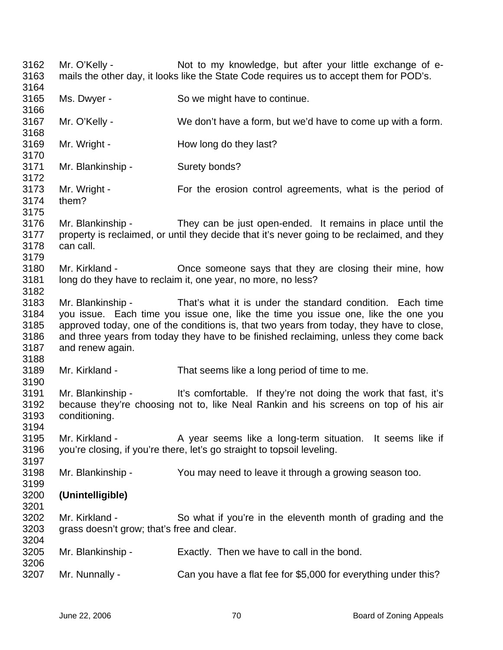3162 3163 3164 3165 3166 3167 3168 3169 3170 3171 3172 3173 3174 3175 3176 3177 3178 3179 3180 3181 3182 3183 3184 3185 3186 3187 3188 3189 3190 3191 3192 3193 3194 3195 3196 3197 3198 3199 3200 3201 3202 3203 3204 3205 3206 3207 Mr. O'Kelly - Not to my knowledge, but after your little exchange of emails the other day, it looks like the State Code requires us to accept them for POD's. Ms. Dwyer - So we might have to continue. Mr. O'Kelly - We don't have a form, but we'd have to come up with a form. Mr. Wright - The How long do they last? Mr. Blankinship - Surety bonds? Mr. Wright - For the erosion control agreements, what is the period of them? Mr. Blankinship - They can be just open-ended. It remains in place until the property is reclaimed, or until they decide that it's never going to be reclaimed, and they can call. Mr. Kirkland - Chice someone says that they are closing their mine, how long do they have to reclaim it, one year, no more, no less? Mr. Blankinship - That's what it is under the standard condition. Each time you issue. Each time you issue one, like the time you issue one, like the one you approved today, one of the conditions is, that two years from today, they have to close, and three years from today they have to be finished reclaiming, unless they come back and renew again. Mr. Kirkland - That seems like a long period of time to me. Mr. Blankinship - It's comfortable. If they're not doing the work that fast, it's because they're choosing not to, like Neal Rankin and his screens on top of his air conditioning. Mr. Kirkland - A year seems like a long-term situation. It seems like if you're closing, if you're there, let's go straight to topsoil leveling. Mr. Blankinship - You may need to leave it through a growing season too. **(Unintelligible)** Mr. Kirkland - So what if you're in the eleventh month of grading and the grass doesn't grow; that's free and clear. Mr. Blankinship - Exactly. Then we have to call in the bond. Mr. Nunnally - Can you have a flat fee for \$5,000 for everything under this?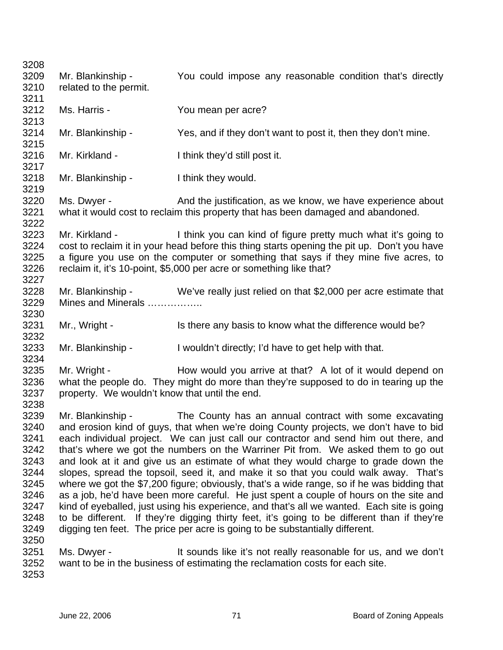3208 3209 3210 3211 3212 3213 3214 3215 3216 3217 3218 3219 3220 3221 3222 3223 3224 3225 3226 3227 3228 3229 3230 3231 3232 3233 3234 3235 3236 3237 3238 3239 3240 3241 3242 3243 3244 3245 3246 3247 3248 3249 3250 3251 3252 3253 Mr. Blankinship - You could impose any reasonable condition that's directly related to the permit. Ms. Harris - You mean per acre? Mr. Blankinship - Yes, and if they don't want to post it, then they don't mine. Mr. Kirkland - I think they'd still post it. Mr. Blankinship - I think they would. Ms. Dwyer - And the justification, as we know, we have experience about what it would cost to reclaim this property that has been damaged and abandoned. Mr. Kirkland - I think you can kind of figure pretty much what it's going to cost to reclaim it in your head before this thing starts opening the pit up. Don't you have a figure you use on the computer or something that says if they mine five acres, to reclaim it, it's 10-point, \$5,000 per acre or something like that? Mr. Blankinship - We've really just relied on that \$2,000 per acre estimate that Mines and Minerals …………….. Mr., Wright - Is there any basis to know what the difference would be? Mr. Blankinship - I wouldn't directly; I'd have to get help with that. Mr. Wright - How would you arrive at that? A lot of it would depend on what the people do. They might do more than they're supposed to do in tearing up the property. We wouldn't know that until the end. Mr. Blankinship - The County has an annual contract with some excavating and erosion kind of guys, that when we're doing County projects, we don't have to bid each individual project. We can just call our contractor and send him out there, and that's where we got the numbers on the Warriner Pit from. We asked them to go out and look at it and give us an estimate of what they would charge to grade down the slopes, spread the topsoil, seed it, and make it so that you could walk away. That's where we got the \$7,200 figure; obviously, that's a wide range, so if he was bidding that as a job, he'd have been more careful. He just spent a couple of hours on the site and kind of eyeballed, just using his experience, and that's all we wanted. Each site is going to be different. If they're digging thirty feet, it's going to be different than if they're digging ten feet. The price per acre is going to be substantially different. Ms. Dwyer - It sounds like it's not really reasonable for us, and we don't want to be in the business of estimating the reclamation costs for each site.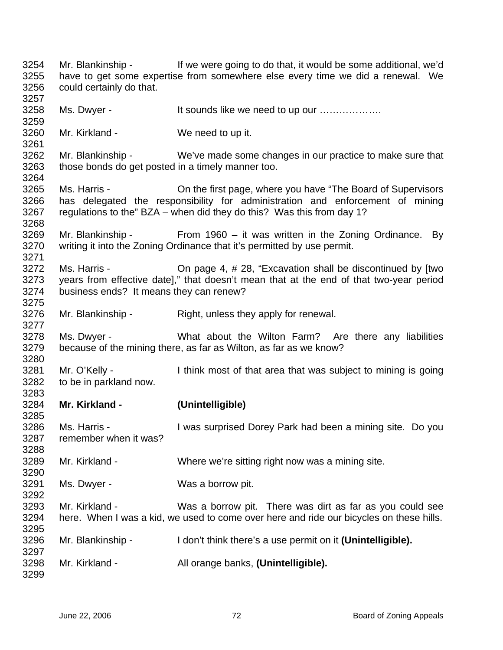Mr. Blankinship - If we were going to do that, it would be some additional, we'd have to get some expertise from somewhere else every time we did a renewal. We could certainly do that. Ms. Dwyer - The Music of the Sounds like we need to up our ..................... Mr. Kirkland - We need to up it. Mr. Blankinship - We've made some changes in our practice to make sure that those bonds do get posted in a timely manner too. Ms. Harris - On the first page, where you have "The Board of Supervisors has delegated the responsibility for administration and enforcement of mining regulations to the" BZA – when did they do this? Was this from day 1? Mr. Blankinship - From 1960 – it was written in the Zoning Ordinance. By writing it into the Zoning Ordinance that it's permitted by use permit. Ms. Harris - **On page 4, #28, "Excavation shall be discontinued by [two** years from effective date]," that doesn't mean that at the end of that two-year period business ends? It means they can renew? Mr. Blankinship - Right, unless they apply for renewal. Ms. Dwyer - What about the Wilton Farm? Are there any liabilities because of the mining there, as far as Wilton, as far as we know? Mr. O'Kelly - I think most of that area that was subject to mining is going to be in parkland now. **Mr. Kirkland - (Unintelligible)** Ms. Harris - **I** was surprised Dorey Park had been a mining site. Do you remember when it was? Mr. Kirkland - Where we're sitting right now was a mining site. Ms. Dwyer - Was a borrow pit. Mr. Kirkland - Was a borrow pit. There was dirt as far as you could see here. When I was a kid, we used to come over here and ride our bicycles on these hills. Mr. Blankinship - I don't think there's a use permit on it (**Unintelligible**). Mr. Kirkland - All orange banks, **(Unintelligible).**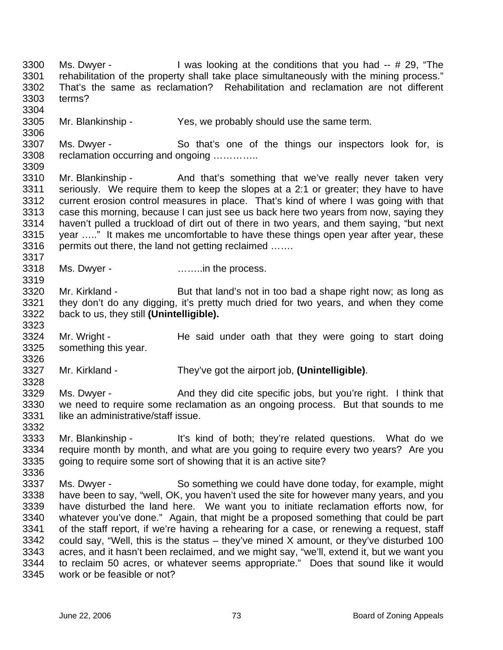3300 3301 3302 3303 3304 Ms. Dwyer - I was looking at the conditions that you had -- # 29, "The rehabilitation of the property shall take place simultaneously with the mining process." That's the same as reclamation? Rehabilitation and reclamation are not different terms?

3305 Mr. Blankinship - Yes, we probably should use the same term.

3307 3308 3309 Ms. Dwyer - So that's one of the things our inspectors look for, is reclamation occurring and ongoing …………..

3310 3311 3312 3313 3314 3315 3316 Mr. Blankinship - And that's something that we've really never taken very seriously. We require them to keep the slopes at a 2:1 or greater; they have to have current erosion control measures in place. That's kind of where I was going with that case this morning, because I can just see us back here two years from now, saying they haven't pulled a truckload of dirt out of there in two years, and them saying, "but next year ….." It makes me uncomfortable to have these things open year after year, these permits out there, the land not getting reclaimed …….

3318 Ms. Dwyer - **Example 20** ……...in the process.

3306

3317

3319

3323

3326

3328

3332

3336

3320 3321 3322 Mr. Kirkland - But that land's not in too bad a shape right now; as long as they don't do any digging, it's pretty much dried for two years, and when they come back to us, they still **(Unintelligible).** 

3324 3325 Mr. Wright - The said under oath that they were going to start doing something this year.

3327 Mr. Kirkland - They've got the airport job, **(Unintelligible)**.

3329 3330 3331 Ms. Dwyer - And they did cite specific jobs, but you're right. I think that we need to require some reclamation as an ongoing process. But that sounds to me like an administrative/staff issue.

- 3333 3334 3335 Mr. Blankinship - It's kind of both; they're related questions. What do we require month by month, and what are you going to require every two years? Are you going to require some sort of showing that it is an active site?
- 3337 3338 3339 3340 3341 3342 3343 3344 3345 Ms. Dwyer - So something we could have done today, for example, might have been to say, "well, OK, you haven't used the site for however many years, and you have disturbed the land here. We want you to initiate reclamation efforts now, for whatever you've done." Again, that might be a proposed something that could be part of the staff report, if we're having a rehearing for a case, or renewing a request, staff could say, "Well, this is the status – they've mined  $X$  amount, or they've disturbed 100 acres, and it hasn't been reclaimed, and we might say, "we'll, extend it, but we want you to reclaim 50 acres, or whatever seems appropriate." Does that sound like it would work or be feasible or not?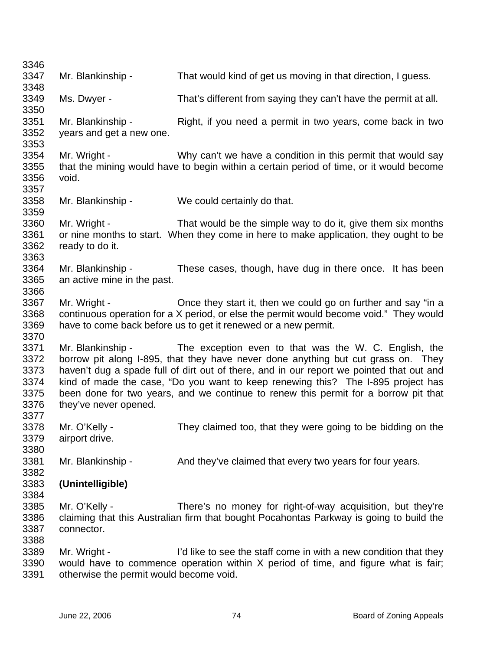| 3346                                                 |                                                                                                                                                                                                                                                                                                                                                                                                                                                                 |                                                                                                                                                                                                                           |
|------------------------------------------------------|-----------------------------------------------------------------------------------------------------------------------------------------------------------------------------------------------------------------------------------------------------------------------------------------------------------------------------------------------------------------------------------------------------------------------------------------------------------------|---------------------------------------------------------------------------------------------------------------------------------------------------------------------------------------------------------------------------|
| 3347                                                 | Mr. Blankinship -                                                                                                                                                                                                                                                                                                                                                                                                                                               | That would kind of get us moving in that direction, I guess.                                                                                                                                                              |
| 3348                                                 |                                                                                                                                                                                                                                                                                                                                                                                                                                                                 |                                                                                                                                                                                                                           |
| 3349<br>3350                                         | Ms. Dwyer -                                                                                                                                                                                                                                                                                                                                                                                                                                                     | That's different from saying they can't have the permit at all.                                                                                                                                                           |
| 3351<br>3352<br>3353                                 | Mr. Blankinship -<br>years and get a new one.                                                                                                                                                                                                                                                                                                                                                                                                                   | Right, if you need a permit in two years, come back in two                                                                                                                                                                |
| 3354<br>3355<br>3356<br>3357                         | Mr. Wright -<br>void.                                                                                                                                                                                                                                                                                                                                                                                                                                           | Why can't we have a condition in this permit that would say<br>that the mining would have to begin within a certain period of time, or it would become                                                                    |
| 3358<br>3359                                         | Mr. Blankinship -                                                                                                                                                                                                                                                                                                                                                                                                                                               | We could certainly do that.                                                                                                                                                                                               |
| 3360<br>3361<br>3362<br>3363                         | Mr. Wright -<br>ready to do it.                                                                                                                                                                                                                                                                                                                                                                                                                                 | That would be the simple way to do it, give them six months<br>or nine months to start. When they come in here to make application, they ought to be                                                                      |
| 3364<br>3365<br>3366                                 | Mr. Blankinship -<br>an active mine in the past.                                                                                                                                                                                                                                                                                                                                                                                                                | These cases, though, have dug in there once. It has been                                                                                                                                                                  |
| 3367<br>3368<br>3369<br>3370                         | Mr. Wright -                                                                                                                                                                                                                                                                                                                                                                                                                                                    | Once they start it, then we could go on further and say "in a<br>continuous operation for a X period, or else the permit would become void." They would<br>have to come back before us to get it renewed or a new permit. |
| 3371<br>3372<br>3373<br>3374<br>3375<br>3376<br>3377 | Mr. Blankinship -<br>The exception even to that was the W. C. English, the<br>borrow pit along I-895, that they have never done anything but cut grass on. They<br>haven't dug a spade full of dirt out of there, and in our report we pointed that out and<br>kind of made the case, "Do you want to keep renewing this? The I-895 project has<br>been done for two years, and we continue to renew this permit for a borrow pit that<br>they've never opened. |                                                                                                                                                                                                                           |
| 3378<br>3379<br>3380                                 | Mr. O'Kelly -<br>airport drive.                                                                                                                                                                                                                                                                                                                                                                                                                                 | They claimed too, that they were going to be bidding on the                                                                                                                                                               |
| 3381<br>3382                                         | Mr. Blankinship -                                                                                                                                                                                                                                                                                                                                                                                                                                               | And they've claimed that every two years for four years.                                                                                                                                                                  |
| 3383<br>3384                                         | (Unintelligible)                                                                                                                                                                                                                                                                                                                                                                                                                                                |                                                                                                                                                                                                                           |
| 3385<br>3386<br>3387<br>3388                         | Mr. O'Kelly -<br>connector.                                                                                                                                                                                                                                                                                                                                                                                                                                     | There's no money for right-of-way acquisition, but they're<br>claiming that this Australian firm that bought Pocahontas Parkway is going to build the                                                                     |
| 3389<br>3390<br>3391                                 | Mr. Wright -<br>otherwise the permit would become void.                                                                                                                                                                                                                                                                                                                                                                                                         | I'd like to see the staff come in with a new condition that they<br>would have to commence operation within X period of time, and figure what is fair;                                                                    |
|                                                      |                                                                                                                                                                                                                                                                                                                                                                                                                                                                 |                                                                                                                                                                                                                           |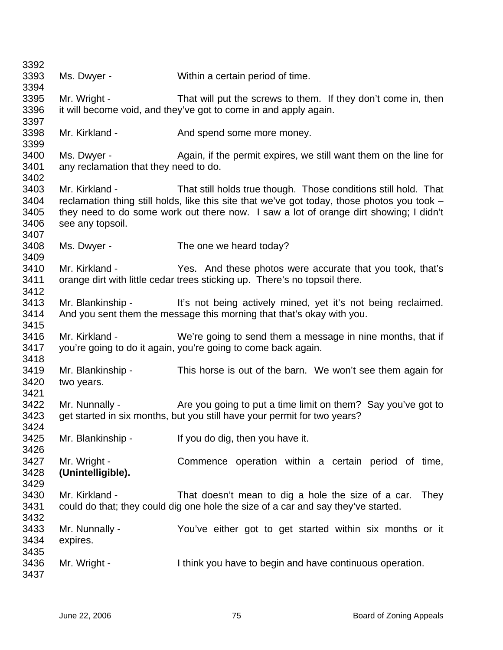| 3392         |                                       |                                                                                             |
|--------------|---------------------------------------|---------------------------------------------------------------------------------------------|
| 3393         | Ms. Dwyer -                           | Within a certain period of time.                                                            |
| 3394         |                                       |                                                                                             |
| 3395         | Mr. Wright -                          | That will put the screws to them. If they don't come in, then                               |
| 3396<br>3397 |                                       | it will become void, and they've got to come in and apply again.                            |
| 3398<br>3399 | Mr. Kirkland -                        | And spend some more money.                                                                  |
| 3400         | Ms. Dwyer -                           | Again, if the permit expires, we still want them on the line for                            |
| 3401         | any reclamation that they need to do. |                                                                                             |
| 3402         |                                       |                                                                                             |
| 3403         | Mr. Kirkland -                        | That still holds true though. Those conditions still hold. That                             |
| 3404         |                                       | reclamation thing still holds, like this site that we've got today, those photos you took - |
| 3405         |                                       | they need to do some work out there now. I saw a lot of orange dirt showing; I didn't       |
| 3406         | see any topsoil.                      |                                                                                             |
| 3407         |                                       |                                                                                             |
| 3408         | Ms. Dwyer -                           | The one we heard today?                                                                     |
| 3409         |                                       |                                                                                             |
| 3410         | Mr. Kirkland -                        | Yes. And these photos were accurate that you took, that's                                   |
| 3411         |                                       | orange dirt with little cedar trees sticking up. There's no topsoil there.                  |
| 3412         |                                       |                                                                                             |
| 3413         |                                       | Mr. Blankinship - It's not being actively mined, yet it's not being reclaimed.              |
| 3414         |                                       | And you sent them the message this morning that that's okay with you.                       |
| 3415         |                                       |                                                                                             |
| 3416         | Mr. Kirkland -                        | We're going to send them a message in nine months, that if                                  |
| 3417         |                                       | you're going to do it again, you're going to come back again.                               |
| 3418         |                                       |                                                                                             |
| 3419         | Mr. Blankinship -                     | This horse is out of the barn. We won't see them again for                                  |
| 3420         | two years.                            |                                                                                             |
| 3421         |                                       |                                                                                             |
| 3422         | Mr. Nunnally -                        | Are you going to put a time limit on them? Say you've got to                                |
| 3423         |                                       | get started in six months, but you still have your permit for two years?                    |
| 3424         |                                       |                                                                                             |
| 3425         | Mr. Blankinship -                     | If you do dig, then you have it.                                                            |
| 3426         |                                       |                                                                                             |
| 3427         | Mr. Wright -                          | Commence operation within a certain period of time,                                         |
| 3428         | (Unintelligible).                     |                                                                                             |
| 3429         |                                       |                                                                                             |
| 3430         | Mr. Kirkland -                        | That doesn't mean to dig a hole the size of a car.<br>They                                  |
| 3431         |                                       | could do that; they could dig one hole the size of a car and say they've started.           |
| 3432         |                                       |                                                                                             |
| 3433         | Mr. Nunnally -                        | You've either got to get started within six months or it                                    |
| 3434         | expires.                              |                                                                                             |
| 3435         |                                       |                                                                                             |
| 3436         | Mr. Wright -                          | I think you have to begin and have continuous operation.                                    |
| 3437         |                                       |                                                                                             |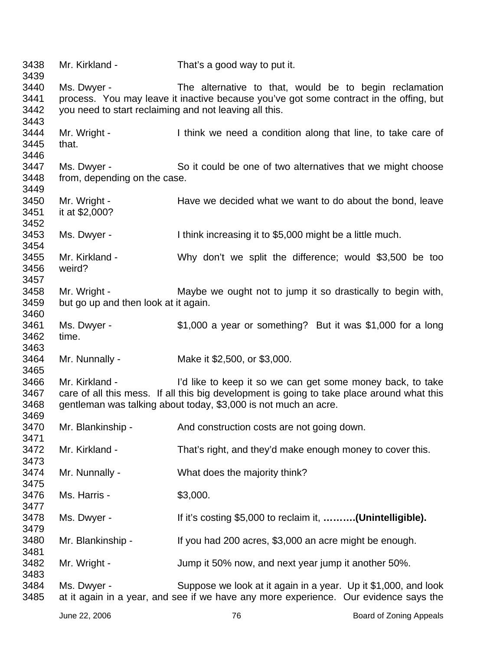Mr. Kirkland - That's a good way to put it. Ms. Dwyer - The alternative to that, would be to begin reclamation process. You may leave it inactive because you've got some contract in the offing, but you need to start reclaiming and not leaving all this. Mr. Wright - I think we need a condition along that line, to take care of that. Ms. Dwyer - So it could be one of two alternatives that we might choose from, depending on the case. Mr. Wright - Have we decided what we want to do about the bond, leave it at \$2,000? Ms. Dwyer - I think increasing it to \$5,000 might be a little much. Mr. Kirkland - Why don't we split the difference; would \$3,500 be too weird? Mr. Wright - Maybe we ought not to jump it so drastically to begin with, but go up and then look at it again. Ms. Dwyer - \$1,000 a year or something? But it was \$1,000 for a long time. Mr. Nunnally - Make it \$2,500, or \$3,000. Mr. Kirkland - I'd like to keep it so we can get some money back, to take care of all this mess. If all this big development is going to take place around what this gentleman was talking about today, \$3,000 is not much an acre. Mr. Blankinship - And construction costs are not going down. Mr. Kirkland - That's right, and they'd make enough money to cover this. Mr. Nunnally - What does the majority think? Ms. Harris - \$3,000. Ms. Dwyer - If it's costing \$5,000 to reclaim it, **……….(Unintelligible).**  Mr. Blankinship - If you had 200 acres, \$3,000 an acre might be enough. Mr. Wright - Jump it 50% now, and next year jump it another 50%. Ms. Dwyer - Suppose we look at it again in a year. Up it \$1,000, and look at it again in a year, and see if we have any more experience. Our evidence says the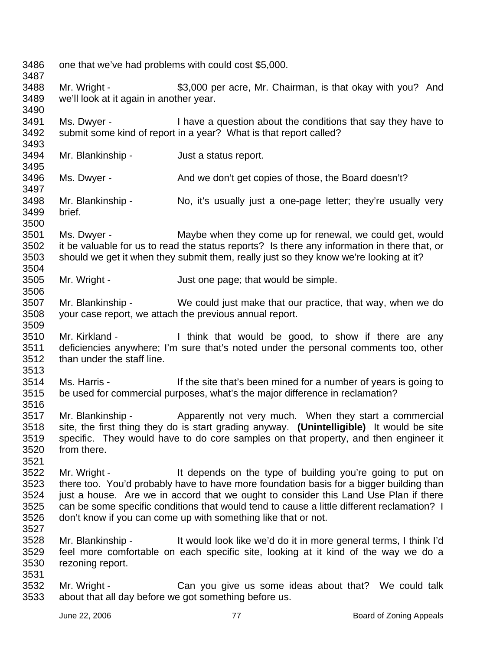3486 3487 3488 3489 3490 3491 3492 3493 3494 3495 3496 3497 3498 3499 3500 3501 3502 3503 3504 3505 3506 3507 3508 3509 3510 3511 3512 3513 3514 3515 3516 3517 3518 3519 3520 3521 3522 3523 3524 3525 3526 3527 3528 3529 3530 3531 3532 3533 one that we've had problems with could cost \$5,000. Mr. Wright -  $$3,000$  per acre, Mr. Chairman, is that okay with you? And we'll look at it again in another year. Ms. Dwyer - I have a question about the conditions that say they have to submit some kind of report in a year? What is that report called? Mr. Blankinship - Just a status report. Ms. Dwyer - And we don't get copies of those, the Board doesn't? Mr. Blankinship - No, it's usually just a one-page letter; they're usually very brief. Ms. Dwyer - Maybe when they come up for renewal, we could get, would it be valuable for us to read the status reports? Is there any information in there that, or should we get it when they submit them, really just so they know we're looking at it? Mr. Wright - Just one page; that would be simple. Mr. Blankinship - We could just make that our practice, that way, when we do your case report, we attach the previous annual report. Mr. Kirkland - I think that would be good, to show if there are any deficiencies anywhere; I'm sure that's noted under the personal comments too, other than under the staff line. Ms. Harris - If the site that's been mined for a number of years is going to be used for commercial purposes, what's the major difference in reclamation? Mr. Blankinship - Apparently not very much. When they start a commercial site, the first thing they do is start grading anyway. **(Unintelligible)** It would be site specific. They would have to do core samples on that property, and then engineer it from there. Mr. Wright - The It depends on the type of building you're going to put on there too. You'd probably have to have more foundation basis for a bigger building than just a house. Are we in accord that we ought to consider this Land Use Plan if there can be some specific conditions that would tend to cause a little different reclamation? I don't know if you can come up with something like that or not. Mr. Blankinship - It would look like we'd do it in more general terms, I think I'd feel more comfortable on each specific site, looking at it kind of the way we do a rezoning report. Mr. Wright - The Can you give us some ideas about that? We could talk about that all day before we got something before us.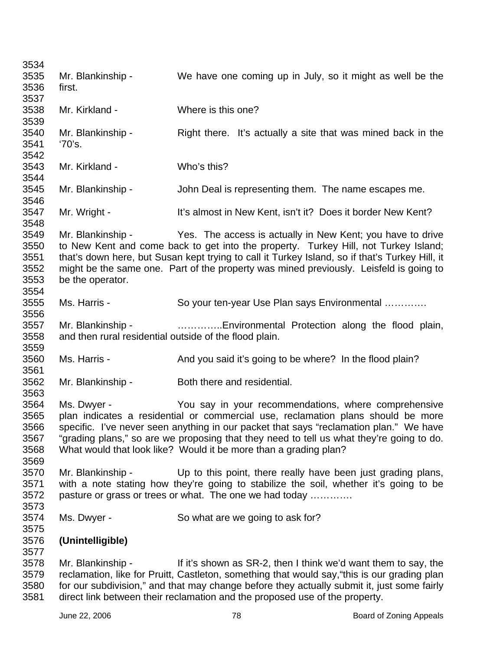3534 3535 3536 3537 3538 3539 3540 3541 3542 3543 3544 3545 3546 3547 3548 3549 3550 3551 3552 3553 3554 3555 3556 3557 3558 3559 3560 3561 3562 3563 3564 3565 3566 3567 3568 3569 3570 3571 3572 3573 3574 3575 3576 3577 3578 3579 3580 Mr. Blankinship - We have one coming up in July, so it might as well be the first. Mr. Kirkland - Where is this one? Mr. Blankinship - Right there. It's actually a site that was mined back in the '70's. Mr. Kirkland - Who's this? Mr. Blankinship - John Deal is representing them. The name escapes me. Mr. Wright - It's almost in New Kent, isn't it? Does it border New Kent? Mr. Blankinship - Yes. The access is actually in New Kent; you have to drive to New Kent and come back to get into the property. Turkey Hill, not Turkey Island; that's down here, but Susan kept trying to call it Turkey Island, so if that's Turkey Hill, it might be the same one. Part of the property was mined previously. Leisfeld is going to be the operator. Ms. Harris - So your ten-year Use Plan says Environmental ............. Mr. Blankinship - …………..Environmental Protection along the flood plain, and then rural residential outside of the flood plain. Ms. Harris - And you said it's going to be where? In the flood plain? Mr. Blankinship - Both there and residential. Ms. Dwyer - The You say in your recommendations, where comprehensive plan indicates a residential or commercial use, reclamation plans should be more specific. I've never seen anything in our packet that says "reclamation plan." We have "grading plans," so are we proposing that they need to tell us what they're going to do. What would that look like? Would it be more than a grading plan? Mr. Blankinship - Up to this point, there really have been just grading plans, with a note stating how they're going to stabilize the soil, whether it's going to be pasture or grass or trees or what. The one we had today …………. Ms. Dwyer - So what are we going to ask for? **(Unintelligible)**  Mr. Blankinship - If it's shown as SR-2, then I think we'd want them to say, the reclamation, like for Pruitt, Castleton, something that would say,"this is our grading plan for our subdivision," and that may change before they actually submit it, just some fairly

3581

direct link between their reclamation and the proposed use of the property.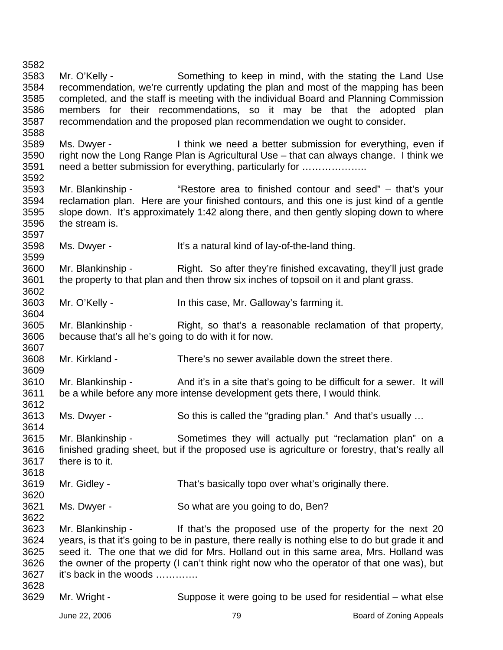3582 3583 3584 3585 3586 3587 3588 3589 3590 3591 3592 3593 3594 3595 3596 3597 3598 3599 3600 3601 3602 3603 3604 3605 3606 3607 3608 3609 3610 3611 3612 3613 3614 3615 3616 3617 3618 3619 3620 3621 3622 3623 3624 3625 3626 3627 3628 3629 Mr. O'Kelly - Something to keep in mind, with the stating the Land Use recommendation, we're currently updating the plan and most of the mapping has been completed, and the staff is meeting with the individual Board and Planning Commission members for their recommendations, so it may be that the adopted plan recommendation and the proposed plan recommendation we ought to consider. Ms. Dwyer - I think we need a better submission for everything, even if right now the Long Range Plan is Agricultural Use – that can always change. I think we need a better submission for everything, particularly for ...................... Mr. Blankinship - "Restore area to finished contour and seed" – that's your reclamation plan. Here are your finished contours, and this one is just kind of a gentle slope down. It's approximately 1:42 along there, and then gently sloping down to where the stream is. Ms. Dwyer - It's a natural kind of lay-of-the-land thing. Mr. Blankinship - Right. So after they're finished excavating, they'll just grade the property to that plan and then throw six inches of topsoil on it and plant grass. Mr. O'Kelly - In this case, Mr. Galloway's farming it. Mr. Blankinship - Right, so that's a reasonable reclamation of that property, because that's all he's going to do with it for now. Mr. Kirkland - There's no sewer available down the street there. Mr. Blankinship - And it's in a site that's going to be difficult for a sewer. It will be a while before any more intense development gets there, I would think. Ms. Dwyer - So this is called the "grading plan." And that's usually ... Mr. Blankinship - Sometimes they will actually put "reclamation plan" on a finished grading sheet, but if the proposed use is agriculture or forestry, that's really all there is to it. Mr. Gidley - That's basically topo over what's originally there. Ms. Dwyer - So what are you going to do, Ben? Mr. Blankinship - The left that's the proposed use of the property for the next 20 years, is that it's going to be in pasture, there really is nothing else to do but grade it and seed it. The one that we did for Mrs. Holland out in this same area, Mrs. Holland was the owner of the property (I can't think right now who the operator of that one was), but it's back in the woods …………. Mr. Wright - Suppose it were going to be used for residential – what else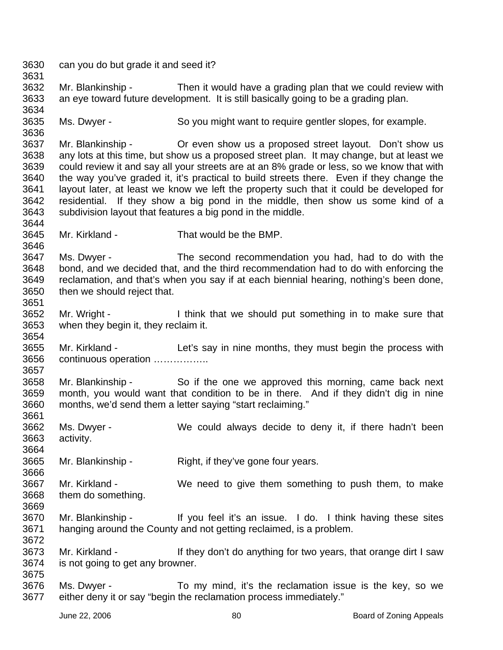3630 can you do but grade it and seed it?

3631

3636

3644

3646

3651

3654

3657

3664

3666

3672

3632 3633 3634 Mr. Blankinship - Then it would have a grading plan that we could review with an eye toward future development. It is still basically going to be a grading plan.

3635 Ms. Dwyer - So you might want to require gentler slopes, for example.

3637 3638 3639 3640 3641 3642 3643 Mr. Blankinship - Or even show us a proposed street layout. Don't show us any lots at this time, but show us a proposed street plan. It may change, but at least we could review it and say all your streets are at an 8% grade or less, so we know that with the way you've graded it, it's practical to build streets there. Even if they change the layout later, at least we know we left the property such that it could be developed for residential. If they show a big pond in the middle, then show us some kind of a subdivision layout that features a big pond in the middle.

3645 Mr. Kirkland - That would be the BMP.

3647 3648 3649 3650 Ms. Dwyer - The second recommendation you had, had to do with the bond, and we decided that, and the third recommendation had to do with enforcing the reclamation, and that's when you say if at each biennial hearing, nothing's been done, then we should reject that.

3652 3653 Mr. Wright - I think that we should put something in to make sure that when they begin it, they reclaim it.

3655 3656 Mr. Kirkland - Let's say in nine months, they must begin the process with continuous operation ……………..

3658 3659 3660 3661 Mr. Blankinship - So if the one we approved this morning, came back next month, you would want that condition to be in there. And if they didn't dig in nine months, we'd send them a letter saying "start reclaiming."

3662 3663 Ms. Dwyer - We could always decide to deny it, if there hadn't been activity.

3665 Mr. Blankinship - Right, if they've gone four years.

- 3667 3668 3669 Mr. Kirkland - We need to give them something to push them, to make them do something.
- 3670 3671 Mr. Blankinship - If you feel it's an issue. I do. I think having these sites hanging around the County and not getting reclaimed, is a problem.
- 3673 3674 3675 Mr. Kirkland - If they don't do anything for two years, that orange dirt I saw is not going to get any browner.
- 3676 3677 Ms. Dwyer - To my mind, it's the reclamation issue is the key, so we either deny it or say "begin the reclamation process immediately."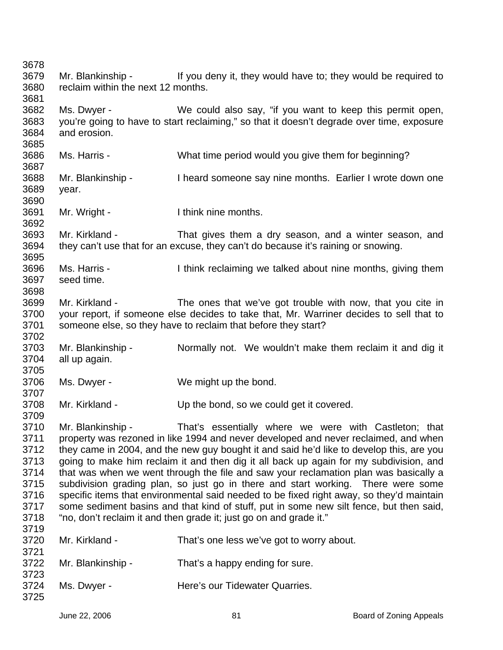3678 3679 3680 3681 3682 3683 3684 3685 3686 3687 3688 3689 3690 3691 3692 3693 3694 3695 3696 3697 3698 3699 3700 3701 3702 3703 3704 3705 3706 3707 3708 3709 3710 3711 3712 3713 3714 3715 3716 3717 3718 3719 3720 3721 3722 3723 3724 3725 Mr. Blankinship - If you deny it, they would have to; they would be required to reclaim within the next 12 months. Ms. Dwyer - We could also say, "if you want to keep this permit open, you're going to have to start reclaiming," so that it doesn't degrade over time, exposure and erosion. Ms. Harris - What time period would you give them for beginning? Mr. Blankinship - Theard someone say nine months. Earlier I wrote down one year. Mr. Wright - Think nine months. Mr. Kirkland - That gives them a dry season, and a winter season, and they can't use that for an excuse, they can't do because it's raining or snowing. Ms. Harris - I think reclaiming we talked about nine months, giving them seed time. Mr. Kirkland - The ones that we've got trouble with now, that you cite in your report, if someone else decides to take that, Mr. Warriner decides to sell that to someone else, so they have to reclaim that before they start? Mr. Blankinship - Normally not. We wouldn't make them reclaim it and dig it all up again. Ms. Dwyer - We might up the bond. Mr. Kirkland - Up the bond, so we could get it covered. Mr. Blankinship - That's essentially where we were with Castleton; that property was rezoned in like 1994 and never developed and never reclaimed, and when they came in 2004, and the new guy bought it and said he'd like to develop this, are you going to make him reclaim it and then dig it all back up again for my subdivision, and that was when we went through the file and saw your reclamation plan was basically a subdivision grading plan, so just go in there and start working. There were some specific items that environmental said needed to be fixed right away, so they'd maintain some sediment basins and that kind of stuff, put in some new silt fence, but then said, "no, don't reclaim it and then grade it; just go on and grade it." Mr. Kirkland - That's one less we've got to worry about. Mr. Blankinship - That's a happy ending for sure. Ms. Dwyer - **Here's our Tidewater Quarries.**